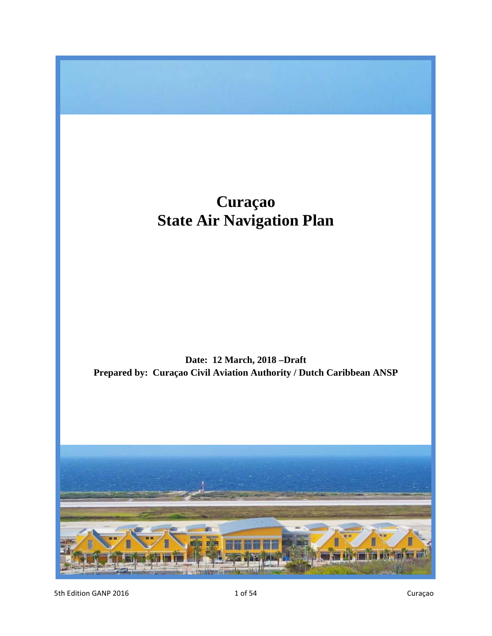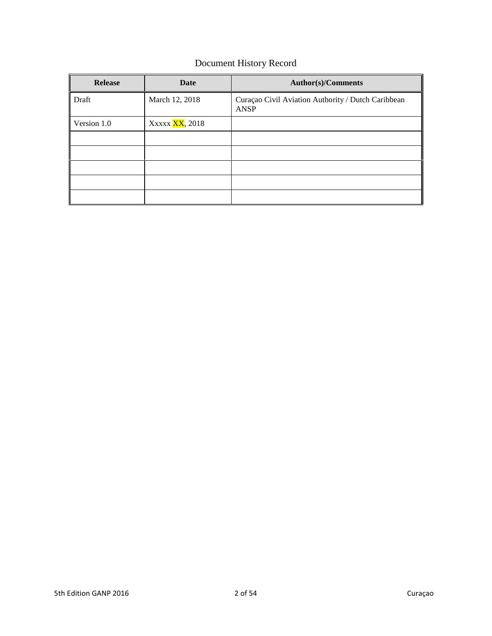## Document History Record

| <b>Release</b> | Date                   | <b>Author(s)/Comments</b>                                  |
|----------------|------------------------|------------------------------------------------------------|
| Draft          | March 12, 2018         | Curaçao Civil Aviation Authority / Dutch Caribbean<br>ANSP |
| Version 1.0    | Xxxxx <b>XX</b> , 2018 |                                                            |
|                |                        |                                                            |
|                |                        |                                                            |
|                |                        |                                                            |
|                |                        |                                                            |
|                |                        |                                                            |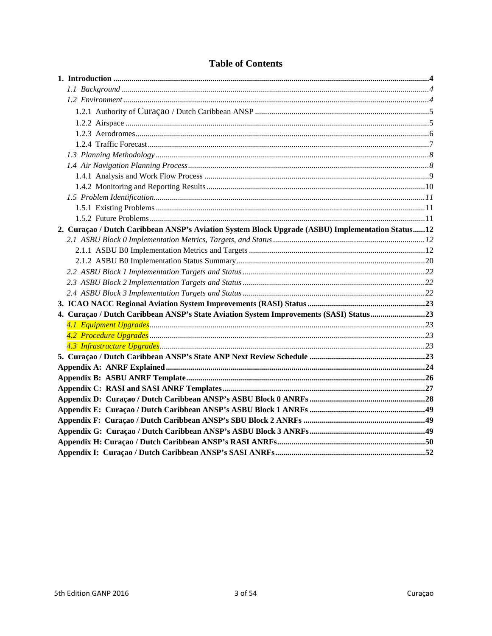| 2. Curaçao / Dutch Caribbean ANSP's Aviation System Block Upgrade (ASBU) Implementation Status12 |  |
|--------------------------------------------------------------------------------------------------|--|
|                                                                                                  |  |
|                                                                                                  |  |
|                                                                                                  |  |
|                                                                                                  |  |
|                                                                                                  |  |
|                                                                                                  |  |
|                                                                                                  |  |
| 4. Curaçao / Dutch Caribbean ANSP's State Aviation System Improvements (SASI) Status23           |  |
|                                                                                                  |  |
|                                                                                                  |  |
|                                                                                                  |  |
|                                                                                                  |  |
|                                                                                                  |  |
|                                                                                                  |  |
|                                                                                                  |  |
|                                                                                                  |  |
|                                                                                                  |  |
|                                                                                                  |  |
|                                                                                                  |  |
|                                                                                                  |  |
|                                                                                                  |  |

## **Table of Contents**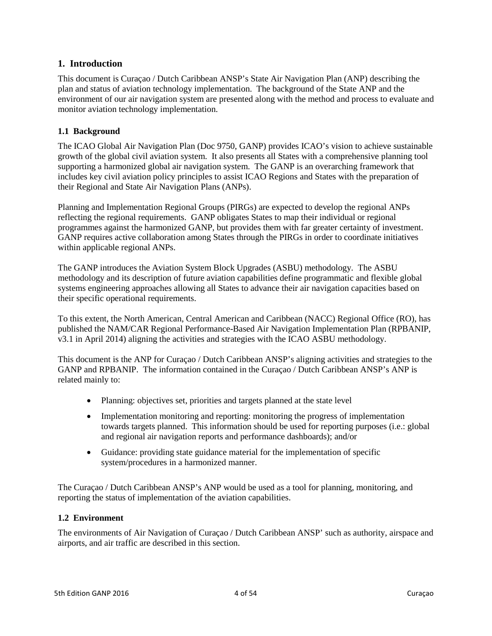### <span id="page-3-0"></span>**1. Introduction**

This document is Curaçao / Dutch Caribbean ANSP's State Air Navigation Plan (ANP) describing the plan and status of aviation technology implementation. The background of the State ANP and the environment of our air navigation system are presented along with the method and process to evaluate and monitor aviation technology implementation.

### <span id="page-3-1"></span>**1.1 Background**

The ICAO Global Air Navigation Plan (Doc 9750, GANP) provides ICAO's vision to achieve sustainable growth of the global civil aviation system. It also presents all States with a comprehensive planning tool supporting a harmonized global air navigation system. The GANP is an overarching framework that includes key civil aviation policy principles to assist ICAO Regions and States with the preparation of their Regional and State Air Navigation Plans (ANPs).

Planning and Implementation Regional Groups (PIRGs) are expected to develop the regional ANPs reflecting the regional requirements. GANP obligates States to map their individual or regional programmes against the harmonized GANP, but provides them with far greater certainty of investment. GANP requires active collaboration among States through the PIRGs in order to coordinate initiatives within applicable regional ANPs.

The GANP introduces the Aviation System Block Upgrades (ASBU) methodology. The ASBU methodology and its description of future aviation capabilities define programmatic and flexible global systems engineering approaches allowing all States to advance their air navigation capacities based on their specific operational requirements.

To this extent, the North American, Central American and Caribbean (NACC) Regional Office (RO), has published the NAM/CAR Regional Performance-Based Air Navigation Implementation Plan (RPBANIP, v3.1 in April 2014) aligning the activities and strategies with the ICAO ASBU methodology.

This document is the ANP for Curaçao / Dutch Caribbean ANSP's aligning activities and strategies to the GANP and RPBANIP. The information contained in the Curaçao / Dutch Caribbean ANSP's ANP is related mainly to:

- Planning: objectives set, priorities and targets planned at the state level
- Implementation monitoring and reporting: monitoring the progress of implementation towards targets planned. This information should be used for reporting purposes (i.e.: global and regional air navigation reports and performance dashboards); and/or
- Guidance: providing state guidance material for the implementation of specific system/procedures in a harmonized manner.

The Curaçao / Dutch Caribbean ANSP's ANP would be used as a tool for planning, monitoring, and reporting the status of implementation of the aviation capabilities.

#### <span id="page-3-2"></span>**1.2 Environment**

The environments of Air Navigation of Curaçao / Dutch Caribbean ANSP' such as authority, airspace and airports, and air traffic are described in this section.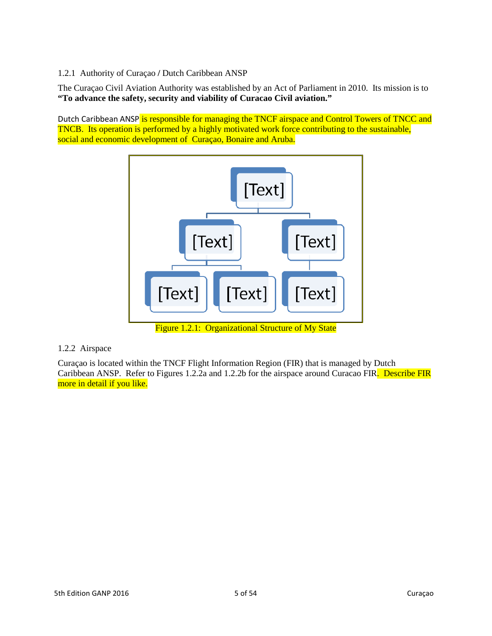### <span id="page-4-0"></span>1.2.1 Authority of Curaçao **/** Dutch Caribbean ANSP

The Curaçao Civil Aviation Authority was established by an Act of Parliament in 2010. Its mission is to **"To advance the safety, security and viability of Curacao Civil aviation."**

Dutch Caribbean ANSP is responsible for managing the TNCF airspace and Control Towers of TNCC and TNCB. Its operation is performed by a highly motivated work force contributing to the sustainable, social and economic development of Curaçao, Bonaire and Aruba.



#### <span id="page-4-1"></span>1.2.2 Airspace

Curaçao is located within the TNCF Flight Information Region (FIR) that is managed by Dutch Caribbean ANSP. Refer to Figures 1.2.2a and 1.2.2b for the airspace around Curacao FIR. Describe FIR more in detail if you like.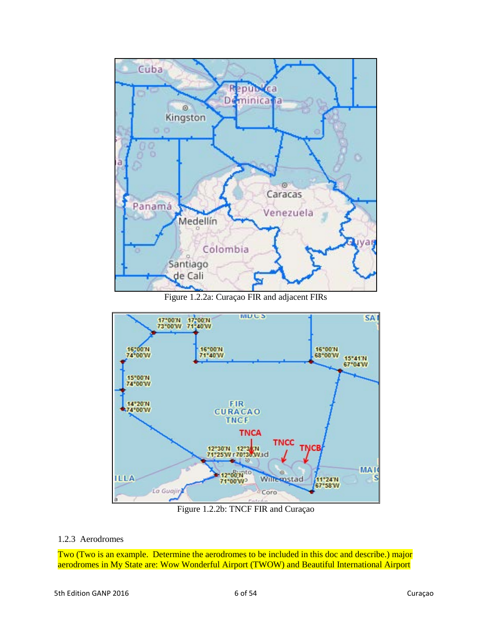

Figure 1.2.2a: Curaçao FIR and adjacent FIRs



Figure 1.2.2b: TNCF FIR and Curaçao

#### <span id="page-5-0"></span>1.2.3 Aerodromes

Two (Two is an example. Determine the aerodromes to be included in this doc and describe.) major aerodromes in My State are: Wow Wonderful Airport (TWOW) and Beautiful International Airport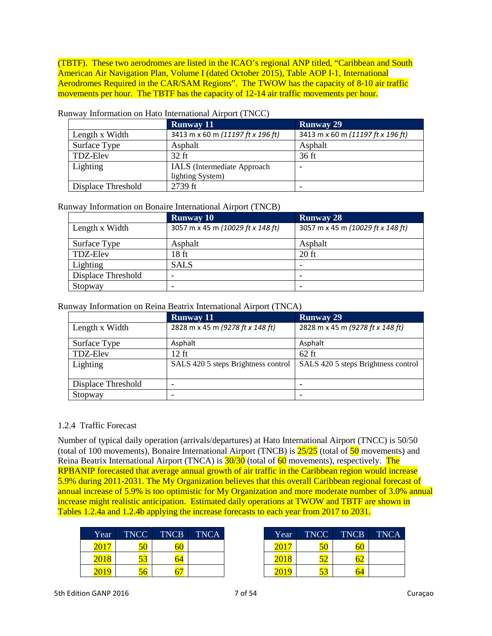(TBTF). These two aerodromes are listed in the ICAO's regional ANP titled, "Caribbean and South American Air Navigation Plan, Volume I (dated October 2015), Table AOP I-1, International Aerodromes Required in the CAR/SAM Regions". The TWOW has the capacity of 8-10 air traffic movements per hour. The TBTF has the capacity of 12-14 air traffic movements per hour.

|                    | <b>Runway 11</b>                  | <b>Runway 29</b>                  |
|--------------------|-----------------------------------|-----------------------------------|
| Length x Width     | 3413 m x 60 m (11197 ft x 196 ft) | 3413 m x 60 m (11197 ft x 196 ft) |
| Surface Type       | Asphalt                           | Asphalt                           |
| TDZ-Elev           | $32$ ft                           | $36$ ft                           |
| Lighting           | IALS (Intermediate Approach       |                                   |
|                    | lighting System)                  |                                   |
| Displace Threshold | 2739 ft                           |                                   |

#### Runway Information on Hato International Airport (TNCC)

#### Runway Information on Bonaire International Airport (TNCB)

|                    | <b>Runway 10</b>                  | <b>Runway 28</b>                  |
|--------------------|-----------------------------------|-----------------------------------|
| Length x Width     | 3057 m x 45 m (10029 ft x 148 ft) | 3057 m x 45 m (10029 ft x 148 ft) |
| Surface Type       | Asphalt                           | Asphalt                           |
| <b>TDZ-Elev</b>    | 18 <sub>ft</sub>                  | $20$ ft                           |
| Lighting           | <b>SALS</b>                       |                                   |
| Displace Threshold |                                   |                                   |
| Stopway            |                                   |                                   |

#### Runway Information on Reina Beatrix International Airport (TNCA)

|                    | <b>Runway 11</b>                    | <b>Runway 29</b>                    |
|--------------------|-------------------------------------|-------------------------------------|
| Length x Width     | 2828 m x 45 m (9278 ft x 148 ft)    | 2828 m x 45 m (9278 ft x 148 ft)    |
| Surface Type       | Asphalt                             | Asphalt                             |
| TDZ-Elev           | 12 ft                               | $62$ ft                             |
| Lighting           | SALS 420 5 steps Brightness control | SALS 420 5 steps Brightness control |
| Displace Threshold |                                     |                                     |
| Stopway            |                                     |                                     |

#### <span id="page-6-0"></span>1.2.4 Traffic Forecast

Number of typical daily operation (arrivals/departures) at Hato International Airport (TNCC) is 50/50 (total of 100 movements), Bonaire International Airport (TNCB) is  $\frac{25}{25}$  (total of  $\frac{50}{25}$  movements) and Reina Beatrix International Airport (TNCA) is  $30/30$  (total of 60 movements), respectively. The RPBANIP forecasted that average annual growth of air traffic in the Caribbean region would increase 5.9% during 2011-2031. The My Organization believes that this overall Caribbean regional forecast of annual increase of 5.9% is too optimistic for My Organization and more moderate number of 3.0% annual increase might realistic anticipation. Estimated daily operations at TWOW and TBTF are shown in Tables 1.2.4a and 1.2.4b applying the increase forecasts to each year from 2017 to 2031.

| Year | <b>TNCC</b>                      | TNCB      | <b>TNCA</b> | Year | TNCC <sup>1</sup> | <b>TNCB</b> |
|------|----------------------------------|-----------|-------------|------|-------------------|-------------|
|      | $\overline{\phantom{a}}$         | - 0<br>bU |             |      | r c               | 60          |
|      | $\overline{\phantom{a}}$<br>2J - | 64        |             |      |                   | JΖ          |
|      | ) t                              | --        |             |      | IJ                | 64          |

| Year | <b>TNCC</b>                    | <b>TNCB</b> | <b>TNCA</b> | Year | <b>TNCC</b>                    | <b>TNCB</b>                    | <b>TNCA</b> |
|------|--------------------------------|-------------|-------------|------|--------------------------------|--------------------------------|-------------|
| 2017 | $\epsilon$ $\alpha$<br>ν.      | ov          |             |      | $\overline{\phantom{a}}$<br>JU | 60                             |             |
| 2018 | $\overline{\phantom{a}}$<br>IJ | 04          |             |      | - -                            | $\overline{\phantom{a}}$<br>bΖ |             |
| 2019 | 6۱.                            | --          |             |      | $\overline{\phantom{a}}$<br>IJ | 64                             |             |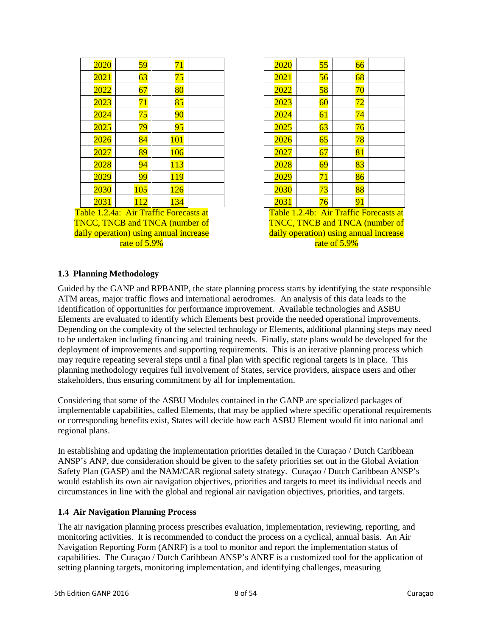| 2020                                   | 59  | 71  |  | 2020 | 55                          | 66 |
|----------------------------------------|-----|-----|--|------|-----------------------------|----|
| 2021                                   | 63  | 75  |  | 2021 | 56                          | 68 |
| 2022                                   | 67  | 80  |  | 2022 | 58                          | 70 |
| 2023                                   | 71  | 85  |  | 2023 | 60                          | 72 |
| 2024                                   | 75  | 90  |  | 2024 | 61                          | 74 |
| 2025                                   | 79  | 95  |  | 2025 | 63                          | 76 |
| 2026                                   | 84  | 101 |  | 2026 | 65                          | 78 |
| 2027                                   | 89  | 106 |  | 2027 | 67                          | 81 |
| 2028                                   | 94  | 113 |  | 2028 | 69                          | 83 |
| 2029                                   | 99  | 119 |  | 2029 | 71                          | 86 |
| 2030                                   | 105 | 126 |  | 2030 | 73                          | 88 |
| 2031                                   | 112 | 134 |  | 2031 | 76                          | 91 |
| Table 1.2.4a: Air Traffic Forecasts at |     |     |  |      | Table 1.2.4b: Air Traffic I |    |

TNCC, TNCB and TNCA (number of daily operation) using annual increase rate of 5.9%

| 2020 | 55              | 66     |  |
|------|-----------------|--------|--|
| 2021 | 56              | 68     |  |
| 2022 | $\overline{58}$ | $70\,$ |  |
| 2023 | 60              | 72     |  |
| 2024 | 61              | 74     |  |
| 2025 | 63              | 76     |  |
| 2026 | 65              | 78     |  |
| 2027 | 67              | 81     |  |
| 2028 | 69              | 83     |  |
| 2029 | 71              | 86     |  |
| 2030 | 73              | 88     |  |
| 2031 | 76              | 91     |  |

Table 1.2.4b: Air Traffic Forecasts at TNCC, TNCB and TNCA (number of daily operation) using annual increase rate of 5.9%

#### <span id="page-7-0"></span>**1.3 Planning Methodology**

Guided by the GANP and RPBANIP, the state planning process starts by identifying the state responsible ATM areas, major traffic flows and international aerodromes. An analysis of this data leads to the identification of opportunities for performance improvement. Available technologies and ASBU Elements are evaluated to identify which Elements best provide the needed operational improvements. Depending on the complexity of the selected technology or Elements, additional planning steps may need to be undertaken including financing and training needs. Finally, state plans would be developed for the deployment of improvements and supporting requirements. This is an iterative planning process which may require repeating several steps until a final plan with specific regional targets is in place. This planning methodology requires full involvement of States, service providers, airspace users and other stakeholders, thus ensuring commitment by all for implementation.

Considering that some of the ASBU Modules contained in the GANP are specialized packages of implementable capabilities, called Elements, that may be applied where specific operational requirements or corresponding benefits exist, States will decide how each ASBU Element would fit into national and regional plans.

In establishing and updating the implementation priorities detailed in the Curaçao / Dutch Caribbean ANSP's ANP, due consideration should be given to the safety priorities set out in the Global Aviation Safety Plan (GASP) and the NAM/CAR regional safety strategy. Curaçao / Dutch Caribbean ANSP's would establish its own air navigation objectives, priorities and targets to meet its individual needs and circumstances in line with the global and regional air navigation objectives, priorities, and targets.

#### <span id="page-7-1"></span>**1.4 Air Navigation Planning Process**

The air navigation planning process prescribes evaluation, implementation, reviewing, reporting, and monitoring activities. It is recommended to conduct the process on a cyclical, annual basis. An Air Navigation Reporting Form (ANRF) is a tool to monitor and report the implementation status of capabilities. The Curaçao / Dutch Caribbean ANSP's ANRF is a customized tool for the application of setting planning targets, monitoring implementation, and identifying challenges, measuring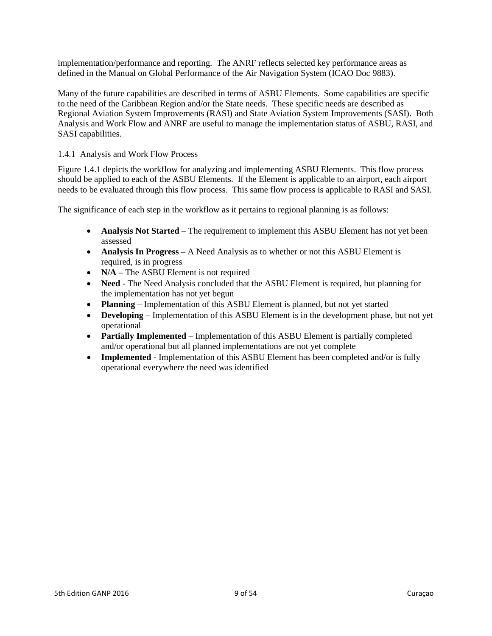implementation/performance and reporting. The ANRF reflects selected key performance areas as defined in the Manual on Global Performance of the Air Navigation System (ICAO Doc 9883).

Many of the future capabilities are described in terms of ASBU Elements. Some capabilities are specific to the need of the Caribbean Region and/or the State needs. These specific needs are described as Regional Aviation System Improvements (RASI) and State Aviation System Improvements (SASI). Both Analysis and Work Flow and ANRF are useful to manage the implementation status of ASBU, RASI, and SASI capabilities.

#### <span id="page-8-0"></span>1.4.1 Analysis and Work Flow Process

Figure 1.4.1 depicts the workflow for analyzing and implementing ASBU Elements. This flow process should be applied to each of the ASBU Elements. If the Element is applicable to an airport, each airport needs to be evaluated through this flow process. This same flow process is applicable to RASI and SASI.

The significance of each step in the workflow as it pertains to regional planning is as follows:

- **Analysis Not Started** The requirement to implement this ASBU Element has not yet been assessed
- **Analysis In Progress**  A Need Analysis as to whether or not this ASBU Element is required, is in progress
- **N/A** The ASBU Element is not required
- **Need** The Need Analysis concluded that the ASBU Element is required, but planning for the implementation has not yet begun
- **Planning**  Implementation of this ASBU Element is planned, but not yet started
- **Developing**  Implementation of this ASBU Element is in the development phase, but not yet operational
- **Partially Implemented** Implementation of this ASBU Element is partially completed and/or operational but all planned implementations are not yet complete
- **Implemented** Implementation of this ASBU Element has been completed and/or is fully operational everywhere the need was identified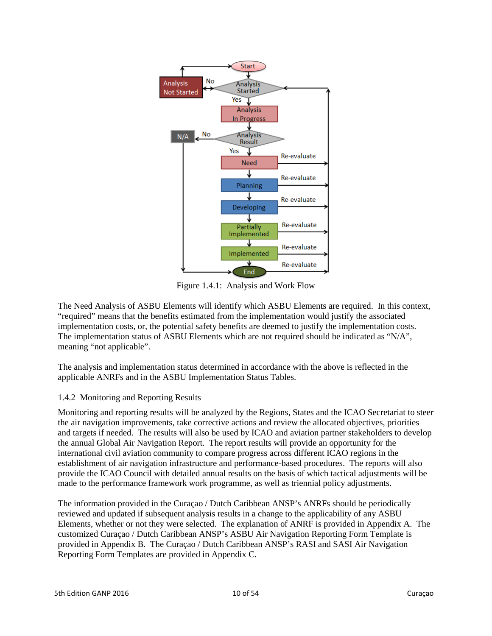

Figure 1.4.1: Analysis and Work Flow

The Need Analysis of ASBU Elements will identify which ASBU Elements are required. In this context, "required" means that the benefits estimated from the implementation would justify the associated implementation costs, or, the potential safety benefits are deemed to justify the implementation costs. The implementation status of ASBU Elements which are not required should be indicated as "N/A", meaning "not applicable".

The analysis and implementation status determined in accordance with the above is reflected in the applicable ANRFs and in the ASBU Implementation Status Tables.

### <span id="page-9-0"></span>1.4.2 Monitoring and Reporting Results

Monitoring and reporting results will be analyzed by the Regions, States and the ICAO Secretariat to steer the air navigation improvements, take corrective actions and review the allocated objectives, priorities and targets if needed. The results will also be used by ICAO and aviation partner stakeholders to develop the annual Global Air Navigation Report. The report results will provide an opportunity for the international civil aviation community to compare progress across different ICAO regions in the establishment of air navigation infrastructure and performance-based procedures. The reports will also provide the ICAO Council with detailed annual results on the basis of which tactical adjustments will be made to the performance framework work programme, as well as triennial policy adjustments.

The information provided in the Curaçao / Dutch Caribbean ANSP's ANRFs should be periodically reviewed and updated if subsequent analysis results in a change to the applicability of any ASBU Elements, whether or not they were selected. The explanation of ANRF is provided in Appendix A. The customized Curaçao / Dutch Caribbean ANSP's ASBU Air Navigation Reporting Form Template is provided in Appendix B. The Curaçao / Dutch Caribbean ANSP's RASI and SASI Air Navigation Reporting Form Templates are provided in Appendix C.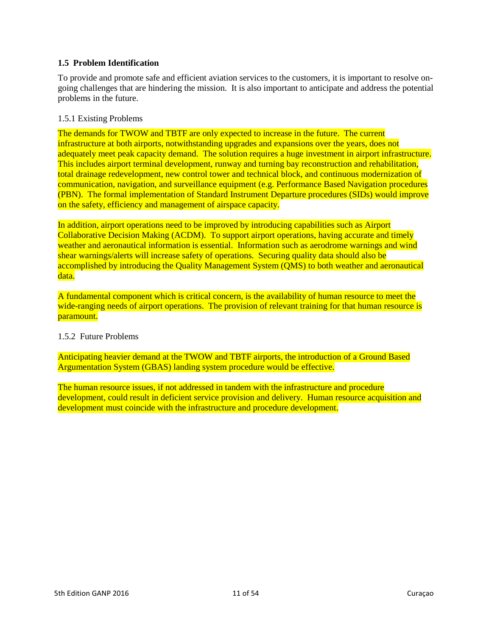#### <span id="page-10-0"></span>**1.5 Problem Identification**

To provide and promote safe and efficient aviation services to the customers, it is important to resolve ongoing challenges that are hindering the mission. It is also important to anticipate and address the potential problems in the future.

#### <span id="page-10-1"></span>1.5.1 Existing Problems

The demands for TWOW and TBTF are only expected to increase in the future. The current infrastructure at both airports, notwithstanding upgrades and expansions over the years, does not adequately meet peak capacity demand. The solution requires a huge investment in airport infrastructure. This includes airport terminal development, runway and turning bay reconstruction and rehabilitation, total drainage redevelopment, new control tower and technical block, and continuous modernization of communication, navigation, and surveillance equipment (e.g. Performance Based Navigation procedures (PBN). The formal implementation of Standard Instrument Departure procedures (SIDs) would improve on the safety, efficiency and management of airspace capacity.

In addition, airport operations need to be improved by introducing capabilities such as Airport Collaborative Decision Making (ACDM). To support airport operations, having accurate and timely weather and aeronautical information is essential. Information such as aerodrome warnings and wind shear warnings/alerts will increase safety of operations. Securing quality data should also be accomplished by introducing the Quality Management System (QMS) to both weather and aeronautical data.

A fundamental component which is critical concern, is the availability of human resource to meet the wide-ranging needs of airport operations. The provision of relevant training for that human resource is paramount.

#### <span id="page-10-2"></span>1.5.2 Future Problems

Anticipating heavier demand at the TWOW and TBTF airports, the introduction of a Ground Based Argumentation System (GBAS) landing system procedure would be effective.

The human resource issues, if not addressed in tandem with the infrastructure and procedure development, could result in deficient service provision and delivery. Human resource acquisition and development must coincide with the infrastructure and procedure development.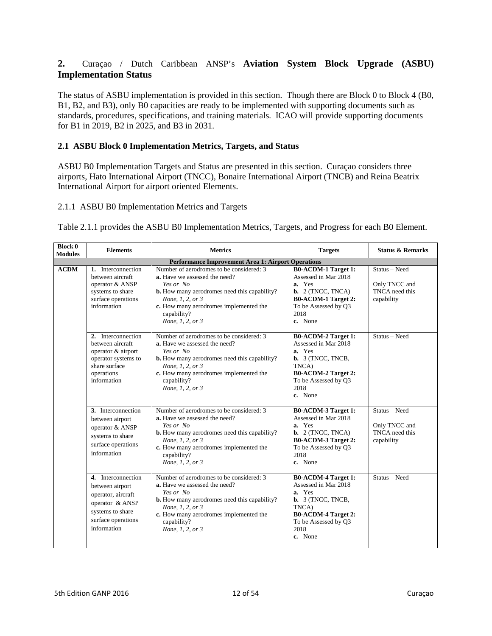## <span id="page-11-0"></span>**2.** Curaçao / Dutch Caribbean ANSP's **Aviation System Block Upgrade (ASBU) Implementation Status**

The status of ASBU implementation is provided in this section. Though there are Block 0 to Block 4 (B0, B1, B2, and B3), only B0 capacities are ready to be implemented with supporting documents such as standards, procedures, specifications, and training materials. ICAO will provide supporting documents for B1 in 2019, B2 in 2025, and B3 in 2031.

#### <span id="page-11-1"></span>**2.1 ASBU Block 0 Implementation Metrics, Targets, and Status**

ASBU B0 Implementation Targets and Status are presented in this section. Curaçao considers three airports, Hato International Airport (TNCC), Bonaire International Airport (TNCB) and Reina Beatrix International Airport for airport oriented Elements.

#### <span id="page-11-2"></span>2.1.1 ASBU B0 Implementation Metrics and Targets

Table 2.1.1 provides the ASBU B0 Implementation Metrics, Targets, and Progress for each B0 Element.

| <b>Block 0</b><br><b>Modules</b> | <b>Elements</b>                                                                                                                         | <b>Metrics</b>                                                                                                                                                                                                                                 | <b>Targets</b>                                                                                                                                                             | <b>Status &amp; Remarks</b>                                    |  |  |  |
|----------------------------------|-----------------------------------------------------------------------------------------------------------------------------------------|------------------------------------------------------------------------------------------------------------------------------------------------------------------------------------------------------------------------------------------------|----------------------------------------------------------------------------------------------------------------------------------------------------------------------------|----------------------------------------------------------------|--|--|--|
|                                  | Performance Improvement Area 1: Airport Operations                                                                                      |                                                                                                                                                                                                                                                |                                                                                                                                                                            |                                                                |  |  |  |
| <b>ACDM</b>                      | 1. Interconnection<br>between aircraft<br>operator & ANSP<br>systems to share<br>surface operations<br>information                      | Number of aerodromes to be considered: 3<br>a. Have we assessed the need?<br>Yes or No<br><b>b.</b> How many aerodromes need this capability?<br>None, 1, 2, or 3<br>c. How many aerodromes implemented the<br>capability?<br>None, 1, 2, or 3 | <b>B0-ACDM-1 Target 1:</b><br>Assessed in Mar 2018<br>a. Yes<br><b>b.</b> $2$ (TNCC, TNCA)<br><b>B0-ACDM-1 Target 2:</b><br>To be Assessed by O3<br>2018<br>c. None        | Status - Need<br>Only TNCC and<br>TNCA need this<br>capability |  |  |  |
|                                  | 2. Interconnection<br>between aircraft<br>operator & airport<br>operator systems to<br>share surface<br>operations<br>information       | Number of aerodromes to be considered: 3<br>a. Have we assessed the need?<br>Yes or No<br><b>b.</b> How many aerodromes need this capability?<br>None, 1, 2, or 3<br>c. How many aerodromes implemented the<br>capability?<br>None, 1, 2, or 3 | <b>B0-ACDM-2 Target 1:</b><br>Assessed in Mar 2018<br>a. Yes<br><b>b.</b> 3 (TNCC, TNCB,<br>TNCA)<br><b>B0-ACDM-2 Target 2:</b><br>To be Assessed by O3<br>2018<br>c. None | Status - Need                                                  |  |  |  |
|                                  | 3. Interconnection<br>between airport<br>operator & ANSP<br>systems to share<br>surface operations<br>information                       | Number of aerodromes to be considered: 3<br>a. Have we assessed the need?<br>Yes or No<br><b>b.</b> How many aerodromes need this capability?<br>None, 1, 2, or 3<br>c. How many aerodromes implemented the<br>capability?<br>None, 1, 2, or 3 | <b>B0-ACDM-3 Target 1:</b><br>Assessed in Mar 2018<br>a. Yes<br><b>b.</b> $2$ (TNCC, TNCA)<br><b>B0-ACDM-3 Target 2:</b><br>To be Assessed by Q3<br>2018<br>c. None        | Status - Need<br>Only TNCC and<br>TNCA need this<br>capability |  |  |  |
|                                  | 4. Interconnection<br>between airport<br>operator, aircraft<br>operator & ANSP<br>systems to share<br>surface operations<br>information | Number of aerodromes to be considered: 3<br>a. Have we assessed the need?<br>Yes or No<br><b>b.</b> How many aerodromes need this capability?<br>None, 1, 2, or 3<br>c. How many aerodromes implemented the<br>capability?<br>None, 1, 2, or 3 | <b>B0-ACDM-4 Target 1:</b><br>Assessed in Mar 2018<br>a. Yes<br>$b. 3$ (TNCC, TNCB,<br>TNCA)<br><b>B0-ACDM-4 Target 2:</b><br>To be Assessed by Q3<br>2018<br>c. None      | Status - Need                                                  |  |  |  |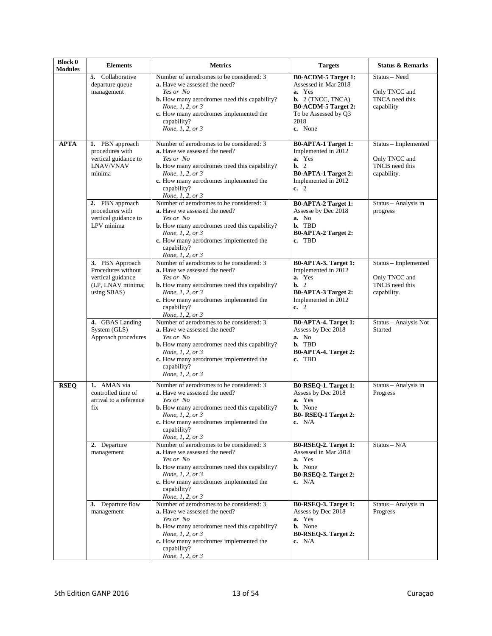| <b>Block 0</b><br><b>Modules</b> | <b>Elements</b>                                                                                | <b>Metrics</b>                                                                                                                                                                                                                                        | <b>Targets</b>                                                                                                                                                      | <b>Status &amp; Remarks</b>                                            |
|----------------------------------|------------------------------------------------------------------------------------------------|-------------------------------------------------------------------------------------------------------------------------------------------------------------------------------------------------------------------------------------------------------|---------------------------------------------------------------------------------------------------------------------------------------------------------------------|------------------------------------------------------------------------|
|                                  | 5. Collaborative<br>departure queue<br>management                                              | Number of aerodromes to be considered: 3<br>a. Have we assessed the need?<br>Yes or No<br><b>b.</b> How many aerodromes need this capability?<br>None, 1, 2, or 3<br>c. How many aerodromes implemented the<br>capability?<br>None, 1, 2, or 3        | <b>B0-ACDM-5 Target 1:</b><br>Assessed in Mar 2018<br>a. Yes<br><b>b.</b> $2$ (TNCC, TNCA)<br><b>B0-ACDM-5 Target 2:</b><br>To be Assessed by Q3<br>2018<br>c. None | Status - Need<br>Only TNCC and<br>TNCA need this<br>capability         |
| <b>APTA</b>                      | 1. PBN approach<br>procedures with<br>vertical guidance to<br><b>LNAV/VNAV</b><br>minima       | Number of aerodromes to be considered: 3<br>a. Have we assessed the need?<br>Yes or No<br><b>b.</b> How many aerodromes need this capability?<br>None, 1, 2, or 3<br>c. How many aerodromes implemented the<br>capability?<br>None, 1, 2, or 3        | <b>B0-APTA-1 Target 1:</b><br>Implemented in 2012<br>a. Yes<br>$b. 2$<br><b>B0-APTA-1 Target 2:</b><br>Implemented in 2012<br>c. $2$                                | Status - Implemented<br>Only TNCC and<br>TNCB need this<br>capability. |
|                                  | 2. PBN approach<br>procedures with<br>vertical guidance to<br>LPV minima                       | Number of aerodromes to be considered: 3<br>a. Have we assessed the need?<br>Yes or No<br><b>b.</b> How many aerodromes need this capability?<br>None, 1, 2, or 3<br>c. How many aerodromes implemented the<br>capability?<br>None, 1, 2, or 3        | <b>B0-APTA-2 Target 1:</b><br>Assesse by Dec 2018<br>a. No<br>b. TBD<br>B0-APTA-2 Target 2:<br>c. TBD                                                               | Status - Analysis in<br>progress                                       |
|                                  | 3. PBN Approach<br>Procedures without<br>vertical guidance<br>(LP, LNAV minima;<br>using SBAS) | Number of aerodromes to be considered: 3<br><b>a.</b> Have we assessed the need?<br>Yes or No<br><b>b.</b> How many aerodromes need this capability?<br>None, 1, 2, or 3<br>c. How many aerodromes implemented the<br>capability?<br>None, 1, 2, or 3 | B0-APTA-3. Target 1:<br>Implemented in 2012<br>a. Yes<br>$\mathbf{b}$ , 2<br>B0-APTA-3 Target 2:<br>Implemented in 2012<br>c. 2                                     | Status - Implemented<br>Only TNCC and<br>TNCB need this<br>capability. |
|                                  | 4. GBAS Landing<br>System (GLS)<br>Approach procedures                                         | Number of aerodromes to be considered: 3<br><b>a.</b> Have we assessed the need?<br>Yes or No<br><b>b.</b> How many aerodromes need this capability?<br>None, 1, 2, or 3<br>c. How many aerodromes implemented the<br>capability?<br>None, 1, 2, or 3 | <b>B0-APTA-4. Target 1:</b><br>Assess by Dec 2018<br>a. No<br>b. TBD<br>B0-APTA-4. Target 2:<br>c. TBD                                                              | Status - Analysis Not<br>Started                                       |
| <b>RSEQ</b>                      | 1. AMAN via<br>controlled time of<br>arrival to a reference<br>fix                             | Number of aerodromes to be considered: 3<br><b>a.</b> Have we assessed the need?<br>Yes or No<br><b>b.</b> How many aerodromes need this capability?<br>None, 1, 2, or 3<br>c. How many aerodromes implemented the<br>capability?<br>None, 1, 2, or 3 | B0-RSEQ-1. Target 1:<br>Assess by Dec 2018<br>a. Yes<br><b>b.</b> None<br><b>B0- RSEQ-1 Target 2:</b><br>c. $N/A$                                                   | Status - Analysis in<br>Progress                                       |
|                                  | 2. Departure<br>management                                                                     | Number of aerodromes to be considered: 3<br>a. Have we assessed the need?<br>Yes or No<br><b>b.</b> How many aerodromes need this capability?<br>None, 1, 2, or 3<br>c. How many aerodromes implemented the<br>capability?<br>None, 1, 2, or 3        | B0-RSEQ-2. Target 1:<br>Assessed in Mar 2018<br>a. Yes<br><b>b.</b> None<br>B0-RSEQ-2. Target 2:<br>c. $N/A$                                                        | $Status - N/A$                                                         |
|                                  | 3. Departure flow<br>management                                                                | Number of aerodromes to be considered: 3<br><b>a.</b> Have we assessed the need?<br>Yes or No<br><b>b.</b> How many aerodromes need this capability?<br>None, 1, 2, or 3<br>c. How many aerodromes implemented the<br>capability?<br>None, 1, 2, or 3 | B0-RSEQ-3. Target 1:<br>Assess by Dec 2018<br>a. Yes<br><b>b.</b> None<br>B0-RSEQ-3. Target 2:<br>c. $N/A$                                                          | Status - Analysis in<br>Progress                                       |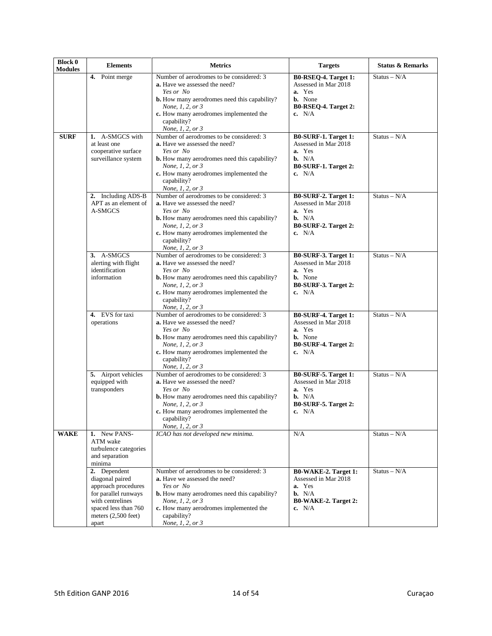| <b>Block 0</b><br><b>Modules</b> | <b>Elements</b>                                                                                                                                              | <b>Metrics</b>                                                                                                                                                                                                                                        | <b>Targets</b>                                                                                                          | <b>Status &amp; Remarks</b> |
|----------------------------------|--------------------------------------------------------------------------------------------------------------------------------------------------------------|-------------------------------------------------------------------------------------------------------------------------------------------------------------------------------------------------------------------------------------------------------|-------------------------------------------------------------------------------------------------------------------------|-----------------------------|
|                                  | 4. Point merge                                                                                                                                               | Number of aerodromes to be considered: 3<br><b>a.</b> Have we assessed the need?<br>Yes or No<br><b>b.</b> How many aerodromes need this capability?<br>None, 1, 2, or 3<br>c. How many aerodromes implemented the<br>capability?<br>None, 1, 2, or 3 | B0-RSEQ-4. Target 1:<br>Assessed in Mar 2018<br>a. Yes<br><b>b.</b> None<br>B0-RSEQ-4. Target 2:<br>c. $N/A$            | $Status - N/A$              |
| <b>SURF</b>                      | 1. A-SMGCS with<br>at least one<br>cooperative surface<br>surveillance system                                                                                | Number of aerodromes to be considered: 3<br>a. Have we assessed the need?<br>Yes or No<br><b>b.</b> How many aerodromes need this capability?<br>None, 1, 2, or 3<br>c. How many aerodromes implemented the<br>capability?<br>None, 1, 2, or 3        | B0-SURF-1. Target 1:<br>Assessed in Mar 2018<br>a. Yes<br>$\mathbf{b}$ . N/A<br>B0-SURF-1. Target 2:<br>c. $N/A$        | Status – $N/A$              |
|                                  | 2. Including ADS-B<br>APT as an element of<br>A-SMGCS                                                                                                        | Number of aerodromes to be considered: 3<br><b>a.</b> Have we assessed the need?<br>Yes or No<br><b>b.</b> How many aerodromes need this capability?<br>None, 1, 2, or 3<br>c. How many aerodromes implemented the<br>capability?<br>None, 1, 2, or 3 | B0-SURF-2. Target 1:<br>Assessed in Mar 2018<br>a. Yes<br>$\mathbf{b}$ . N/A<br>B0-SURF-2. Target 2:<br>c. $N/A$        | $Status - N/A$              |
|                                  | 3. A-SMGCS<br>alerting with flight<br>identification<br>information                                                                                          | Number of aerodromes to be considered: 3<br><b>a.</b> Have we assessed the need?<br>Yes or No<br><b>b.</b> How many aerodromes need this capability?<br>None, 1, 2, or 3<br>c. How many aerodromes implemented the<br>capability?<br>None, 1, 2, or 3 | B0-SURF-3. Target 1:<br>Assessed in Mar 2018<br>a. Yes<br><b>b.</b> None<br>B0-SURF-3. Target 2:<br>c. $N/A$            | $Status - N/A$              |
|                                  | 4. EVS for taxi<br>operations                                                                                                                                | Number of aerodromes to be considered: 3<br>a. Have we assessed the need?<br>Yes or No<br><b>b.</b> How many aerodromes need this capability?<br>None, 1, 2, or 3<br>c. How many aerodromes implemented the<br>capability?<br>None, 1, 2, or 3        | B0-SURF-4. Target 1:<br>Assessed in Mar 2018<br>a. Yes<br><b>b.</b> None<br>B0-SURF-4. Target 2:<br>c. $N/A$            | $Status - N/A$              |
|                                  | 5. Airport vehicles<br>equipped with<br>transponders                                                                                                         | Number of aerodromes to be considered: 3<br>a. Have we assessed the need?<br>Yes or No<br><b>b.</b> How many aerodromes need this capability?<br>None, 1, 2, or 3<br>c. How many aerodromes implemented the<br>capability?<br>None, 1, 2, or 3        | B0-SURF-5. Target 1:<br>Assessed in Mar 2018<br>a. Yes<br>b. N/A<br>B0-SURF-5. Target 2:<br>c. $N/A$                    | $Status - N/A$              |
| <b>WAKE</b>                      | 1. New PANS-<br>ATM wake<br>turbulence categories<br>and separation<br>minima                                                                                | ICAO has not developed new minima.                                                                                                                                                                                                                    | N/A                                                                                                                     | $Status - N/A$              |
|                                  | 2. Dependent<br>diagonal paired<br>approach procedures<br>for parallel runways<br>with centrelines<br>spaced less than 760<br>meters $(2,500$ feet)<br>apart | Number of aerodromes to be considered: 3<br>a. Have we assessed the need?<br>Yes or No<br><b>b.</b> How many aerodromes need this capability?<br>None, 1, 2, or 3<br>c. How many aerodromes implemented the<br>capability?<br>None, 1, 2, or 3        | <b>B0-WAKE-2. Target 1:</b><br>Assessed in Mar 2018<br>a. Yes<br>$\mathbf{b}$ . N/A<br>B0-WAKE-2. Target 2:<br>c. $N/A$ | $Status - N/A$              |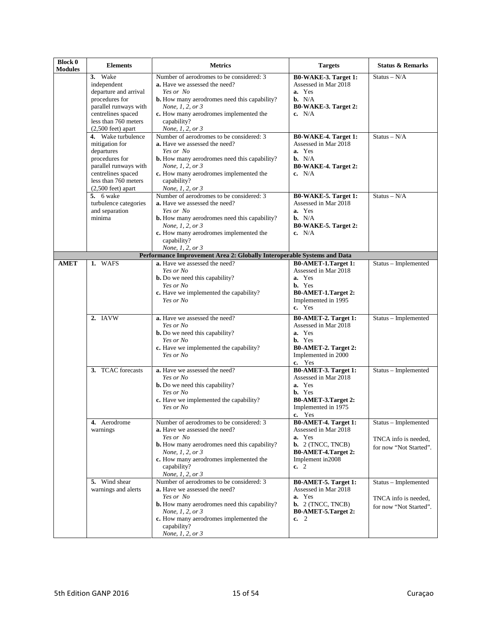| <b>Block 0</b><br><b>Modules</b> | <b>Elements</b>                                                                                                                                                             | <b>Metrics</b>                                                                                                                                                                                                                                        | <b>Targets</b>                                                                                                                                         | <b>Status &amp; Remarks</b>                                            |
|----------------------------------|-----------------------------------------------------------------------------------------------------------------------------------------------------------------------------|-------------------------------------------------------------------------------------------------------------------------------------------------------------------------------------------------------------------------------------------------------|--------------------------------------------------------------------------------------------------------------------------------------------------------|------------------------------------------------------------------------|
|                                  | 3. Wake<br>independent<br>departure and arrival<br>procedures for<br>parallel runways with<br>centrelines spaced<br>less than 760 meters<br>$(2,500 \text{ feet})$ apart    | Number of aerodromes to be considered: 3<br>a. Have we assessed the need?<br>Yes or No<br><b>b.</b> How many aerodromes need this capability?<br>None, 1, 2, or 3<br>c. How many aerodromes implemented the<br>capability?<br>None, 1, 2, or 3        | B0-WAKE-3. Target 1:<br>Assessed in Mar 2018<br>a. Yes<br>$\mathbf{b}$ . N/A<br>B0-WAKE-3. Target 2:<br>c. $N/A$                                       | $Status - N/A$                                                         |
|                                  | 4. Wake turbulence<br>mitigation for<br>departures<br>procedures for<br>parallel runways with<br>centrelines spaced<br>less than 760 meters<br>$(2,500 \text{ feet})$ apart | Number of aerodromes to be considered: 3<br>a. Have we assessed the need?<br>Yes or No<br><b>b.</b> How many aerodromes need this capability?<br>None, 1, 2, or 3<br>c. How many aerodromes implemented the<br>capability?<br>None, 1, 2, or 3        | <b>B0-WAKE-4. Target 1:</b><br>Assessed in Mar 2018<br>a. Yes<br>$\mathbf{b}$ . N/A<br><b>B0-WAKE-4. Target 2:</b><br>c. $N/A$                         | Status – $N/A$                                                         |
|                                  | 5. 6 wake<br>turbulence categories<br>and separation<br>minima                                                                                                              | Number of aerodromes to be considered: 3<br><b>a.</b> Have we assessed the need?<br>Yes or No<br><b>b.</b> How many aerodromes need this capability?<br>None, 1, 2, or 3<br>c. How many aerodromes implemented the<br>capability?<br>None, 1, 2, or 3 | B0-WAKE-5. Target 1:<br>Assessed in Mar 2018<br>a. Yes<br>b. N/A<br>B0-WAKE-5. Target 2:<br>c. $N/A$                                                   | $Status - N/A$                                                         |
|                                  |                                                                                                                                                                             | Performance Improvement Area 2: Globally Interoperable Systems and Data                                                                                                                                                                               |                                                                                                                                                        |                                                                        |
| <b>AMET</b>                      | 1. WAFS                                                                                                                                                                     | a. Have we assessed the need?<br>Yes or No<br><b>b.</b> Do we need this capability?<br>Yes or No<br>c. Have we implemented the capability?<br>Yes or No                                                                                               | <b>B0-AMET-1.Target 1:</b><br>Assessed in Mar 2018<br>a. Yes<br><b>b.</b> Yes<br>B0-AMET-1.Target 2:<br>Implemented in 1995<br>c. Yes                  | $Status - Implemented$                                                 |
|                                  | 2. IAVW                                                                                                                                                                     | a. Have we assessed the need?<br>Yes or No<br><b>b.</b> Do we need this capability?<br>Yes or No<br>c. Have we implemented the capability?<br>Yes or No                                                                                               | B0-AMET-2. Target 1:<br>Assessed in Mar 2018<br>a. Yes<br><b>b.</b> Yes<br>B0-AMET-2. Target 2:<br>Implemented in 2000<br>c. Yes                       | Status - Implemented                                                   |
|                                  | 3. TCAC forecasts                                                                                                                                                           | a. Have we assessed the need?<br>Yes or No<br><b>b.</b> Do we need this capability?<br>Yes or No<br>c. Have we implemented the capability?<br>Yes or No                                                                                               | <b>B0-AMET-3. Target 1:</b><br>Assessed in Mar 2018<br>a. Yes<br><b>b.</b> Yes<br>B0-AMET-3.Target 2:<br>Implemented in 1975<br>c. Yes                 | Status - Implemented                                                   |
|                                  | 4. Aerodrome<br>warnings                                                                                                                                                    | Number of aerodromes to be considered: 3<br>a. Have we assessed the need?<br>Yes or No<br><b>b.</b> How many aerodromes need this capability?<br>None, 1, 2, or 3<br>c. How many aerodromes implemented the<br>capability?<br>None, 1, 2, or 3        | <b>B0-AMET-4. Target 1:</b><br>Assessed in Mar 2018<br>a. Yes<br><b>b.</b> $2$ (TNCC, TNCB)<br><b>B0-AMET-4.Target 2:</b><br>Implement in 2008<br>c. 2 | Status - Implemented<br>TNCA info is needed,<br>for now "Not Started". |
|                                  | 5. Wind shear<br>warnings and alerts                                                                                                                                        | Number of aerodromes to be considered: 3<br><b>a.</b> Have we assessed the need?<br>Yes or No<br><b>b.</b> How many aerodromes need this capability?<br>None, 1, 2, or 3<br>c. How many aerodromes implemented the<br>capability?<br>None, 1, 2, or 3 | B0-AMET-5. Target 1:<br>Assessed in Mar 2018<br>a. Yes<br><b>b.</b> $2$ (TNCC, TNCB)<br>B0-AMET-5.Target 2:<br>c. 2                                    | Status - Implemented<br>TNCA info is needed,<br>for now "Not Started". |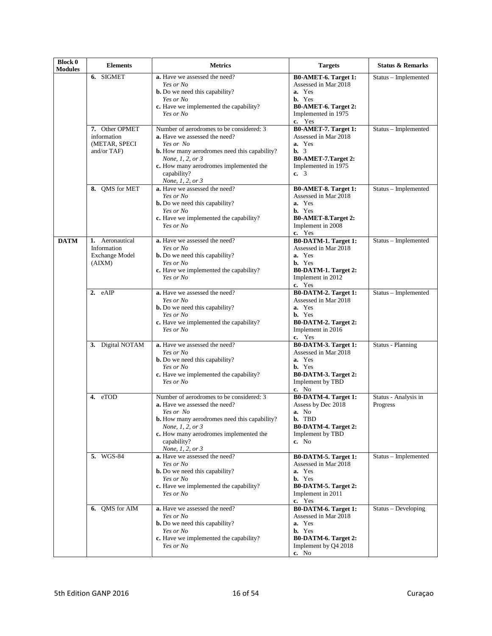| <b>Block 0</b><br><b>Modules</b> | <b>Elements</b>                                                   | <b>Metrics</b>                                                                                                                                                                                                                                        | <b>Targets</b>                                                                                                                          | <b>Status &amp; Remarks</b>      |
|----------------------------------|-------------------------------------------------------------------|-------------------------------------------------------------------------------------------------------------------------------------------------------------------------------------------------------------------------------------------------------|-----------------------------------------------------------------------------------------------------------------------------------------|----------------------------------|
|                                  | 6. SIGMET                                                         | a. Have we assessed the need?<br>Yes or No<br><b>b.</b> Do we need this capability?<br>Yes or No<br>c. Have we implemented the capability?<br>Yes or No                                                                                               | B0-AMET-6. Target 1:<br>Assessed in Mar 2018<br>a. Yes<br>b. Yes<br>B0-AMET-6. Target 2:<br>Implemented in 1975<br>c. Yes               | Status - Implemented             |
|                                  | 7. Other OPMET<br>information<br>(METAR, SPECI<br>and/or TAF)     | Number of aerodromes to be considered: 3<br><b>a.</b> Have we assessed the need?<br>Yes or No<br><b>b.</b> How many aerodromes need this capability?<br>None, 1, 2, or 3<br>c. How many aerodromes implemented the<br>capability?<br>None, 1, 2, or 3 | B0-AMET-7. Target 1:<br>Assessed in Mar 2018<br>a. Yes<br>$\mathbf{b}$ , 3<br>B0-AMET-7.Target 2:<br>Implemented in 1975<br>c. 3        | Status - Implemented             |
|                                  | 8. QMS for MET                                                    | a. Have we assessed the need?<br>Yes or No<br><b>b.</b> Do we need this capability?<br>Yes or No<br>c. Have we implemented the capability?<br>Yes or No                                                                                               | B0-AMET-8. Target 1:<br>Assessed in Mar 2018<br>a. Yes<br><b>b.</b> Yes<br>B0-AMET-8.Target 2:<br>Implement in 2008<br>c. Yes           | Status - Implemented             |
| <b>DATM</b>                      | 1. Aeronautical<br>Information<br><b>Exchange Model</b><br>(AIXM) | a. Have we assessed the need?<br>Yes or No<br><b>b.</b> Do we need this capability?<br>Yes or No<br>c. Have we implemented the capability?<br>Yes or No                                                                                               | B0-DATM-1. Target 1:<br>Assessed in Mar 2018<br>a. Yes<br><b>b.</b> Yes<br><b>B0-DATM-1. Target 2:</b><br>Implement in 2012<br>c. Yes   | $Status - Implemented$           |
|                                  | 2. eAIP                                                           | a. Have we assessed the need?<br>Yes or No<br><b>b.</b> Do we need this capability?<br>Yes or No<br>c. Have we implemented the capability?<br>Yes or No                                                                                               | B0-DATM-2. Target 1:<br>Assessed in Mar 2018<br>a. Yes<br><b>b.</b> Yes<br>B0-DATM-2. Target 2:<br>Implement in 2016<br>c. Yes          | Status - Implemented             |
|                                  | 3. Digital NOTAM                                                  | a. Have we assessed the need?<br>Yes or No<br><b>b.</b> Do we need this capability?<br>Yes or No<br>c. Have we implemented the capability?<br>Yes or No                                                                                               | B0-DATM-3. Target 1:<br>Assessed in Mar 2018<br>a. Yes<br><b>b.</b> Yes<br>B0-DATM-3. Target 2:<br>Implement by TBD<br>c. No            | <b>Status - Planning</b>         |
|                                  | 4. eTOD                                                           | Number of aerodromes to be considered: 3<br><b>a.</b> Have we assessed the need?<br>Yes or No<br><b>b.</b> How many aerodromes need this capability?<br>None, 1, 2, or 3<br>c. How many aerodromes implemented the<br>capability?<br>None, 1, 2, or 3 | <b>B0-DATM-4. Target 1:</b><br>Assess by Dec 2018<br>a. No<br>b. TBD<br><b>B0-DATM-4. Target 2:</b><br>Implement by TBD<br>c. No        | Status - Analysis in<br>Progress |
|                                  | 5. WGS-84                                                         | a. Have we assessed the need?<br>Yes or No<br><b>b.</b> Do we need this capability?<br>Yes or No<br>c. Have we implemented the capability?<br>Yes or No                                                                                               | B0-DATM-5. Target 1:<br>Assessed in Mar 2018<br>a. Yes<br><b>b.</b> Yes<br><b>B0-DATM-5. Target 2:</b><br>Implement in 2011<br>c. Yes   | Status - Implemented             |
|                                  | 6. OMS for AIM                                                    | a. Have we assessed the need?<br>Yes or No<br><b>b.</b> Do we need this capability?<br>Yes or No<br>c. Have we implemented the capability?<br>Yes or No                                                                                               | B0-DATM-6. Target 1:<br>Assessed in Mar 2018<br>a. Yes<br><b>b.</b> Yes<br><b>B0-DATM-6. Target 2:</b><br>Implement by Q4 2018<br>c. No | Status - Developing              |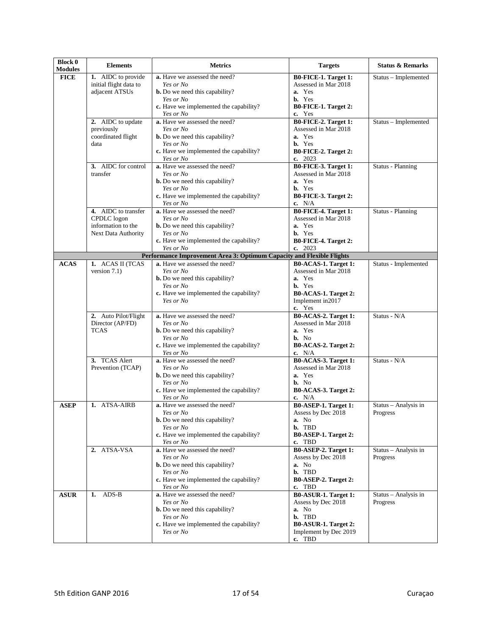| <b>Block 0</b><br><b>Modules</b> | <b>Elements</b>                           | <b>Metrics</b>                                                                                         | <b>Targets</b>                                | <b>Status &amp; Remarks</b>      |
|----------------------------------|-------------------------------------------|--------------------------------------------------------------------------------------------------------|-----------------------------------------------|----------------------------------|
| <b>FICE</b>                      | 1. AIDC to provide                        | a. Have we assessed the need?                                                                          | B0-FICE-1. Target 1:                          | Status - Implemented             |
|                                  | initial flight data to<br>adjacent ATSUs  | Yes or No<br><b>b.</b> Do we need this capability?                                                     | Assessed in Mar 2018<br>a. Yes                |                                  |
|                                  |                                           | Yes or No                                                                                              | <b>b.</b> Yes                                 |                                  |
|                                  |                                           | c. Have we implemented the capability?<br>Yes or No                                                    | B0-FICE-1. Target 2:<br>c. Yes                |                                  |
|                                  | 2. AIDC to update                         | a. Have we assessed the need?                                                                          | B0-FICE-2. Target 1:                          | Status - Implemented             |
|                                  | previously                                | Yes or No                                                                                              | Assessed in Mar 2018                          |                                  |
|                                  | coordinated flight<br>data                | <b>b.</b> Do we need this capability?<br>Yes or No                                                     | a. Yes<br><b>b.</b> Yes                       |                                  |
|                                  |                                           | c. Have we implemented the capability?                                                                 | B0-FICE-2. Target 2:                          |                                  |
|                                  |                                           | <i>Yes or No</i>                                                                                       | c. $2023$                                     |                                  |
|                                  | 3. AIDC for control<br>transfer           | a. Have we assessed the need?<br>Yes or No                                                             | B0-FICE-3. Target 1:<br>Assessed in Mar 2018  | Status - Planning                |
|                                  |                                           | <b>b.</b> Do we need this capability?                                                                  | a. Yes                                        |                                  |
|                                  |                                           | Yes or No                                                                                              | <b>b.</b> Yes                                 |                                  |
|                                  |                                           | c. Have we implemented the capability?<br>Yes or No                                                    | B0-FICE-3. Target 2:<br>c. $N/A$              |                                  |
|                                  | 4. AIDC to transfer                       | a. Have we assessed the need?                                                                          | <b>B0-FICE-4. Target 1:</b>                   | <b>Status</b> - Planning         |
|                                  | CPDLC logon                               | Yes or No                                                                                              | Assessed in Mar 2018<br>a. Yes                |                                  |
|                                  | information to the<br>Next Data Authority | <b>b.</b> Do we need this capability?<br>Yes or No                                                     | b. Yes                                        |                                  |
|                                  |                                           | c. Have we implemented the capability?                                                                 | B0-FICE-4. Target 2:                          |                                  |
|                                  |                                           | Yes or No                                                                                              | c. $2023$                                     |                                  |
| <b>ACAS</b>                      | 1. ACAS II (TCAS                          | Performance Improvement Area 3: Optimum Capacity and Flexible Flights<br>a. Have we assessed the need? | B0-ACAS-1. Target 1:                          | Status - Implemented             |
|                                  | version $7.1$ )                           | Yes or No                                                                                              | Assessed in Mar 2018                          |                                  |
|                                  |                                           | <b>b.</b> Do we need this capability?                                                                  | a. Yes                                        |                                  |
|                                  |                                           | Yes or No<br>c. Have we implemented the capability?                                                    | <b>b.</b> Yes<br>B0-ACAS-1. Target 2:         |                                  |
|                                  |                                           | Yes or No                                                                                              | Implement in 2017                             |                                  |
|                                  |                                           |                                                                                                        | c. Yes                                        |                                  |
|                                  | 2. Auto Pilot/Flight<br>Director (AP/FD)  | a. Have we assessed the need?<br>Yes or No                                                             | B0-ACAS-2. Target 1:<br>Assessed in Mar 2018  | Status - N/A                     |
|                                  | <b>TCAS</b>                               | <b>b.</b> Do we need this capability?                                                                  | a. Yes                                        |                                  |
|                                  |                                           | Yes or No                                                                                              | $b. No$                                       |                                  |
|                                  |                                           | c. Have we implemented the capability?<br>Yes or No                                                    | B0-ACAS-2. Target 2:<br>c. $N/A$              |                                  |
|                                  | 3. TCAS Alert                             | a. Have we assessed the need?                                                                          | B0-ACAS-3. Target 1:                          | Status - N/A                     |
|                                  | Prevention (TCAP)                         | Yes or No                                                                                              | Assessed in Mar 2018                          |                                  |
|                                  |                                           | <b>b.</b> Do we need this capability?<br>Yes or No                                                     | a. Yes<br>$b. No$                             |                                  |
|                                  |                                           | c. Have we implemented the capability?                                                                 | B0-ACAS-3. Target 2:                          |                                  |
|                                  |                                           | Yes or No                                                                                              | c. N/A                                        |                                  |
| <b>ASEP</b>                      | 1. ATSA-AIRB                              | a. Have we assessed the need?<br>Yes or No                                                             | B0-ASEP-1. Target 1:<br>Assess by Dec 2018    | Status - Analysis in<br>Progress |
|                                  |                                           | <b>b.</b> Do we need this capability?                                                                  | <b>a.</b> No                                  |                                  |
|                                  |                                           | Yes or No                                                                                              | b. TBD                                        |                                  |
|                                  |                                           | c. Have we implemented the capability?<br>Yes or No                                                    | B0-ASEP-1. Target 2:<br>c. TBD                |                                  |
|                                  | 2. ATSA-VSA                               | a. Have we assessed the need?                                                                          | B0-ASEP-2. Target 1:                          | Status - Analysis in             |
|                                  |                                           | Yes or No                                                                                              | Assess by Dec 2018                            | Progress                         |
|                                  |                                           | <b>b.</b> Do we need this capability?<br>Yes or No                                                     | a. No<br>b. TBD                               |                                  |
|                                  |                                           | c. Have we implemented the capability?                                                                 | B0-ASEP-2. Target 2:                          |                                  |
|                                  |                                           | <i>Yes or No</i>                                                                                       | c. TBD                                        |                                  |
| <b>ASUR</b>                      | $ADS-B$<br>1.                             | a. Have we assessed the need?<br>Yes or No                                                             | B0-ASUR-1. Target 1:<br>Assess by Dec 2018    | Status - Analysis in<br>Progress |
|                                  |                                           | <b>b.</b> Do we need this capability?                                                                  | a. No                                         |                                  |
|                                  |                                           | Yes or No                                                                                              | b. TBD                                        |                                  |
|                                  |                                           | c. Have we implemented the capability?<br>Yes or No                                                    | B0-ASUR-1. Target 2:<br>Implement by Dec 2019 |                                  |
|                                  |                                           |                                                                                                        | c. TBD                                        |                                  |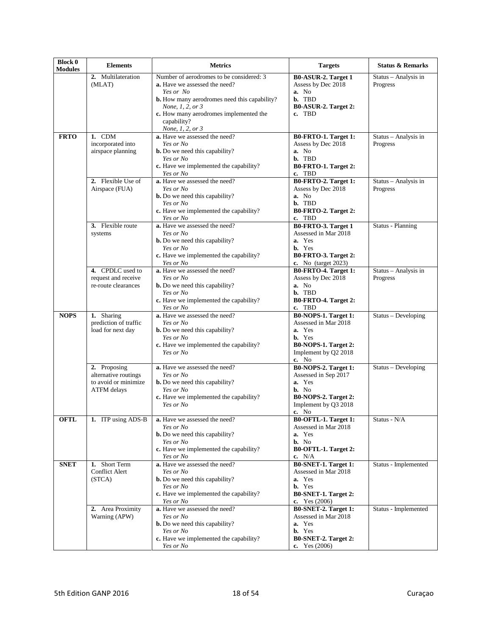| <b>Block 0</b><br><b>Modules</b> | <b>Elements</b>                                                                    | <b>Metrics</b>                                                                                                                                                                                                                                        | <b>Targets</b>                                                                                                                   | <b>Status &amp; Remarks</b>      |
|----------------------------------|------------------------------------------------------------------------------------|-------------------------------------------------------------------------------------------------------------------------------------------------------------------------------------------------------------------------------------------------------|----------------------------------------------------------------------------------------------------------------------------------|----------------------------------|
|                                  | 2. Multilateration<br>(MLAT)                                                       | Number of aerodromes to be considered: 3<br><b>a.</b> Have we assessed the need?<br>Yes or No<br><b>b.</b> How many aerodromes need this capability?<br>None, 1, 2, or 3<br>c. How many aerodromes implemented the<br>capability?<br>None, 1, 2, or 3 | <b>B0-ASUR-2. Target 1</b><br>Assess by Dec 2018<br>a. No<br>b. TBD<br>B0-ASUR-2. Target 2:<br>c. TBD                            | Status - Analysis in<br>Progress |
| <b>FRTO</b>                      | 1. CDM<br>incorporated into<br>airspace planning                                   | a. Have we assessed the need?<br>Yes or No<br><b>b.</b> Do we need this capability?<br>Yes or No<br>c. Have we implemented the capability?<br>Yes or No                                                                                               | B0-FRTO-1. Target 1:<br>Assess by Dec 2018<br>a. No<br>b. TBD<br>B0-FRTO-1. Target 2:<br>c. TBD                                  | Status - Analysis in<br>Progress |
|                                  | 2. Flexible Use of<br>Airspace (FUA)                                               | a. Have we assessed the need?<br>Yes or No<br><b>b.</b> Do we need this capability?<br>Yes or No<br>c. Have we implemented the capability?<br>Yes or No                                                                                               | B0-FRTO-2. Target 1:<br>Assess by Dec 2018<br>a. No<br>b. TBD<br>B0-FRTO-2. Target 2:<br>c. TBD                                  | Status - Analysis in<br>Progress |
|                                  | 3. Flexible route<br>systems                                                       | a. Have we assessed the need?<br>Yes or No<br><b>b.</b> Do we need this capability?<br>Yes or No<br>c. Have we implemented the capability?<br>Yes or No                                                                                               | B0-FRTO-3. Target 1<br>Assessed in Mar 2018<br>a. Yes<br><b>b.</b> Yes<br>B0-FRTO-3. Target 2:<br>c. No (target 2023)            | <b>Status - Planning</b>         |
|                                  | 4. CPDLC used to<br>request and receive<br>re-route clearances                     | a. Have we assessed the need?<br>Yes or No<br><b>b.</b> Do we need this capability?<br>Yes or No<br>c. Have we implemented the capability?<br>Yes or No                                                                                               | B0-FRTO-4. Target 1:<br>Assess by Dec 2018<br>a. No<br>b. TBD<br>B0-FRTO-4. Target 2:<br>c. TBD                                  | Status - Analysis in<br>Progress |
| <b>NOPS</b>                      | 1. Sharing<br>prediction of traffic<br>load for next day                           | a. Have we assessed the need?<br>Yes or No<br><b>b.</b> Do we need this capability?<br>Yes or No<br>c. Have we implemented the capability?<br>Yes or No                                                                                               | B0-NOPS-1. Target 1:<br>Assessed in Mar 2018<br>a. Yes<br><b>b.</b> Yes<br>B0-NOPS-1. Target 2:<br>Implement by Q2 2018<br>c. No | Status - Developing              |
|                                  | 2. Proposing<br>alternative routings<br>to avoid or minimize<br><b>ATFM</b> delays | a. Have we assessed the need?<br>Yes or No<br><b>b.</b> Do we need this capability?<br>Yes or No<br>c. Have we implemented the capability?<br>Yes or No                                                                                               | B0-NOPS-2. Target 1:<br>Assessed in Sep 2017<br>a. Yes<br>b. No<br>B0-NOPS-2. Target 2:<br>Implement by Q3 2018<br>c. No         | Status - Developing              |
| OFTL                             | 1. ITP using ADS-B                                                                 | a. Have we assessed the need?<br>Yes or No<br><b>b.</b> Do we need this capability?<br>Yes or No<br>c. Have we implemented the capability?<br>Yes or No                                                                                               | B0-OFTL-1. Target 1:<br>Assessed in Mar 2018<br>a. Yes<br>b. No<br>B0-OFTL-1. Target 2:<br>c. $N/A$                              | Status - N/A                     |
| <b>SNET</b>                      | 1. Short Term<br><b>Conflict Alert</b><br>(STCA)                                   | a. Have we assessed the need?<br>Yes or No<br><b>b.</b> Do we need this capability?<br>Yes or No<br>c. Have we implemented the capability?<br>Yes or No                                                                                               | <b>B0-SNET-1. Target 1:</b><br>Assessed in Mar 2018<br>a. Yes<br><b>b.</b> Yes<br>B0-SNET-1. Target 2:<br>c. Yes $(2006)$        | Status - Implemented             |
|                                  | 2. Area Proximity<br>Warning (APW)                                                 | a. Have we assessed the need?<br>Yes or No<br><b>b.</b> Do we need this capability?<br>Yes or No<br>c. Have we implemented the capability?<br>Yes or No                                                                                               | <b>B0-SNET-2. Target 1:</b><br>Assessed in Mar 2018<br>a. Yes<br><b>b.</b> Yes<br>B0-SNET-2. Target 2:<br>c. Yes $(2006)$        | Status - Implemented             |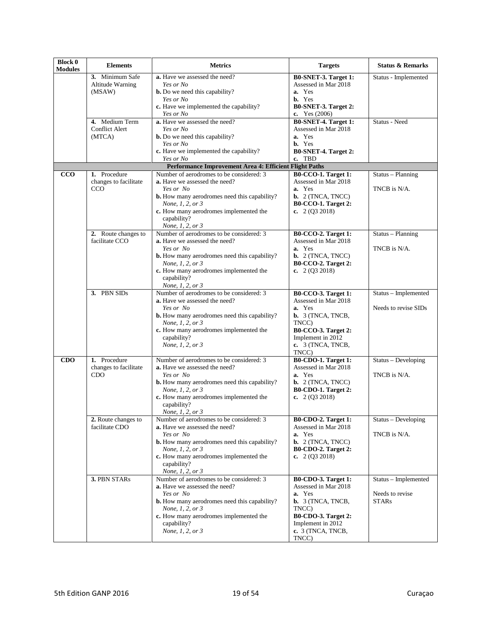| <b>Block 0</b><br><b>Modules</b> | <b>Elements</b>                                     | <b>Metrics</b>                                                                                                                                                                                                                                                            | <b>Targets</b>                                                                                                                                                                       | <b>Status &amp; Remarks</b>                             |
|----------------------------------|-----------------------------------------------------|---------------------------------------------------------------------------------------------------------------------------------------------------------------------------------------------------------------------------------------------------------------------------|--------------------------------------------------------------------------------------------------------------------------------------------------------------------------------------|---------------------------------------------------------|
|                                  | 3. Minimum Safe<br>Altitude Warning<br>(MSAW)       | a. Have we assessed the need?<br>Yes or No<br><b>b.</b> Do we need this capability?                                                                                                                                                                                       | B0-SNET-3. Target 1:<br>Assessed in Mar 2018<br>a. Yes                                                                                                                               | Status - Implemented                                    |
|                                  |                                                     | Yes or No<br>c. Have we implemented the capability?<br>Yes or No                                                                                                                                                                                                          | <b>b.</b> Yes<br>B0-SNET-3. Target 2:<br>c. Yes $(2006)$                                                                                                                             |                                                         |
|                                  | 4. Medium Term<br><b>Conflict Alert</b><br>(MTCA)   | a. Have we assessed the need?<br>Yes or No<br><b>b.</b> Do we need this capability?<br>Yes or No                                                                                                                                                                          | B0-SNET-4. Target 1:<br>Assessed in Mar 2018<br>a. Yes<br><b>b.</b> Yes                                                                                                              | Status - Need                                           |
|                                  |                                                     | c. Have we implemented the capability?<br>Yes or No                                                                                                                                                                                                                       | B0-SNET-4. Target 2:<br>c. TBD                                                                                                                                                       |                                                         |
|                                  |                                                     | Performance Improvement Area 4: Efficient Flight Paths                                                                                                                                                                                                                    |                                                                                                                                                                                      |                                                         |
| CCO                              | 1. Procedure<br>changes to facilitate<br>CCO        | Number of aerodromes to be considered: 3<br>a. Have we assessed the need?<br>Yes or No<br><b>b.</b> How many aerodromes need this capability?<br>None, 1, 2, or 3<br>c. How many aerodromes implemented the<br>capability?                                                | <b>B0-CCO-1. Target 1:</b><br>Assessed in Mar 2018<br>a. Yes<br><b>b.</b> $2$ (TNCA, TNCC)<br><b>B0-CCO-1. Target 2:</b><br>c. $2(Q3 2018)$                                          | Status - Planning<br>TNCB is N/A.                       |
|                                  | 2. Route changes to<br>facilitate CCO               | None, 1, 2, or 3<br>Number of aerodromes to be considered: 3<br><b>a.</b> Have we assessed the need?<br>Yes or No<br><b>b.</b> How many aerodromes need this capability?<br>None, 1, 2, or 3<br>c. How many aerodromes implemented the<br>capability?<br>None, 1, 2, or 3 | <b>B0-CCO-2. Target 1:</b><br>Assessed in Mar 2018<br>a. Yes<br><b>b.</b> $2$ (TNCA, TNCC)<br><b>B0-CCO-2. Target 2:</b><br>c. $2(Q3 2018)$                                          | Status - Planning<br>TNCB is N/A.                       |
|                                  | 3. PBN SIDs                                         | Number of aerodromes to be considered: 3<br>a. Have we assessed the need?<br>Yes or No<br><b>b.</b> How many aerodromes need this capability?<br>None, 1, 2, or 3<br>c. How many aerodromes implemented the<br>capability?<br>None, 1, 2, or 3                            | <b>B0-CCO-3. Target 1:</b><br>Assessed in Mar 2018<br>a. Yes<br><b>b.</b> 3 (TNCA, TNCB,<br>TNCC)<br><b>B0-CCO-3. Target 2:</b><br>Implement in 2012<br>$c. 3$ (TNCA, TNCB,<br>TNCC) | Status - Implemented<br>Needs to revise SIDs            |
| CDO                              | 1. Procedure<br>changes to facilitate<br><b>CDO</b> | Number of aerodromes to be considered: 3<br>a. Have we assessed the need?<br>Yes or No<br><b>b.</b> How many aerodromes need this capability?<br>None, 1, 2, or 3<br>c. How many aerodromes implemented the<br>capability?<br>None, 1, 2, or 3                            | <b>B0-CDO-1. Target 1:</b><br>Assessed in Mar 2018<br>a. Yes<br>$b. 2$ (TNCA, TNCC)<br><b>B0-CDO-1. Target 2:</b><br>c. $2(Q3 2018)$                                                 | Status - Developing<br>TNCB is N/A.                     |
|                                  | 2. Route changes to<br>facilitate CDO               | Number of aerodromes to be considered: 3<br><b>a.</b> Have we assessed the need?<br>Yes or No<br><b>b.</b> How many aerodromes need this capability?<br>None, 1, 2, or 3<br>c. How many aerodromes implemented the<br>capability?<br>None, 1, 2, or 3                     | $B0$ -CDO-2. Target 1:<br>Assessed in Mar 2018<br>a. Yes<br><b>b.</b> 2 (TNCA, TNCC)<br><b>B0-CDO-2. Target 2:</b><br>c. $2(Q3 2018)$                                                | Status – Developing<br>TNCB is N/A.                     |
|                                  | 3. PBN STARs                                        | Number of aerodromes to be considered: 3<br>a. Have we assessed the need?<br>Yes or No<br><b>b.</b> How many aerodromes need this capability?<br>None, 1, 2, or 3<br>c. How many aerodromes implemented the<br>capability?<br>None, 1, 2, or 3                            | <b>B0-CDO-3. Target 1:</b><br>Assessed in Mar 2018<br>a. Yes<br><b>b.</b> 3 (TNCA, TNCB,<br>TNCC)<br><b>B0-CDO-3. Target 2:</b><br>Implement in 2012<br>c. 3 (TNCA, TNCB,<br>TNCC)   | Status - Implemented<br>Needs to revise<br><b>STARs</b> |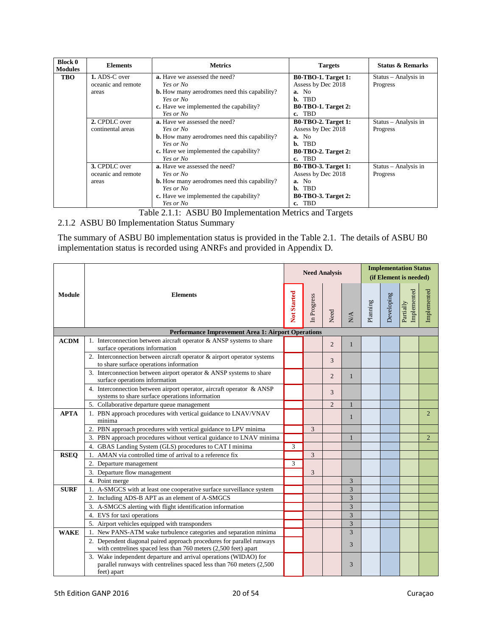| <b>Block 0</b><br><b>Modules</b> | <b>Elements</b>    | <b>Metrics</b>                                      | <b>Targets</b>             | <b>Status &amp; Remarks</b> |
|----------------------------------|--------------------|-----------------------------------------------------|----------------------------|-----------------------------|
| <b>TBO</b>                       | 1. ADS-C over      | <b>a.</b> Have we assessed the need?                | <b>B0-TBO-1. Target 1:</b> | Status – Analysis in        |
|                                  | oceanic and remote | Yes or No                                           | Assess by Dec 2018         | Progress                    |
|                                  | areas              | <b>b.</b> How many aerodromes need this capability? | a. No                      |                             |
|                                  |                    | Yes or No                                           | <b>TBD</b><br>b.           |                             |
|                                  |                    | c. Have we implemented the capability?              | <b>B0-TBO-1. Target 2:</b> |                             |
|                                  |                    | Yes or No                                           | c. TBD                     |                             |
|                                  | 2. CPDLC over      | <b>a.</b> Have we assessed the need?                | <b>B0-TBO-2. Target 1:</b> | Status – Analysis in        |
|                                  | continental areas  | Yes or No                                           | Assess by Dec 2018         | Progress                    |
|                                  |                    | <b>b.</b> How many aerodromes need this capability? | a. No                      |                             |
|                                  |                    | Yes or No                                           | b. TBD                     |                             |
|                                  |                    | c. Have we implemented the capability?              | <b>B0-TBO-2. Target 2:</b> |                             |
|                                  |                    | Yes or No                                           | c. TBD                     |                             |
|                                  | 3. CPDLC over      | <b>a.</b> Have we assessed the need?                | <b>B0-TBO-3. Target 1:</b> | Status - Analysis in        |
|                                  | oceanic and remote | Yes or No                                           | Assess by Dec 2018         | Progress                    |
|                                  | areas              | <b>b.</b> How many aerodromes need this capability? | a. No                      |                             |
|                                  |                    | Yes or No                                           | b. TBD                     |                             |
|                                  |                    | c. Have we implemented the capability?              | <b>B0-TBO-3. Target 2:</b> |                             |
|                                  |                    | Yes or No                                           | c. TBD                     |                             |

Table 2.1.1: ASBU B0 Implementation Metrics and Targets

<span id="page-19-0"></span>2.1.2 ASBU B0 Implementation Status Summary

The summary of ASBU B0 implementation status is provided in the Table 2.1. The details of ASBU B0 implementation status is recorded using ANRFs and provided in Appendix D.

|               |                                                                                                                                                          |             |             | <b>Need Analysis</b> |                          | <b>Implementation Status</b><br>(if Element is needed) |            |                          |                |
|---------------|----------------------------------------------------------------------------------------------------------------------------------------------------------|-------------|-------------|----------------------|--------------------------|--------------------------------------------------------|------------|--------------------------|----------------|
| <b>Module</b> | <b>Elements</b>                                                                                                                                          | Not Started | In Progress | Need                 | $\mathop{\rm NA}\limits$ | Planning                                               | Developing | Implemented<br>Partially | Implemented    |
|               | <b>Performance Improvement Area 1: Airport Operations</b>                                                                                                |             |             |                      |                          |                                                        |            |                          |                |
| <b>ACDM</b>   | 1. Interconnection between aircraft operator & ANSP systems to share<br>surface operations information                                                   |             |             | $\overline{2}$       | $\mathbf{1}$             |                                                        |            |                          |                |
|               | 2. Interconnection between aircraft operator $\&$ airport operator systems<br>to share surface operations information                                    |             |             | 3                    |                          |                                                        |            |                          |                |
|               | 3. Interconnection between airport operator $&$ ANSP systems to share<br>surface operations information                                                  |             |             | $\overline{2}$       | 1                        |                                                        |            |                          |                |
|               | 4. Interconnection between airport operator, aircraft operator & ANSP<br>systems to share surface operations information                                 |             |             | 3                    |                          |                                                        |            |                          |                |
|               | 5. Collaborative departure queue management                                                                                                              |             |             | $\overline{2}$       | 1                        |                                                        |            |                          |                |
| <b>APTA</b>   | 1. PBN approach procedures with vertical guidance to LNAV/VNAV<br>minima                                                                                 |             |             |                      | 1                        |                                                        |            |                          | $\overline{2}$ |
|               | 2. PBN approach procedures with vertical guidance to LPV minima                                                                                          |             | 3           |                      |                          |                                                        |            |                          |                |
|               | 3. PBN approach procedures without vertical guidance to LNAV minima                                                                                      |             |             |                      | 1                        |                                                        |            |                          | $\overline{2}$ |
|               | GBAS Landing System (GLS) procedures to CAT I minima<br>4.                                                                                               | 3           |             |                      |                          |                                                        |            |                          |                |
| <b>RSEO</b>   | AMAN via controlled time of arrival to a reference fix                                                                                                   |             | 3           |                      |                          |                                                        |            |                          |                |
|               | 2. Departure management                                                                                                                                  | 3           |             |                      |                          |                                                        |            |                          |                |
|               | 3. Departure flow management                                                                                                                             |             | 3           |                      |                          |                                                        |            |                          |                |
|               | 4. Point merge                                                                                                                                           |             |             |                      | 3                        |                                                        |            |                          |                |
| <b>SURF</b>   | 1. A-SMGCS with at least one cooperative surface surveillance system                                                                                     |             |             |                      | 3                        |                                                        |            |                          |                |
|               | 2. Including ADS-B APT as an element of A-SMGCS                                                                                                          |             |             |                      | 3                        |                                                        |            |                          |                |
|               | 3. A-SMGCS alerting with flight identification information                                                                                               |             |             |                      | 3                        |                                                        |            |                          |                |
|               | 4. EVS for taxi operations                                                                                                                               |             |             |                      | 3                        |                                                        |            |                          |                |
|               | 5. Airport vehicles equipped with transponders                                                                                                           |             |             |                      | 3                        |                                                        |            |                          |                |
| <b>WAKE</b>   | New PANS-ATM wake turbulence categories and separation minima<br>$1_{-}$                                                                                 |             |             |                      | 3                        |                                                        |            |                          |                |
|               | 2. Dependent diagonal paired approach procedures for parallel runways<br>with centrelines spaced less than 760 meters (2,500 feet) apart                 |             |             |                      | 3                        |                                                        |            |                          |                |
|               | 3. Wake independent departure and arrival operations (WIDAO) for<br>parallel runways with centrelines spaced less than 760 meters (2,500)<br>feet) apart |             |             |                      | 3                        |                                                        |            |                          |                |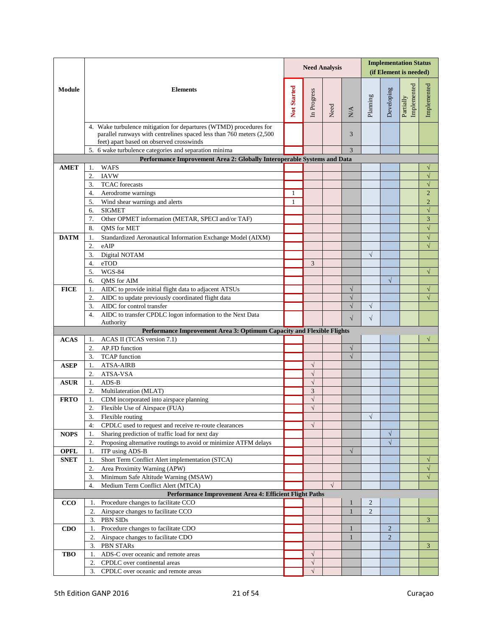|             |                                                                                                                                                                                        |             | <b>Need Analysis</b> |            |                            |            | <b>Implementation Status</b><br>(if Element is needed) |                          |                                  |  |
|-------------|----------------------------------------------------------------------------------------------------------------------------------------------------------------------------------------|-------------|----------------------|------------|----------------------------|------------|--------------------------------------------------------|--------------------------|----------------------------------|--|
| Module      | <b>Elements</b>                                                                                                                                                                        | Not Started | In Progress          | Need       | $\mathop{\rm NA}\nolimits$ | Planning   | Developing                                             | Implemented<br>Partially | Implemented                      |  |
|             | 4. Wake turbulence mitigation for departures (WTMD) procedures for<br>parallel runways with centrelines spaced less than 760 meters (2,500<br>feet) apart based on observed crosswinds |             |                      |            | 3                          |            |                                                        |                          |                                  |  |
|             | 5. 6 wake turbulence categories and separation minima                                                                                                                                  |             |                      |            | 3                          |            |                                                        |                          |                                  |  |
|             | Performance Improvement Area 2: Globally Interoperable Systems and Data                                                                                                                |             |                      |            |                            |            |                                                        |                          |                                  |  |
| <b>AMET</b> | <b>WAFS</b><br>1.                                                                                                                                                                      |             |                      |            |                            |            |                                                        |                          |                                  |  |
|             | <b>IAVW</b><br>$\overline{2}$ .                                                                                                                                                        |             |                      |            |                            |            |                                                        |                          | $\sqrt{}$                        |  |
|             | <b>TCAC</b> forecasts<br>3.                                                                                                                                                            |             |                      |            |                            |            |                                                        |                          | $\sqrt{}$                        |  |
|             | Aerodrome warnings<br>4.                                                                                                                                                               | 1           |                      |            |                            |            |                                                        |                          | $\overline{2}$<br>$\overline{2}$ |  |
|             | Wind shear warnings and alerts<br>5.<br><b>SIGMET</b>                                                                                                                                  | 1           |                      |            |                            |            |                                                        |                          | $\sqrt{}$                        |  |
|             | 6.<br>Other OPMET information (METAR, SPECI and/or TAF)<br>7.                                                                                                                          |             |                      |            |                            |            |                                                        |                          | $\overline{3}$                   |  |
|             | <b>OMS</b> for MET<br>8.                                                                                                                                                               |             |                      |            |                            |            |                                                        |                          | $\sqrt{}$                        |  |
| <b>DATM</b> | Standardized Aeronautical Information Exchange Model (AIXM)<br>1.                                                                                                                      |             |                      |            |                            |            |                                                        |                          | $\sqrt{}$                        |  |
|             | eAIP<br>2.                                                                                                                                                                             |             |                      |            |                            |            |                                                        |                          | $\sqrt{}$                        |  |
|             | Digital NOTAM<br>3.                                                                                                                                                                    |             |                      |            |                            | $\sqrt{ }$ |                                                        |                          |                                  |  |
|             | eTOD<br>4.                                                                                                                                                                             |             | 3                    |            |                            |            |                                                        |                          |                                  |  |
|             | <b>WGS-84</b><br>5.                                                                                                                                                                    |             |                      |            |                            |            |                                                        |                          | $\sqrt{}$                        |  |
|             | QMS for AIM<br>6.                                                                                                                                                                      |             |                      |            |                            |            | $\sqrt{}$                                              |                          |                                  |  |
| <b>FICE</b> | AIDC to provide initial flight data to adjacent ATSUs<br>1.                                                                                                                            |             |                      |            | $\sqrt{}$                  |            |                                                        |                          | $\sqrt{}$                        |  |
|             | AIDC to update previously coordinated flight data<br>2.                                                                                                                                |             |                      |            | $\sqrt{}$                  |            |                                                        |                          |                                  |  |
|             | 3.<br>AIDC for control transfer                                                                                                                                                        |             |                      |            | $\sqrt{}$                  | $\sqrt{ }$ |                                                        |                          |                                  |  |
|             | AIDC to transfer CPDLC logon information to the Next Data<br>4.                                                                                                                        |             |                      |            | $\sqrt{}$                  | $\sqrt{}$  |                                                        |                          |                                  |  |
|             | Authority                                                                                                                                                                              |             |                      |            |                            |            |                                                        |                          |                                  |  |
|             | Performance Improvement Area 3: Optimum Capacity and Flexible Flights                                                                                                                  |             |                      |            |                            |            |                                                        |                          |                                  |  |
| <b>ACAS</b> | ACAS II (TCAS version 7.1)<br>1.                                                                                                                                                       |             |                      |            |                            |            |                                                        |                          | $\sqrt{}$                        |  |
|             | AP.FD function<br>$\overline{2}$                                                                                                                                                       |             |                      |            | $\sqrt{}$<br>$\sqrt{}$     |            |                                                        |                          |                                  |  |
| <b>ASEP</b> | <b>TCAP</b> function<br>3.<br><b>ATSA-AIRB</b><br>1.                                                                                                                                   |             | $\sqrt{}$            |            |                            |            |                                                        |                          |                                  |  |
|             | ATSA-VSA<br>2.                                                                                                                                                                         |             | $\sqrt{}$            |            |                            |            |                                                        |                          |                                  |  |
| <b>ASUR</b> | $ADS-B$<br>1.                                                                                                                                                                          |             | $\sqrt{}$            |            |                            |            |                                                        |                          |                                  |  |
|             | Multilateration (MLAT)<br>2.                                                                                                                                                           |             | 3                    |            |                            |            |                                                        |                          |                                  |  |
| <b>FRTO</b> | CDM incorporated into airspace planning<br>1.                                                                                                                                          |             | $\sqrt{}$            |            |                            |            |                                                        |                          |                                  |  |
|             | Flexible Use of Airspace (FUA)<br>2.                                                                                                                                                   |             | $\sqrt{ }$           |            |                            |            |                                                        |                          |                                  |  |
|             | 3.<br>Flexible routing                                                                                                                                                                 |             |                      |            |                            | $\sqrt{ }$ |                                                        |                          |                                  |  |
|             | 4:<br>CPDLC used to request and receive re-route clearances                                                                                                                            |             | $\sqrt{}$            |            |                            |            |                                                        |                          |                                  |  |
| <b>NOPS</b> | Sharing prediction of traffic load for next day<br>1.                                                                                                                                  |             |                      |            |                            |            | $\sqrt{}$                                              |                          |                                  |  |
|             | Proposing alternative routings to avoid or minimize ATFM delays<br>2.                                                                                                                  |             |                      |            |                            |            | $\sqrt{}$                                              |                          |                                  |  |
| <b>OPFL</b> | ITP using ADS-B<br>1.                                                                                                                                                                  |             |                      |            | $\sqrt{}$                  |            |                                                        |                          |                                  |  |
| <b>SNET</b> | Short Term Conflict Alert implementation (STCA)<br>1.                                                                                                                                  |             |                      |            |                            |            |                                                        |                          | √                                |  |
|             | 2.<br>Area Proximity Warning (APW)                                                                                                                                                     |             |                      |            |                            |            |                                                        |                          | √                                |  |
|             | Minimum Safe Altitude Warning (MSAW)<br>3.                                                                                                                                             |             |                      |            |                            |            |                                                        |                          | $\sqrt{ }$                       |  |
|             | Medium Term Conflict Alert (MTCA)<br>4.                                                                                                                                                |             |                      | $\sqrt{ }$ |                            |            |                                                        |                          |                                  |  |
| CCO         | Performance Improvement Area 4: Efficient Flight Paths                                                                                                                                 |             |                      |            |                            |            |                                                        |                          |                                  |  |
|             | Procedure changes to facilitate CCO<br>1.<br>Airspace changes to facilitate CCO<br>2.                                                                                                  |             |                      |            | $\mathbf{1}$               | 2<br>2     |                                                        |                          |                                  |  |
|             | PBN SIDs<br>3.                                                                                                                                                                         |             |                      |            |                            |            |                                                        |                          | 3 <sup>1</sup>                   |  |
| CDO         | Procedure changes to facilitate CDO                                                                                                                                                    |             |                      |            |                            |            | $\overline{2}$                                         |                          |                                  |  |
|             | 2.<br>Airspace changes to facilitate CDO                                                                                                                                               |             |                      |            | $\mathbf{1}$               |            | $\overline{2}$                                         |                          |                                  |  |
|             | 3.<br>PBN STARs                                                                                                                                                                        |             |                      |            |                            |            |                                                        |                          | $\mathbf{3}$                     |  |
| <b>TBO</b>  | ADS-C over oceanic and remote areas<br>1.                                                                                                                                              |             | $\sqrt{}$            |            |                            |            |                                                        |                          |                                  |  |
|             | CPDLC over continental areas<br>2.                                                                                                                                                     |             | $\sqrt{}$            |            |                            |            |                                                        |                          |                                  |  |
|             | CPDLC over oceanic and remote areas<br>3.                                                                                                                                              |             | $\sqrt{}$            |            |                            |            |                                                        |                          |                                  |  |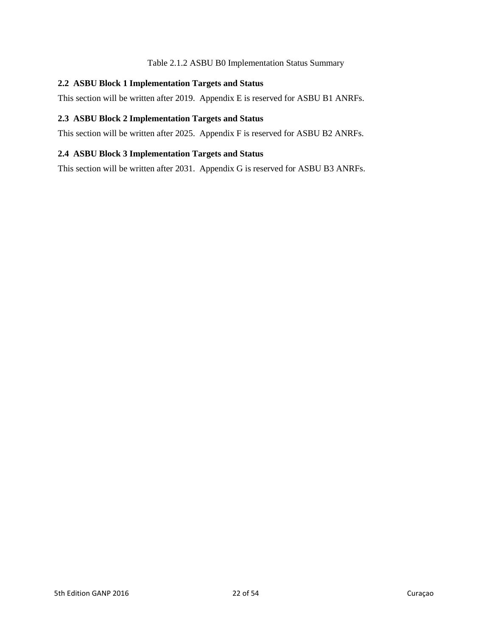#### Table 2.1.2 ASBU B0 Implementation Status Summary

#### <span id="page-21-0"></span>**2.2 ASBU Block 1 Implementation Targets and Status**

This section will be written after 2019. Appendix E is reserved for ASBU B1 ANRFs.

#### <span id="page-21-1"></span>**2.3 ASBU Block 2 Implementation Targets and Status**

This section will be written after 2025. Appendix F is reserved for ASBU B2 ANRFs.

#### <span id="page-21-2"></span>**2.4 ASBU Block 3 Implementation Targets and Status**

This section will be written after 2031. Appendix G is reserved for ASBU B3 ANRFs.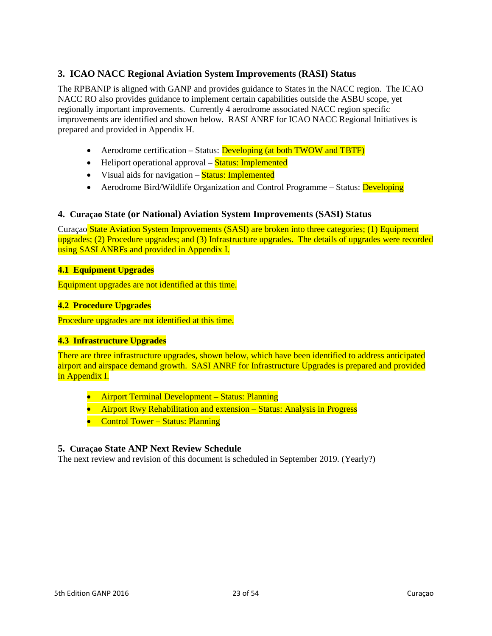## <span id="page-22-0"></span>**3. ICAO NACC Regional Aviation System Improvements (RASI) Status**

The RPBANIP is aligned with GANP and provides guidance to States in the NACC region. The ICAO NACC RO also provides guidance to implement certain capabilities outside the ASBU scope, yet regionally important improvements. Currently 4 aerodrome associated NACC region specific improvements are identified and shown below. RASI ANRF for ICAO NACC Regional Initiatives is prepared and provided in Appendix H.

- Aerodrome certification Status: Developing (at both TWOW and TBTF)
- Heliport operational approval **Status: Implemented**
- Visual aids for navigation Status: Implemented
- Aerodrome Bird/Wildlife Organization and Control Programme Status: Developing

#### <span id="page-22-1"></span>**4. Curaçao State (or National) Aviation System Improvements (SASI) Status**

Curaçao State Aviation System Improvements (SASI) are broken into three categories; (1) Equipment upgrades; (2) Procedure upgrades; and (3) Infrastructure upgrades. The details of upgrades were recorded using SASI ANRFs and provided in Appendix I.

#### <span id="page-22-2"></span>**4.1 Equipment Upgrades**

Equipment upgrades are not identified at this time.

#### <span id="page-22-3"></span>**4.2 Procedure Upgrades**

Procedure upgrades are not identified at this time.

#### <span id="page-22-4"></span>**4.3 Infrastructure Upgrades**

There are three infrastructure upgrades, shown below, which have been identified to address anticipated airport and airspace demand growth. SASI ANRF for Infrastructure Upgrades is prepared and provided in Appendix I.

- Airport Terminal Development Status: Planning
- Airport Rwy Rehabilitation and extension Status: Analysis in Progress
- Control Tower Status: Planning

#### <span id="page-22-5"></span>**5. Curaçao State ANP Next Review Schedule**

The next review and revision of this document is scheduled in September 2019. (Yearly?)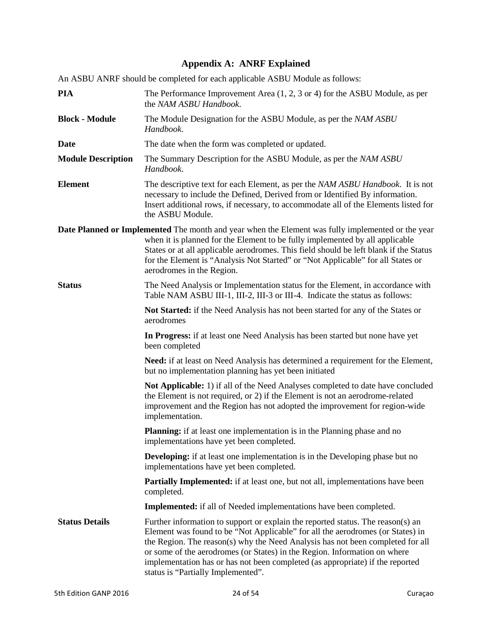## **Appendix A: ANRF Explained**

<span id="page-23-0"></span>

| An ASBU ANRF should be completed for each applicable ASBU Module as follows: |                                                                                                                                                                                                                                                                                                                                                                                                                                                         |  |  |  |  |
|------------------------------------------------------------------------------|---------------------------------------------------------------------------------------------------------------------------------------------------------------------------------------------------------------------------------------------------------------------------------------------------------------------------------------------------------------------------------------------------------------------------------------------------------|--|--|--|--|
| <b>PIA</b>                                                                   | The Performance Improvement Area $(1, 2, 3 \text{ or } 4)$ for the ASBU Module, as per<br>the NAM ASBU Handbook.                                                                                                                                                                                                                                                                                                                                        |  |  |  |  |
| <b>Block - Module</b>                                                        | The Module Designation for the ASBU Module, as per the NAM ASBU<br>Handbook.                                                                                                                                                                                                                                                                                                                                                                            |  |  |  |  |
| Date                                                                         | The date when the form was completed or updated.                                                                                                                                                                                                                                                                                                                                                                                                        |  |  |  |  |
| <b>Module Description</b>                                                    | The Summary Description for the ASBU Module, as per the NAM ASBU<br>Handbook.                                                                                                                                                                                                                                                                                                                                                                           |  |  |  |  |
| <b>Element</b>                                                               | The descriptive text for each Element, as per the NAM ASBU Handbook. It is not<br>necessary to include the Defined, Derived from or Identified By information.<br>Insert additional rows, if necessary, to accommodate all of the Elements listed for<br>the ASBU Module.                                                                                                                                                                               |  |  |  |  |
|                                                                              | <b>Date Planned or Implemented</b> The month and year when the Element was fully implemented or the year<br>when it is planned for the Element to be fully implemented by all applicable<br>States or at all applicable aerodromes. This field should be left blank if the Status<br>for the Element is "Analysis Not Started" or "Not Applicable" for all States or<br>aerodromes in the Region.                                                       |  |  |  |  |
| <b>Status</b>                                                                | The Need Analysis or Implementation status for the Element, in accordance with<br>Table NAM ASBU III-1, III-2, III-3 or III-4. Indicate the status as follows:                                                                                                                                                                                                                                                                                          |  |  |  |  |
|                                                                              | Not Started: if the Need Analysis has not been started for any of the States or<br>aerodromes                                                                                                                                                                                                                                                                                                                                                           |  |  |  |  |
|                                                                              | In Progress: if at least one Need Analysis has been started but none have yet<br>been completed                                                                                                                                                                                                                                                                                                                                                         |  |  |  |  |
|                                                                              | Need: if at least on Need Analysis has determined a requirement for the Element,<br>but no implementation planning has yet been initiated                                                                                                                                                                                                                                                                                                               |  |  |  |  |
|                                                                              | Not Applicable: 1) if all of the Need Analyses completed to date have concluded<br>the Element is not required, or 2) if the Element is not an aerodrome-related<br>improvement and the Region has not adopted the improvement for region-wide<br>implementation.                                                                                                                                                                                       |  |  |  |  |
|                                                                              | <b>Planning:</b> if at least one implementation is in the Planning phase and no<br>implementations have yet been completed.                                                                                                                                                                                                                                                                                                                             |  |  |  |  |
|                                                                              | <b>Developing:</b> if at least one implementation is in the Developing phase but no<br>implementations have yet been completed.                                                                                                                                                                                                                                                                                                                         |  |  |  |  |
|                                                                              | <b>Partially Implemented:</b> if at least one, but not all, implementations have been<br>completed.                                                                                                                                                                                                                                                                                                                                                     |  |  |  |  |
|                                                                              | <b>Implemented:</b> if all of Needed implementations have been completed.                                                                                                                                                                                                                                                                                                                                                                               |  |  |  |  |
| <b>Status Details</b>                                                        | Further information to support or explain the reported status. The reason(s) an<br>Element was found to be "Not Applicable" for all the aerodromes (or States) in<br>the Region. The reason(s) why the Need Analysis has not been completed for all<br>or some of the aerodromes (or States) in the Region. Information on where<br>implementation has or has not been completed (as appropriate) if the reported<br>status is "Partially Implemented". |  |  |  |  |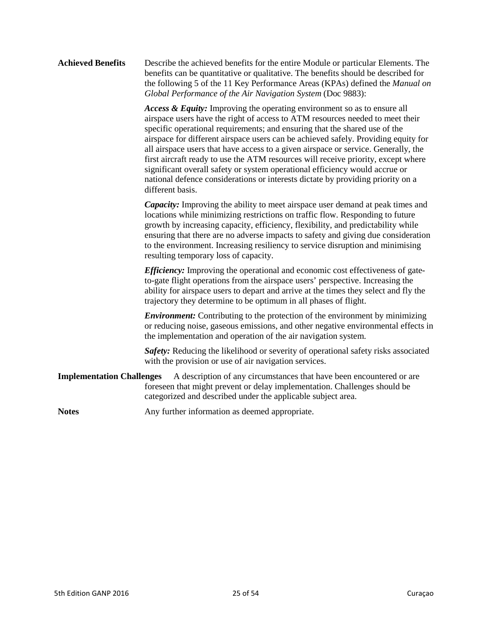#### **Achieved Benefits** Describe the achieved benefits for the entire Module or particular Elements. The benefits can be quantitative or qualitative. The benefits should be described for the following 5 of the 11 Key Performance Areas (KPAs) defined the *Manual on Global Performance of the Air Navigation System* (Doc 9883):

*Access & Equity:* Improving the operating environment so as to ensure all airspace users have the right of access to ATM resources needed to meet their specific operational requirements; and ensuring that the shared use of the airspace for different airspace users can be achieved safely. Providing equity for all airspace users that have access to a given airspace or service. Generally, the first aircraft ready to use the ATM resources will receive priority, except where significant overall safety or system operational efficiency would accrue or national defence considerations or interests dictate by providing priority on a different basis.

*Capacity:* Improving the ability to meet airspace user demand at peak times and locations while minimizing restrictions on traffic flow. Responding to future growth by increasing capacity, efficiency, flexibility, and predictability while ensuring that there are no adverse impacts to safety and giving due consideration to the environment. Increasing resiliency to service disruption and minimising resulting temporary loss of capacity.

*Efficiency:* Improving the operational and economic cost effectiveness of gateto-gate flight operations from the airspace users' perspective. Increasing the ability for airspace users to depart and arrive at the times they select and fly the trajectory they determine to be optimum in all phases of flight.

*Environment:* Contributing to the protection of the environment by minimizing or reducing noise, gaseous emissions, and other negative environmental effects in the implementation and operation of the air navigation system.

*Safety:* Reducing the likelihood or severity of operational safety risks associated with the provision or use of air navigation services.

**Implementation Challenges** A description of any circumstances that have been encountered or are foreseen that might prevent or delay implementation. Challenges should be categorized and described under the applicable subject area.

Notes **Any** further information as deemed appropriate.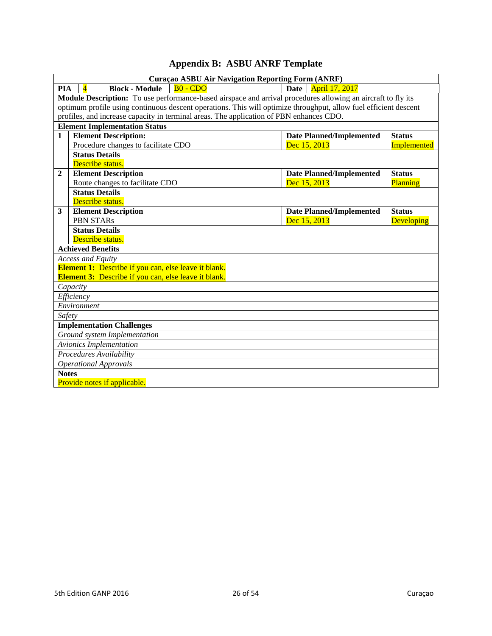|  | <b>Appendix B: ASBU ANRF Template</b> |  |
|--|---------------------------------------|--|
|--|---------------------------------------|--|

<span id="page-25-0"></span>

|                                  | Curaçao ASBU Air Navigation Reporting Form (ANRF)                                                                |                                                              |                                                                                         |  |                                 |                    |  |  |
|----------------------------------|------------------------------------------------------------------------------------------------------------------|--------------------------------------------------------------|-----------------------------------------------------------------------------------------|--|---------------------------------|--------------------|--|--|
|                                  | $B0 - CDO$<br>Date<br>April 17, 2017<br>PIA<br><b>Block - Module</b>                                             |                                                              |                                                                                         |  |                                 |                    |  |  |
|                                  | Module Description: To use performance-based airspace and arrival procedures allowing an aircraft to fly its     |                                                              |                                                                                         |  |                                 |                    |  |  |
|                                  | optimum profile using continuous descent operations. This will optimize throughput, allow fuel efficient descent |                                                              |                                                                                         |  |                                 |                    |  |  |
|                                  |                                                                                                                  |                                                              | profiles, and increase capacity in terminal areas. The application of PBN enhances CDO. |  |                                 |                    |  |  |
|                                  |                                                                                                                  | <b>Element Implementation Status</b>                         |                                                                                         |  |                                 |                    |  |  |
| $\mathbf{1}$                     |                                                                                                                  | <b>Element Description:</b>                                  |                                                                                         |  | <b>Date Planned/Implemented</b> | <b>Status</b>      |  |  |
|                                  |                                                                                                                  | Procedure changes to facilitate CDO                          |                                                                                         |  | Dec 15, 2013                    | <b>Implemented</b> |  |  |
|                                  | <b>Status Details</b>                                                                                            |                                                              |                                                                                         |  |                                 |                    |  |  |
|                                  | Describe status.                                                                                                 |                                                              |                                                                                         |  |                                 |                    |  |  |
| $\mathbf{2}$                     |                                                                                                                  | <b>Element Description</b>                                   |                                                                                         |  | <b>Date Planned/Implemented</b> | <b>Status</b>      |  |  |
|                                  |                                                                                                                  | Route changes to facilitate CDO                              |                                                                                         |  | Dec 15, 2013                    | Planning           |  |  |
|                                  | <b>Status Details</b>                                                                                            |                                                              |                                                                                         |  |                                 |                    |  |  |
|                                  | Describe status.                                                                                                 |                                                              |                                                                                         |  |                                 |                    |  |  |
| 3                                |                                                                                                                  | <b>Element Description</b>                                   |                                                                                         |  | <b>Date Planned/Implemented</b> | <b>Status</b>      |  |  |
|                                  | <b>PBN STARs</b>                                                                                                 |                                                              |                                                                                         |  | Dec 15, 2013                    | <b>Developing</b>  |  |  |
|                                  | <b>Status Details</b>                                                                                            |                                                              |                                                                                         |  |                                 |                    |  |  |
|                                  | Describe status.                                                                                                 |                                                              |                                                                                         |  |                                 |                    |  |  |
|                                  | <b>Achieved Benefits</b>                                                                                         |                                                              |                                                                                         |  |                                 |                    |  |  |
|                                  | Access and Equity                                                                                                |                                                              |                                                                                         |  |                                 |                    |  |  |
|                                  |                                                                                                                  | <b>Element 1:</b> Describe if you can, else leave it blank.  |                                                                                         |  |                                 |                    |  |  |
|                                  |                                                                                                                  | <b>Element 3:</b> Describe if you can, else leave it blank.  |                                                                                         |  |                                 |                    |  |  |
|                                  | Capacity                                                                                                         |                                                              |                                                                                         |  |                                 |                    |  |  |
|                                  |                                                                                                                  |                                                              |                                                                                         |  |                                 |                    |  |  |
|                                  |                                                                                                                  |                                                              |                                                                                         |  |                                 |                    |  |  |
|                                  | Safety                                                                                                           |                                                              |                                                                                         |  |                                 |                    |  |  |
| <b>Implementation Challenges</b> |                                                                                                                  |                                                              |                                                                                         |  |                                 |                    |  |  |
|                                  |                                                                                                                  |                                                              |                                                                                         |  |                                 |                    |  |  |
|                                  | <b>Avionics Implementation</b><br>Procedures Availability                                                        |                                                              |                                                                                         |  |                                 |                    |  |  |
|                                  |                                                                                                                  |                                                              |                                                                                         |  |                                 |                    |  |  |
|                                  |                                                                                                                  |                                                              |                                                                                         |  |                                 |                    |  |  |
|                                  |                                                                                                                  |                                                              |                                                                                         |  |                                 |                    |  |  |
| <b>Notes</b>                     | Efficiency<br>Environment<br><b>Operational Approvals</b>                                                        | Ground system Implementation<br>Provide notes if applicable. |                                                                                         |  |                                 |                    |  |  |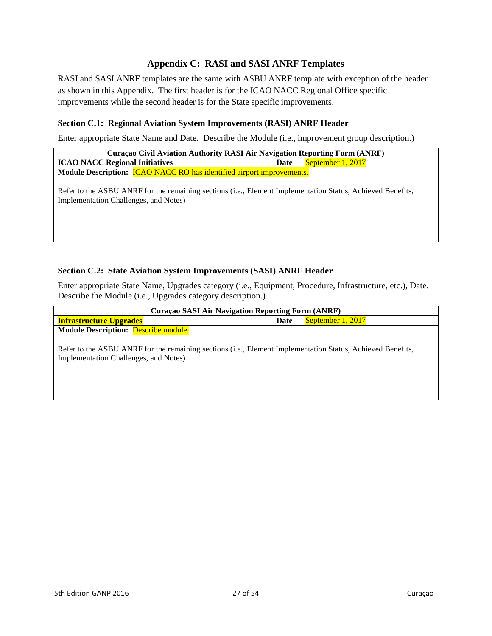## **Appendix C: RASI and SASI ANRF Templates**

<span id="page-26-0"></span>RASI and SASI ANRF templates are the same with ASBU ANRF template with exception of the header as shown in this Appendix. The first header is for the ICAO NACC Regional Office specific improvements while the second header is for the State specific improvements.

#### **Section C.1: Regional Aviation System Improvements (RASI) ANRF Header**

Enter appropriate State Name and Date. Describe the Module (i.e., improvement group description.)

| <b>Curaçao Civil Aviation Authority RASI Air Navigation Reporting Form (ANRF)</b>                                                                   |      |                   |  |  |  |  |
|-----------------------------------------------------------------------------------------------------------------------------------------------------|------|-------------------|--|--|--|--|
| <b>ICAO NACC Regional Initiatives</b>                                                                                                               | Date | September 1, 2017 |  |  |  |  |
| Module Description: <b>ICAO NACC RO</b> has identified airport improvements.                                                                        |      |                   |  |  |  |  |
| Refer to the ASBU ANRF for the remaining sections (i.e., Element Implementation Status, Achieved Benefits,<br>Implementation Challenges, and Notes) |      |                   |  |  |  |  |

#### **Section C.2: State Aviation System Improvements (SASI) ANRF Header**

Enter appropriate State Name, Upgrades category (i.e., Equipment, Procedure, Infrastructure, etc.), Date. Describe the Module (i.e., Upgrades category description.)

| <b>Curaçao SASI Air Navigation Reporting Form (ANRF)</b>                                                   |      |                   |  |  |  |
|------------------------------------------------------------------------------------------------------------|------|-------------------|--|--|--|
| <b>Infrastructure Upgrades</b>                                                                             | Date | September 1, 2017 |  |  |  |
| <b>Module Description:</b> Describe module.                                                                |      |                   |  |  |  |
|                                                                                                            |      |                   |  |  |  |
| Refer to the ASBU ANRF for the remaining sections (i.e., Element Implementation Status, Achieved Benefits, |      |                   |  |  |  |
| Implementation Challenges, and Notes)                                                                      |      |                   |  |  |  |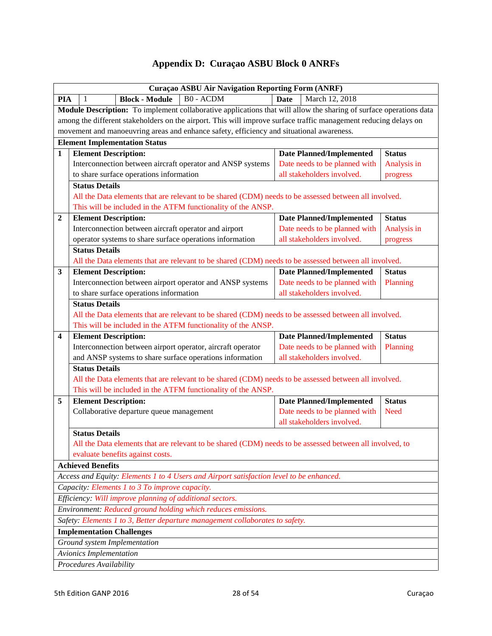## **Appendix D: Curaҫao ASBU Block 0 ANRFs**

<span id="page-27-0"></span>

|                         | Curaçao ASBU Air Navigation Reporting Form (ANRF)                                                                                            |                                                             |               |  |  |  |
|-------------------------|----------------------------------------------------------------------------------------------------------------------------------------------|-------------------------------------------------------------|---------------|--|--|--|
| PIA                     | <b>B0 - ACDM</b><br><b>Block - Module</b><br>1                                                                                               | <b>Date</b><br>March 12, 2018                               |               |  |  |  |
|                         | Module Description: To implement collaborative applications that will allow the sharing of surface operations data                           |                                                             |               |  |  |  |
|                         | among the different stakeholders on the airport. This will improve surface traffic management reducing delays on                             |                                                             |               |  |  |  |
|                         | movement and manoeuvring areas and enhance safety, efficiency and situational awareness.                                                     |                                                             |               |  |  |  |
|                         | <b>Element Implementation Status</b>                                                                                                         |                                                             |               |  |  |  |
| $\mathbf{1}$            | <b>Element Description:</b>                                                                                                                  | <b>Date Planned/Implemented</b>                             | <b>Status</b> |  |  |  |
|                         | Interconnection between aircraft operator and ANSP systems                                                                                   | Date needs to be planned with                               | Analysis in   |  |  |  |
|                         | to share surface operations information                                                                                                      | all stakeholders involved.                                  | progress      |  |  |  |
|                         | <b>Status Details</b>                                                                                                                        |                                                             |               |  |  |  |
|                         | All the Data elements that are relevant to be shared (CDM) needs to be assessed between all involved.                                        |                                                             |               |  |  |  |
|                         | This will be included in the ATFM functionality of the ANSP.                                                                                 |                                                             |               |  |  |  |
| $\overline{2}$          | <b>Element Description:</b>                                                                                                                  | <b>Date Planned/Implemented</b>                             | <b>Status</b> |  |  |  |
|                         | Interconnection between aircraft operator and airport                                                                                        | Date needs to be planned with                               | Analysis in   |  |  |  |
|                         | operator systems to share surface operations information                                                                                     | all stakeholders involved.                                  | progress      |  |  |  |
|                         | <b>Status Details</b>                                                                                                                        |                                                             |               |  |  |  |
|                         | All the Data elements that are relevant to be shared (CDM) needs to be assessed between all involved.                                        |                                                             |               |  |  |  |
| $\mathbf{3}$            | <b>Element Description:</b>                                                                                                                  | <b>Date Planned/Implemented</b>                             | <b>Status</b> |  |  |  |
|                         | Interconnection between airport operator and ANSP systems                                                                                    | Date needs to be planned with                               | Planning      |  |  |  |
|                         | to share surface operations information                                                                                                      | all stakeholders involved.                                  |               |  |  |  |
|                         | <b>Status Details</b>                                                                                                                        |                                                             |               |  |  |  |
|                         | All the Data elements that are relevant to be shared (CDM) needs to be assessed between all involved.                                        |                                                             |               |  |  |  |
|                         | This will be included in the ATFM functionality of the ANSP.                                                                                 |                                                             |               |  |  |  |
| $\overline{\mathbf{4}}$ | <b>Element Description:</b>                                                                                                                  | <b>Date Planned/Implemented</b>                             | <b>Status</b> |  |  |  |
|                         | Interconnection between airport operator, aircraft operator                                                                                  | Date needs to be planned with                               | Planning      |  |  |  |
|                         | and ANSP systems to share surface operations information                                                                                     | all stakeholders involved.                                  |               |  |  |  |
|                         | <b>Status Details</b>                                                                                                                        |                                                             |               |  |  |  |
|                         | All the Data elements that are relevant to be shared (CDM) needs to be assessed between all involved.                                        |                                                             |               |  |  |  |
|                         | This will be included in the ATFM functionality of the ANSP.                                                                                 |                                                             |               |  |  |  |
| 5                       | <b>Element Description:</b>                                                                                                                  | <b>Date Planned/Implemented</b>                             | <b>Status</b> |  |  |  |
|                         | Collaborative departure queue management                                                                                                     | Date needs to be planned with<br>all stakeholders involved. | <b>Need</b>   |  |  |  |
|                         |                                                                                                                                              |                                                             |               |  |  |  |
|                         | <b>Status Details</b>                                                                                                                        |                                                             |               |  |  |  |
|                         | All the Data elements that are relevant to be shared (CDM) needs to be assessed between all involved, to<br>evaluate benefits against costs. |                                                             |               |  |  |  |
|                         | <b>Achieved Benefits</b>                                                                                                                     |                                                             |               |  |  |  |
|                         | Access and Equity: Elements 1 to 4 Users and Airport satisfaction level to be enhanced.                                                      |                                                             |               |  |  |  |
|                         | Capacity: Elements 1 to 3 To improve capacity.                                                                                               |                                                             |               |  |  |  |
|                         | Efficiency: Will improve planning of additional sectors.                                                                                     |                                                             |               |  |  |  |
|                         | Environment: Reduced ground holding which reduces emissions.                                                                                 |                                                             |               |  |  |  |
|                         | Safety: Elements 1 to 3, Better departure management collaborates to safety.                                                                 |                                                             |               |  |  |  |
|                         | <b>Implementation Challenges</b>                                                                                                             |                                                             |               |  |  |  |
|                         | Ground system Implementation                                                                                                                 |                                                             |               |  |  |  |
|                         | Avionics Implementation                                                                                                                      |                                                             |               |  |  |  |
|                         |                                                                                                                                              |                                                             |               |  |  |  |
|                         | Procedures Availability                                                                                                                      |                                                             |               |  |  |  |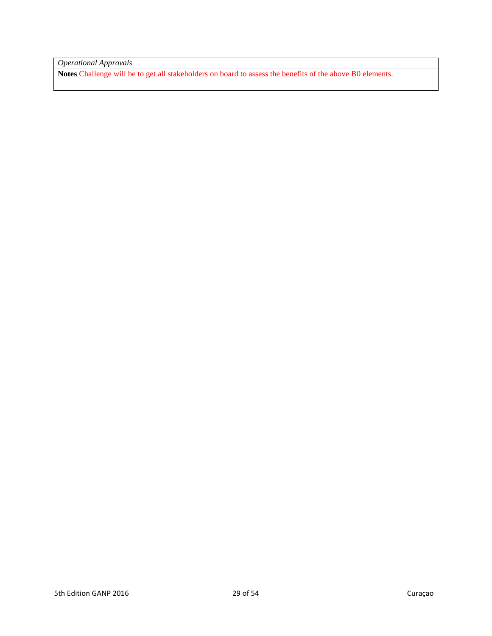*Operational Approvals*

**Notes** Challenge will be to get all stakeholders on board to assess the benefits of the above B0 elements.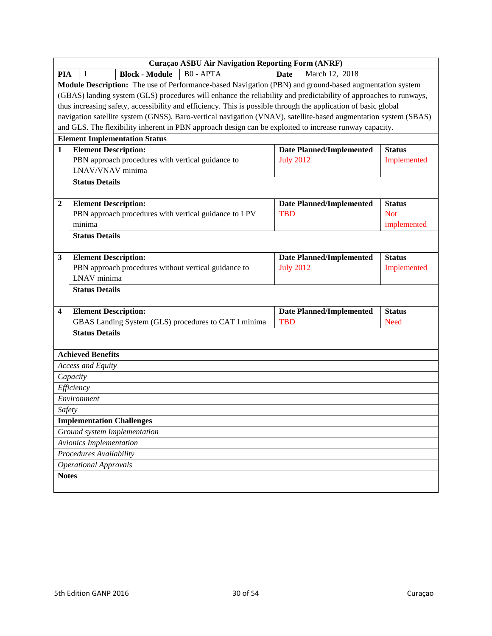|                         | Curaçao ASBU Air Navigation Reporting Form (ANRF)                                                                |                                                     |               |  |  |
|-------------------------|------------------------------------------------------------------------------------------------------------------|-----------------------------------------------------|---------------|--|--|
| <b>PIA</b>              | <b>B0 - APTA</b><br><b>Block - Module</b><br>-1                                                                  | <b>Date</b><br>March 12, 2018                       |               |  |  |
|                         | Module Description: The use of Performance-based Navigation (PBN) and ground-based augmentation system           |                                                     |               |  |  |
|                         | (GBAS) landing system (GLS) procedures will enhance the reliability and predictability of approaches to runways, |                                                     |               |  |  |
|                         | thus increasing safety, accessibility and efficiency. This is possible through the application of basic global   |                                                     |               |  |  |
|                         | navigation satellite system (GNSS), Baro-vertical navigation (VNAV), satellite-based augmentation system (SBAS)  |                                                     |               |  |  |
|                         | and GLS. The flexibility inherent in PBN approach design can be exploited to increase runway capacity.           |                                                     |               |  |  |
|                         | <b>Element Implementation Status</b>                                                                             |                                                     |               |  |  |
| $\mathbf{1}$            | <b>Element Description:</b>                                                                                      | <b>Date Planned/Implemented</b>                     | <b>Status</b> |  |  |
|                         | PBN approach procedures with vertical guidance to                                                                | <b>July 2012</b>                                    | Implemented   |  |  |
|                         | LNAV/VNAV minima                                                                                                 |                                                     |               |  |  |
|                         | <b>Status Details</b>                                                                                            |                                                     |               |  |  |
|                         |                                                                                                                  |                                                     |               |  |  |
| $\overline{2}$          | <b>Element Description:</b>                                                                                      | <b>Date Planned/Implemented</b>                     | <b>Status</b> |  |  |
|                         | PBN approach procedures with vertical guidance to LPV                                                            | <b>TBD</b>                                          | <b>Not</b>    |  |  |
|                         | minima                                                                                                           |                                                     | implemented   |  |  |
|                         | <b>Status Details</b>                                                                                            |                                                     |               |  |  |
|                         |                                                                                                                  |                                                     |               |  |  |
| 3                       | <b>Element Description:</b><br>PBN approach procedures without vertical guidance to                              | <b>Date Planned/Implemented</b><br><b>July 2012</b> | <b>Status</b> |  |  |
|                         | LNAV minima                                                                                                      |                                                     | Implemented   |  |  |
|                         | <b>Status Details</b>                                                                                            |                                                     |               |  |  |
|                         |                                                                                                                  |                                                     |               |  |  |
| $\overline{\mathbf{4}}$ | <b>Element Description:</b>                                                                                      | <b>Date Planned/Implemented</b>                     | <b>Status</b> |  |  |
|                         | GBAS Landing System (GLS) procedures to CAT I minima                                                             | <b>TBD</b>                                          | <b>Need</b>   |  |  |
|                         | <b>Status Details</b>                                                                                            |                                                     |               |  |  |
|                         |                                                                                                                  |                                                     |               |  |  |
|                         | <b>Achieved Benefits</b>                                                                                         |                                                     |               |  |  |
|                         | <b>Access and Equity</b>                                                                                         |                                                     |               |  |  |
|                         | Capacity                                                                                                         |                                                     |               |  |  |
|                         | Efficiency                                                                                                       |                                                     |               |  |  |
|                         | Environment                                                                                                      |                                                     |               |  |  |
| Safety                  |                                                                                                                  |                                                     |               |  |  |
|                         | <b>Implementation Challenges</b>                                                                                 |                                                     |               |  |  |
|                         | Ground system Implementation                                                                                     |                                                     |               |  |  |
|                         | Avionics Implementation                                                                                          |                                                     |               |  |  |
|                         | Procedures Availability                                                                                          |                                                     |               |  |  |
|                         | <b>Operational Approvals</b>                                                                                     |                                                     |               |  |  |
| <b>Notes</b>            |                                                                                                                  |                                                     |               |  |  |
|                         |                                                                                                                  |                                                     |               |  |  |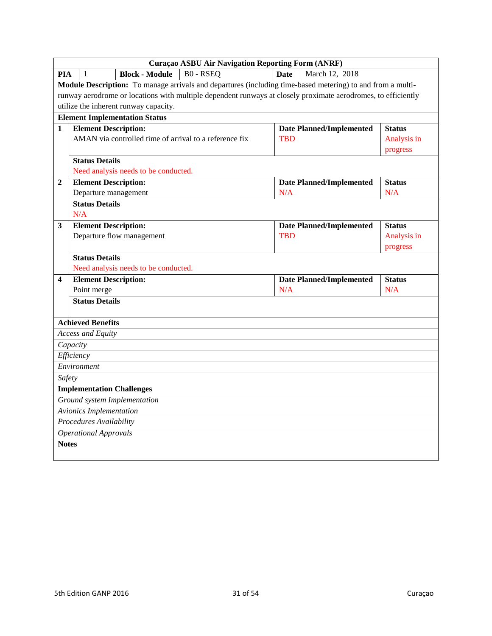|                | <b>Curaçao ASBU Air Navigation Reporting Form (ANRF)</b> |                                |                                       |                                                                                                               |             |                                 |               |
|----------------|----------------------------------------------------------|--------------------------------|---------------------------------------|---------------------------------------------------------------------------------------------------------------|-------------|---------------------------------|---------------|
| <b>PIA</b>     |                                                          | 1                              | <b>Block - Module</b>                 | <b>B0 - RSEQ</b>                                                                                              | <b>Date</b> | March 12, 2018                  |               |
|                |                                                          |                                |                                       | Module Description: To manage arrivals and departures (including time-based metering) to and from a multi-    |             |                                 |               |
|                |                                                          |                                |                                       | runway aerodrome or locations with multiple dependent runways at closely proximate aerodromes, to efficiently |             |                                 |               |
|                |                                                          |                                | utilize the inherent runway capacity. |                                                                                                               |             |                                 |               |
|                |                                                          |                                | <b>Element Implementation Status</b>  |                                                                                                               |             |                                 |               |
| 1              |                                                          | <b>Element Description:</b>    |                                       |                                                                                                               |             | <b>Date Planned/Implemented</b> | <b>Status</b> |
|                |                                                          |                                |                                       | AMAN via controlled time of arrival to a reference fix                                                        | <b>TBD</b>  |                                 | Analysis in   |
|                |                                                          |                                |                                       |                                                                                                               |             |                                 | progress      |
|                |                                                          | <b>Status Details</b>          |                                       |                                                                                                               |             |                                 |               |
|                |                                                          |                                | Need analysis needs to be conducted.  |                                                                                                               |             |                                 |               |
| $\overline{2}$ |                                                          | <b>Element Description:</b>    |                                       |                                                                                                               |             | <b>Date Planned/Implemented</b> | <b>Status</b> |
|                |                                                          |                                | Departure management                  |                                                                                                               | N/A         |                                 | N/A           |
|                |                                                          | <b>Status Details</b>          |                                       |                                                                                                               |             |                                 |               |
|                | N/A                                                      |                                |                                       |                                                                                                               |             |                                 |               |
| 3              |                                                          | <b>Element Description:</b>    |                                       |                                                                                                               | <b>TBD</b>  | <b>Date Planned/Implemented</b> | <b>Status</b> |
|                |                                                          |                                | Departure flow management             |                                                                                                               |             |                                 | Analysis in   |
|                |                                                          | <b>Status Details</b>          |                                       |                                                                                                               |             |                                 | progress      |
|                |                                                          |                                | Need analysis needs to be conducted.  |                                                                                                               |             |                                 |               |
| 4              |                                                          | <b>Element Description:</b>    |                                       |                                                                                                               |             | <b>Date Planned/Implemented</b> | <b>Status</b> |
|                |                                                          | Point merge                    |                                       |                                                                                                               | N/A         |                                 | N/A           |
|                |                                                          | <b>Status Details</b>          |                                       |                                                                                                               |             |                                 |               |
|                |                                                          |                                |                                       |                                                                                                               |             |                                 |               |
|                |                                                          | <b>Achieved Benefits</b>       |                                       |                                                                                                               |             |                                 |               |
|                |                                                          | <b>Access and Equity</b>       |                                       |                                                                                                               |             |                                 |               |
|                | Capacity                                                 |                                |                                       |                                                                                                               |             |                                 |               |
|                | Efficiency                                               |                                |                                       |                                                                                                               |             |                                 |               |
|                |                                                          | Environment                    |                                       |                                                                                                               |             |                                 |               |
| Safety         |                                                          |                                |                                       |                                                                                                               |             |                                 |               |
|                |                                                          |                                | <b>Implementation Challenges</b>      |                                                                                                               |             |                                 |               |
|                |                                                          |                                | Ground system Implementation          |                                                                                                               |             |                                 |               |
|                |                                                          | <b>Avionics Implementation</b> |                                       |                                                                                                               |             |                                 |               |
|                |                                                          | Procedures Availability        |                                       |                                                                                                               |             |                                 |               |
|                |                                                          | <b>Operational Approvals</b>   |                                       |                                                                                                               |             |                                 |               |
| <b>Notes</b>   |                                                          |                                |                                       |                                                                                                               |             |                                 |               |
|                |                                                          |                                |                                       |                                                                                                               |             |                                 |               |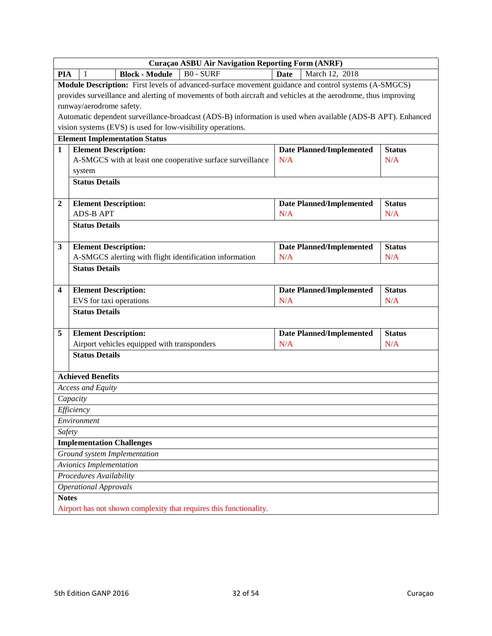|                         | Curaçao ASBU Air Navigation Reporting Form (ANRF)                                                              |                                        |               |  |  |  |
|-------------------------|----------------------------------------------------------------------------------------------------------------|----------------------------------------|---------------|--|--|--|
| <b>PIA</b>              | <b>Block - Module</b><br><b>B0 - SURF</b><br>-1                                                                | <b>Date</b><br>March 12, 2018          |               |  |  |  |
|                         | Module Description: First levels of advanced-surface movement guidance and control systems (A-SMGCS)           |                                        |               |  |  |  |
|                         | provides surveillance and alerting of movements of both aircraft and vehicles at the aerodrome, thus improving |                                        |               |  |  |  |
|                         | runway/aerodrome safety.                                                                                       |                                        |               |  |  |  |
|                         | Automatic dependent surveillance-broadcast (ADS-B) information is used when available (ADS-B APT). Enhanced    |                                        |               |  |  |  |
|                         | vision systems (EVS) is used for low-visibility operations.                                                    |                                        |               |  |  |  |
|                         | <b>Element Implementation Status</b>                                                                           |                                        |               |  |  |  |
| $\mathbf{1}$            | <b>Element Description:</b>                                                                                    | <b>Date Planned/Implemented</b>        | <b>Status</b> |  |  |  |
|                         | A-SMGCS with at least one cooperative surface surveillance                                                     | N/A                                    | N/A           |  |  |  |
|                         | system                                                                                                         |                                        |               |  |  |  |
|                         | <b>Status Details</b>                                                                                          |                                        |               |  |  |  |
|                         |                                                                                                                |                                        |               |  |  |  |
| $\overline{2}$          | <b>Element Description:</b>                                                                                    | <b>Date Planned/Implemented</b>        | <b>Status</b> |  |  |  |
|                         | <b>ADS-B APT</b>                                                                                               | N/A                                    | N/A           |  |  |  |
|                         | <b>Status Details</b>                                                                                          |                                        |               |  |  |  |
|                         |                                                                                                                |                                        | <b>Status</b> |  |  |  |
| $\mathbf{3}$            | <b>Element Description:</b><br>A-SMGCS alerting with flight identification information                         | <b>Date Planned/Implemented</b><br>N/A | N/A           |  |  |  |
|                         | <b>Status Details</b>                                                                                          |                                        |               |  |  |  |
|                         |                                                                                                                |                                        |               |  |  |  |
| $\overline{\mathbf{4}}$ | <b>Element Description:</b>                                                                                    | <b>Date Planned/Implemented</b>        | <b>Status</b> |  |  |  |
|                         | EVS for taxi operations                                                                                        | N/A                                    | N/A           |  |  |  |
|                         | <b>Status Details</b>                                                                                          |                                        |               |  |  |  |
| 5                       | <b>Element Description:</b>                                                                                    | <b>Date Planned/Implemented</b>        | <b>Status</b> |  |  |  |
|                         | Airport vehicles equipped with transponders                                                                    | N/A                                    | N/A           |  |  |  |
|                         | <b>Status Details</b>                                                                                          |                                        |               |  |  |  |
|                         |                                                                                                                |                                        |               |  |  |  |
|                         | <b>Achieved Benefits</b>                                                                                       |                                        |               |  |  |  |
|                         | Access and Equity                                                                                              |                                        |               |  |  |  |
|                         | Capacity                                                                                                       |                                        |               |  |  |  |
|                         | Efficiency                                                                                                     |                                        |               |  |  |  |
|                         | Environment                                                                                                    |                                        |               |  |  |  |
| Safety                  |                                                                                                                |                                        |               |  |  |  |
|                         | <b>Implementation Challenges</b>                                                                               |                                        |               |  |  |  |
|                         | Ground system Implementation                                                                                   |                                        |               |  |  |  |
|                         | Avionics Implementation                                                                                        |                                        |               |  |  |  |
|                         | Procedures Availability                                                                                        |                                        |               |  |  |  |
|                         | <b>Operational Approvals</b>                                                                                   |                                        |               |  |  |  |
| <b>Notes</b>            |                                                                                                                |                                        |               |  |  |  |
|                         | Airport has not shown complexity that requires this functionality.                                             |                                        |               |  |  |  |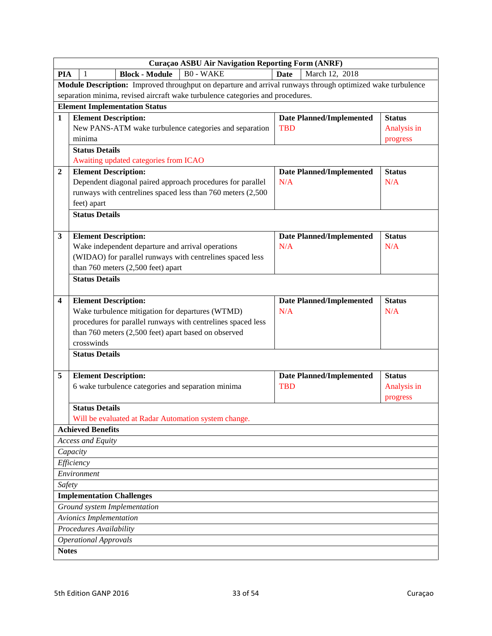|                         | Curaçao ASBU Air Navigation Reporting Form (ANRF)                                                          |             |                                 |               |  |  |
|-------------------------|------------------------------------------------------------------------------------------------------------|-------------|---------------------------------|---------------|--|--|
| <b>PIA</b>              | <b>B0 - WAKE</b><br><b>Block - Module</b><br>-1                                                            | <b>Date</b> | March 12, 2018                  |               |  |  |
|                         | Module Description: Improved throughput on departure and arrival runways through optimized wake turbulence |             |                                 |               |  |  |
|                         | separation minima, revised aircraft wake turbulence categories and procedures.                             |             |                                 |               |  |  |
|                         | <b>Element Implementation Status</b>                                                                       |             |                                 |               |  |  |
| $\mathbf{1}$            | <b>Element Description:</b>                                                                                |             | <b>Date Planned/Implemented</b> | <b>Status</b> |  |  |
|                         | New PANS-ATM wake turbulence categories and separation                                                     | <b>TBD</b>  |                                 | Analysis in   |  |  |
|                         | minima                                                                                                     |             |                                 | progress      |  |  |
|                         | <b>Status Details</b>                                                                                      |             |                                 |               |  |  |
|                         | Awaiting updated categories from ICAO                                                                      |             |                                 |               |  |  |
| $\overline{2}$          | <b>Element Description:</b>                                                                                |             | <b>Date Planned/Implemented</b> | <b>Status</b> |  |  |
|                         | Dependent diagonal paired approach procedures for parallel                                                 | N/A         |                                 | N/A           |  |  |
|                         | runways with centrelines spaced less than 760 meters (2,500)                                               |             |                                 |               |  |  |
|                         | feet) apart                                                                                                |             |                                 |               |  |  |
|                         | <b>Status Details</b>                                                                                      |             |                                 |               |  |  |
|                         |                                                                                                            |             |                                 |               |  |  |
| $\mathbf{3}$            | <b>Element Description:</b>                                                                                |             | <b>Date Planned/Implemented</b> | <b>Status</b> |  |  |
|                         | Wake independent departure and arrival operations                                                          | N/A         |                                 | N/A           |  |  |
|                         | (WIDAO) for parallel runways with centrelines spaced less                                                  |             |                                 |               |  |  |
|                         | than 760 meters (2,500 feet) apart                                                                         |             |                                 |               |  |  |
|                         | <b>Status Details</b>                                                                                      |             |                                 |               |  |  |
|                         |                                                                                                            |             |                                 |               |  |  |
| $\overline{\mathbf{4}}$ | <b>Element Description:</b>                                                                                |             | <b>Date Planned/Implemented</b> | <b>Status</b> |  |  |
|                         | Wake turbulence mitigation for departures (WTMD)                                                           | N/A         |                                 | N/A           |  |  |
|                         | procedures for parallel runways with centrelines spaced less                                               |             |                                 |               |  |  |
|                         | than 760 meters (2,500 feet) apart based on observed                                                       |             |                                 |               |  |  |
|                         | crosswinds                                                                                                 |             |                                 |               |  |  |
|                         | <b>Status Details</b>                                                                                      |             |                                 |               |  |  |
| 5                       | <b>Element Description:</b>                                                                                |             | <b>Date Planned/Implemented</b> | <b>Status</b> |  |  |
|                         | 6 wake turbulence categories and separation minima                                                         | <b>TBD</b>  |                                 | Analysis in   |  |  |
|                         |                                                                                                            |             |                                 | progress      |  |  |
|                         | <b>Status Details</b>                                                                                      |             |                                 |               |  |  |
|                         | Will be evaluated at Radar Automation system change.                                                       |             |                                 |               |  |  |
|                         | <b>Achieved Benefits</b>                                                                                   |             |                                 |               |  |  |
|                         | Access and Equity                                                                                          |             |                                 |               |  |  |
|                         | Capacity                                                                                                   |             |                                 |               |  |  |
|                         | Efficiency                                                                                                 |             |                                 |               |  |  |
|                         | Environment                                                                                                |             |                                 |               |  |  |
| Safety                  |                                                                                                            |             |                                 |               |  |  |
|                         | <b>Implementation Challenges</b>                                                                           |             |                                 |               |  |  |
|                         | Ground system Implementation                                                                               |             |                                 |               |  |  |
|                         | <b>Avionics Implementation</b>                                                                             |             |                                 |               |  |  |
|                         | Procedures Availability                                                                                    |             |                                 |               |  |  |
|                         | <b>Operational Approvals</b>                                                                               |             |                                 |               |  |  |
|                         | <b>Notes</b>                                                                                               |             |                                 |               |  |  |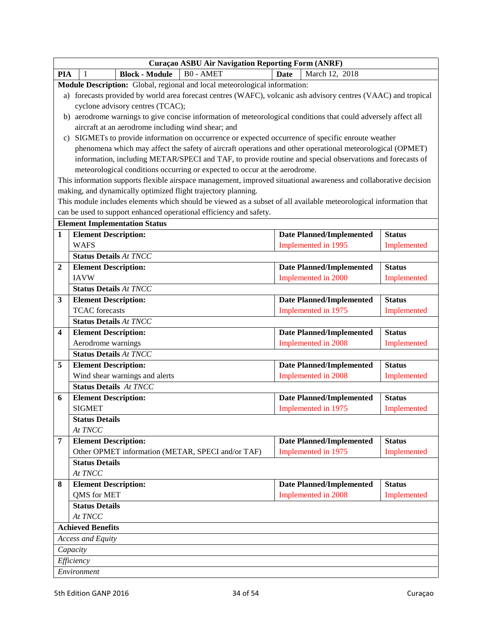|                |                                                                                                                   | Curaçao ASBU Air Navigation Reporting Form (ANRF) |                                 |               |  |  |
|----------------|-------------------------------------------------------------------------------------------------------------------|---------------------------------------------------|---------------------------------|---------------|--|--|
| <b>PIA</b>     | <b>B0 - AMET</b><br><b>Block - Module</b><br>1                                                                    | <b>Date</b>                                       | March 12, 2018                  |               |  |  |
|                | Module Description: Global, regional and local meteorological information:                                        |                                                   |                                 |               |  |  |
|                | a) forecasts provided by world area forecast centres (WAFC), volcanic ash advisory centres (VAAC) and tropical    |                                                   |                                 |               |  |  |
|                | cyclone advisory centres (TCAC);                                                                                  |                                                   |                                 |               |  |  |
|                | b) aerodrome warnings to give concise information of meteorological conditions that could adversely affect all    |                                                   |                                 |               |  |  |
|                | aircraft at an aerodrome including wind shear; and                                                                |                                                   |                                 |               |  |  |
|                | SIGMETs to provide information on occurrence or expected occurrence of specific enroute weather<br>C)             |                                                   |                                 |               |  |  |
|                | phenomena which may affect the safety of aircraft operations and other operational meteorological (OPMET)         |                                                   |                                 |               |  |  |
|                | information, including METAR/SPECI and TAF, to provide routine and special observations and forecasts of          |                                                   |                                 |               |  |  |
|                | meteorological conditions occurring or expected to occur at the aerodrome.                                        |                                                   |                                 |               |  |  |
|                | This information supports flexible airspace management, improved situational awareness and collaborative decision |                                                   |                                 |               |  |  |
|                | making, and dynamically optimized flight trajectory planning.                                                     |                                                   |                                 |               |  |  |
|                | This module includes elements which should be viewed as a subset of all available meteorological information that |                                                   |                                 |               |  |  |
|                | can be used to support enhanced operational efficiency and safety.                                                |                                                   |                                 |               |  |  |
|                | <b>Element Implementation Status</b>                                                                              |                                                   |                                 |               |  |  |
| $\mathbf{1}$   | <b>Element Description:</b>                                                                                       |                                                   | <b>Date Planned/Implemented</b> | <b>Status</b> |  |  |
|                | <b>WAFS</b>                                                                                                       |                                                   | Implemented in 1995             | Implemented   |  |  |
|                | <b>Status Details At TNCC</b>                                                                                     |                                                   |                                 |               |  |  |
| $\overline{2}$ | <b>Element Description:</b>                                                                                       |                                                   | <b>Date Planned/Implemented</b> | <b>Status</b> |  |  |
|                | <b>IAVW</b>                                                                                                       |                                                   | Implemented in 2000             | Implemented   |  |  |
|                | <b>Status Details At TNCC</b>                                                                                     |                                                   |                                 |               |  |  |
| 3              | <b>Element Description:</b>                                                                                       |                                                   | <b>Date Planned/Implemented</b> | <b>Status</b> |  |  |
|                | <b>TCAC</b> forecasts                                                                                             |                                                   | Implemented in 1975             | Implemented   |  |  |
|                | <b>Status Details At TNCC</b>                                                                                     |                                                   |                                 |               |  |  |
| 4              | <b>Element Description:</b>                                                                                       |                                                   | <b>Date Planned/Implemented</b> | <b>Status</b> |  |  |
|                | Aerodrome warnings                                                                                                |                                                   | Implemented in 2008             | Implemented   |  |  |
|                | <b>Status Details At TNCC</b>                                                                                     |                                                   |                                 |               |  |  |
| 5              | <b>Element Description:</b>                                                                                       |                                                   | <b>Date Planned/Implemented</b> | <b>Status</b> |  |  |
|                | Wind shear warnings and alerts                                                                                    |                                                   | Implemented in 2008             | Implemented   |  |  |
|                | <b>Status Details At TNCC</b>                                                                                     |                                                   |                                 |               |  |  |
| 6              | <b>Element Description:</b>                                                                                       |                                                   | <b>Date Planned/Implemented</b> | <b>Status</b> |  |  |
|                | <b>SIGMET</b>                                                                                                     |                                                   | Implemented in 1975             | Implemented   |  |  |
|                | <b>Status Details</b>                                                                                             |                                                   |                                 |               |  |  |
|                | At TNCC                                                                                                           |                                                   |                                 |               |  |  |
| $\overline{7}$ | <b>Element Description:</b>                                                                                       |                                                   | <b>Date Planned/Implemented</b> | <b>Status</b> |  |  |
|                | Other OPMET information (METAR, SPECI and/or TAF)                                                                 |                                                   | Implemented in 1975             | Implemented   |  |  |
|                | <b>Status Details</b>                                                                                             |                                                   |                                 |               |  |  |
|                | At TNCC                                                                                                           |                                                   |                                 |               |  |  |
| 8              | <b>Element Description:</b>                                                                                       |                                                   | <b>Date Planned/Implemented</b> | <b>Status</b> |  |  |
|                | QMS for MET                                                                                                       |                                                   | Implemented in 2008             | Implemented   |  |  |
|                | <b>Status Details</b>                                                                                             |                                                   |                                 |               |  |  |
|                | At TNCC                                                                                                           |                                                   |                                 |               |  |  |
|                | <b>Achieved Benefits</b>                                                                                          |                                                   |                                 |               |  |  |
|                | <b>Access and Equity</b>                                                                                          |                                                   |                                 |               |  |  |
|                | Capacity                                                                                                          |                                                   |                                 |               |  |  |
|                | Efficiency                                                                                                        |                                                   |                                 |               |  |  |
|                | Environment                                                                                                       |                                                   |                                 |               |  |  |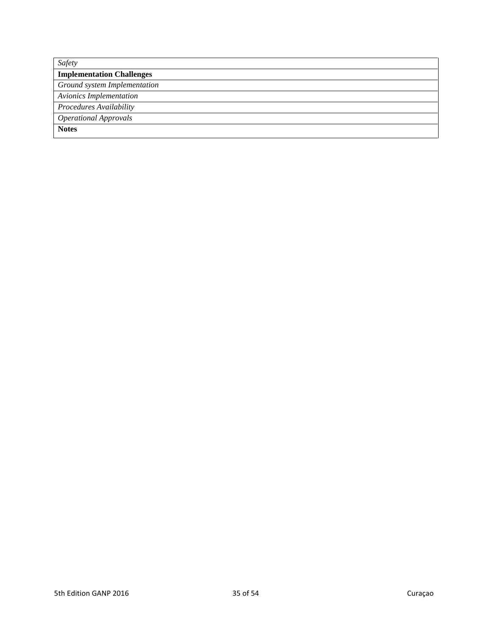| Safety                           |
|----------------------------------|
| <b>Implementation Challenges</b> |
| Ground system Implementation     |
| <b>Avionics Implementation</b>   |
| Procedures Availability          |
| <b>Operational Approvals</b>     |
| <b>Notes</b>                     |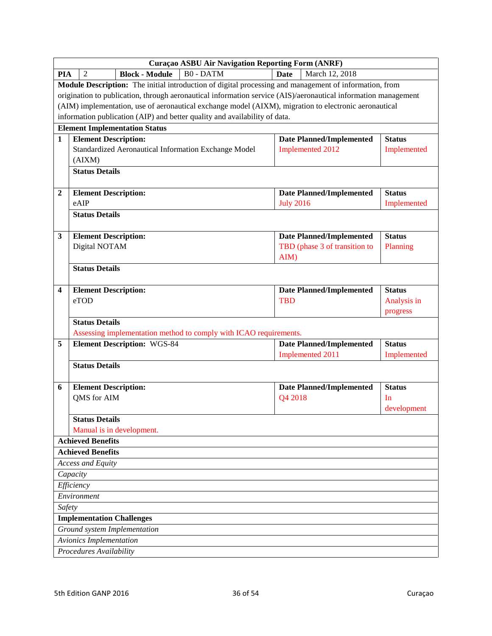|                | Curaçao ASBU Air Navigation Reporting Form (ANRF)                                                              |                                 |               |
|----------------|----------------------------------------------------------------------------------------------------------------|---------------------------------|---------------|
| <b>PIA</b>     | <b>B0 - DATM</b><br><b>Block - Module</b><br>$\overline{2}$                                                    | <b>Date</b><br>March 12, 2018   |               |
|                | <b>Module Description:</b> The initial introduction of digital processing and management of information, from  |                                 |               |
|                | origination to publication, through aeronautical information service (AIS)/aeronautical information management |                                 |               |
|                | (AIM) implementation, use of aeronautical exchange model (AIXM), migration to electronic aeronautical          |                                 |               |
|                | information publication (AIP) and better quality and availability of data.                                     |                                 |               |
|                | <b>Element Implementation Status</b>                                                                           |                                 |               |
| $\mathbf{1}$   | <b>Element Description:</b>                                                                                    | <b>Date Planned/Implemented</b> | <b>Status</b> |
|                | Standardized Aeronautical Information Exchange Model                                                           | Implemented 2012                | Implemented   |
|                | (AIXM)                                                                                                         |                                 |               |
|                | <b>Status Details</b>                                                                                          |                                 |               |
| $\overline{2}$ | <b>Element Description:</b>                                                                                    | <b>Date Planned/Implemented</b> | <b>Status</b> |
|                | eAIP                                                                                                           | <b>July 2016</b>                | Implemented   |
|                | <b>Status Details</b>                                                                                          |                                 |               |
| 3              | <b>Element Description:</b>                                                                                    | <b>Date Planned/Implemented</b> | <b>Status</b> |
|                | Digital NOTAM                                                                                                  | TBD (phase 3 of transition to   | Planning      |
|                |                                                                                                                | AIM)                            |               |
|                | <b>Status Details</b>                                                                                          |                                 |               |
| 4              | <b>Element Description:</b>                                                                                    | <b>Date Planned/Implemented</b> | <b>Status</b> |
|                | eTOD                                                                                                           | <b>TBD</b>                      | Analysis in   |
|                |                                                                                                                |                                 | progress      |
|                | <b>Status Details</b>                                                                                          |                                 |               |
|                | Assessing implementation method to comply with ICAO requirements.                                              |                                 |               |
| 5              | <b>Element Description: WGS-84</b>                                                                             | <b>Date Planned/Implemented</b> | <b>Status</b> |
|                |                                                                                                                | Implemented 2011                | Implemented   |
|                | <b>Status Details</b>                                                                                          |                                 |               |
| 6              | <b>Element Description:</b>                                                                                    | <b>Date Planned/Implemented</b> | <b>Status</b> |
|                | QMS for AIM                                                                                                    | Q4 2018                         | In            |
|                |                                                                                                                |                                 | development   |
|                | <b>Status Details</b>                                                                                          |                                 |               |
|                | Manual is in development.<br><b>Achieved Benefits</b>                                                          |                                 |               |
|                | <b>Achieved Benefits</b>                                                                                       |                                 |               |
|                | Access and Equity                                                                                              |                                 |               |
|                | Capacity                                                                                                       |                                 |               |
|                | Efficiency                                                                                                     |                                 |               |
|                | Environment                                                                                                    |                                 |               |
| Safety         |                                                                                                                |                                 |               |
|                | <b>Implementation Challenges</b>                                                                               |                                 |               |
|                | Ground system Implementation                                                                                   |                                 |               |
|                | Avionics Implementation                                                                                        |                                 |               |
|                | Procedures Availability                                                                                        |                                 |               |
|                |                                                                                                                |                                 |               |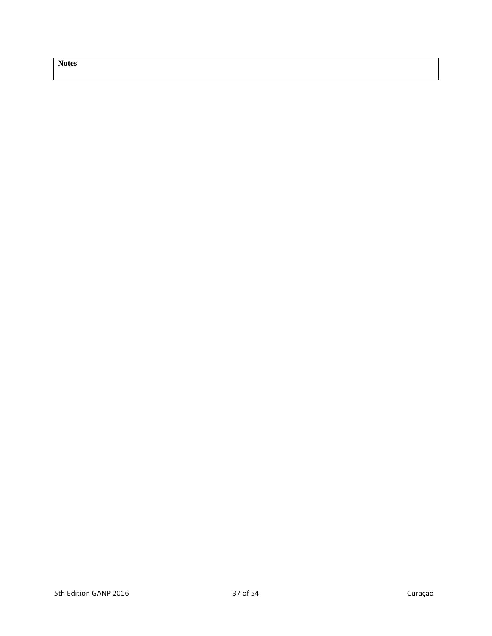**Notes**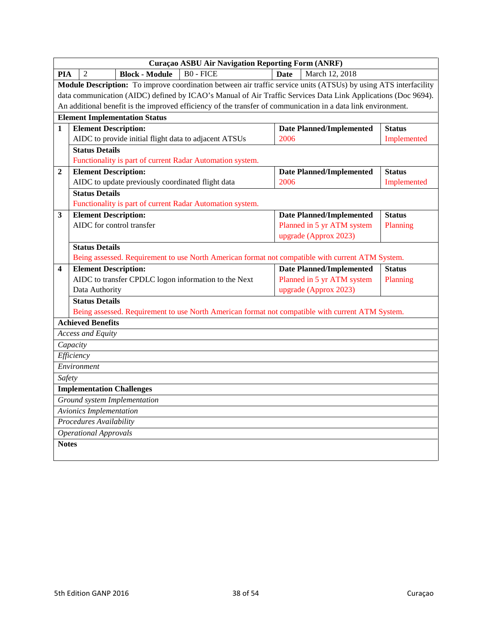|              |                                      |                                                          | Curaçao ASBU Air Navigation Reporting Form (ANRF)                                                                       |             |                                 |               |  |
|--------------|--------------------------------------|----------------------------------------------------------|-------------------------------------------------------------------------------------------------------------------------|-------------|---------------------------------|---------------|--|
| PIA          | $\overline{2}$                       | <b>Block - Module</b>                                    | $B0 - FICE$                                                                                                             | <b>Date</b> | March 12, 2018                  |               |  |
|              |                                      |                                                          | <b>Module Description:</b> To improve coordination between air traffic service units (ATSUs) by using ATS interfacility |             |                                 |               |  |
|              |                                      |                                                          | data communication (AIDC) defined by ICAO's Manual of Air Traffic Services Data Link Applications (Doc 9694).           |             |                                 |               |  |
|              |                                      |                                                          | An additional benefit is the improved efficiency of the transfer of communication in a data link environment.           |             |                                 |               |  |
|              | <b>Element Implementation Status</b> |                                                          |                                                                                                                         |             |                                 |               |  |
| $\mathbf{1}$ |                                      | <b>Element Description:</b>                              |                                                                                                                         |             | <b>Date Planned/Implemented</b> | <b>Status</b> |  |
|              |                                      | AIDC to provide initial flight data to adjacent ATSUs    |                                                                                                                         | 2006        |                                 | Implemented   |  |
|              | <b>Status Details</b>                |                                                          |                                                                                                                         |             |                                 |               |  |
|              |                                      |                                                          | Functionality is part of current Radar Automation system.                                                               |             |                                 |               |  |
| 2            |                                      | <b>Element Description:</b>                              |                                                                                                                         |             | <b>Date Planned/Implemented</b> | <b>Status</b> |  |
|              |                                      | AIDC to update previously coordinated flight data        |                                                                                                                         | 2006        |                                 | Implemented   |  |
|              | <b>Status Details</b>                |                                                          |                                                                                                                         |             |                                 |               |  |
|              |                                      |                                                          | Functionality is part of current Radar Automation system.                                                               |             |                                 |               |  |
| $\mathbf{3}$ |                                      | <b>Element Description:</b><br>AIDC for control transfer |                                                                                                                         |             | <b>Date Planned/Implemented</b> | <b>Status</b> |  |
|              |                                      |                                                          |                                                                                                                         |             | Planned in 5 yr ATM system      | Planning      |  |
|              |                                      |                                                          |                                                                                                                         |             | upgrade (Approx 2023)           |               |  |
|              | <b>Status Details</b>                |                                                          | Being assessed. Requirement to use North American format not compatible with current ATM System.                        |             |                                 |               |  |
| 4            |                                      | <b>Element Description:</b>                              |                                                                                                                         |             | <b>Date Planned/Implemented</b> | <b>Status</b> |  |
|              |                                      |                                                          | AIDC to transfer CPDLC logon information to the Next                                                                    |             | Planned in 5 yr ATM system      | Planning      |  |
|              | Data Authority                       |                                                          |                                                                                                                         |             | upgrade (Approx 2023)           |               |  |
|              | <b>Status Details</b>                |                                                          |                                                                                                                         |             |                                 |               |  |
|              |                                      |                                                          | Being assessed. Requirement to use North American format not compatible with current ATM System.                        |             |                                 |               |  |
|              | <b>Achieved Benefits</b>             |                                                          |                                                                                                                         |             |                                 |               |  |
|              | <b>Access and Equity</b>             |                                                          |                                                                                                                         |             |                                 |               |  |
|              | Capacity                             |                                                          |                                                                                                                         |             |                                 |               |  |
|              | Efficiency                           |                                                          |                                                                                                                         |             |                                 |               |  |
|              | Environment                          |                                                          |                                                                                                                         |             |                                 |               |  |
| Safety       |                                      |                                                          |                                                                                                                         |             |                                 |               |  |
|              |                                      | <b>Implementation Challenges</b>                         |                                                                                                                         |             |                                 |               |  |
|              |                                      | Ground system Implementation                             |                                                                                                                         |             |                                 |               |  |
|              | <b>Avionics Implementation</b>       |                                                          |                                                                                                                         |             |                                 |               |  |
|              | Procedures Availability              |                                                          |                                                                                                                         |             |                                 |               |  |
|              | <b>Operational Approvals</b>         |                                                          |                                                                                                                         |             |                                 |               |  |
| <b>Notes</b> |                                      |                                                          |                                                                                                                         |             |                                 |               |  |
|              |                                      |                                                          |                                                                                                                         |             |                                 |               |  |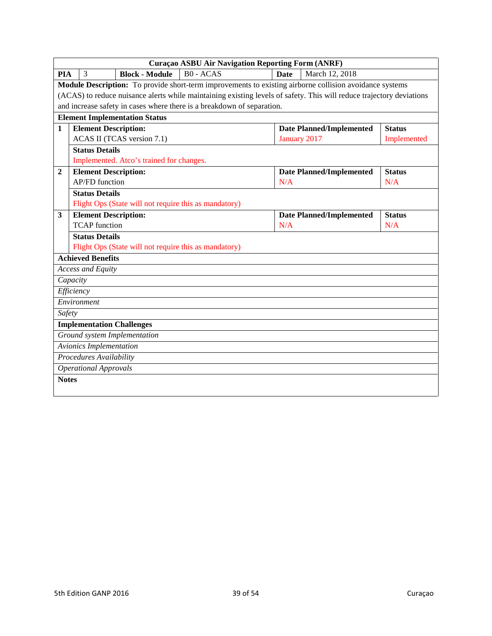|              | <b>Curaçao ASBU Air Navigation Reporting Form (ANRF)</b>                                                             |                                 |               |  |  |  |
|--------------|----------------------------------------------------------------------------------------------------------------------|---------------------------------|---------------|--|--|--|
| <b>PIA</b>   | $B0 - ACAS$<br><b>Block - Module</b><br>3                                                                            | <b>Date</b><br>March 12, 2018   |               |  |  |  |
|              | Module Description: To provide short-term improvements to existing airborne collision avoidance systems              |                                 |               |  |  |  |
|              | (ACAS) to reduce nuisance alerts while maintaining existing levels of safety. This will reduce trajectory deviations |                                 |               |  |  |  |
|              | and increase safety in cases where there is a breakdown of separation.                                               |                                 |               |  |  |  |
|              | <b>Element Implementation Status</b>                                                                                 |                                 |               |  |  |  |
| $\mathbf{1}$ | <b>Element Description:</b>                                                                                          | <b>Date Planned/Implemented</b> | <b>Status</b> |  |  |  |
|              | ACAS II (TCAS version 7.1)                                                                                           | January 2017                    | Implemented   |  |  |  |
|              | <b>Status Details</b>                                                                                                |                                 |               |  |  |  |
|              | Implemented. Atco's trained for changes.                                                                             |                                 |               |  |  |  |
| 2            | <b>Element Description:</b>                                                                                          | <b>Date Planned/Implemented</b> | <b>Status</b> |  |  |  |
|              | <b>AP/FD</b> function                                                                                                | N/A                             | N/A           |  |  |  |
|              | <b>Status Details</b>                                                                                                |                                 |               |  |  |  |
|              | Flight Ops (State will not require this as mandatory)                                                                |                                 |               |  |  |  |
| 3            | <b>Element Description:</b>                                                                                          | <b>Date Planned/Implemented</b> | <b>Status</b> |  |  |  |
|              | <b>TCAP</b> function                                                                                                 | N/A                             | N/A           |  |  |  |
|              | <b>Status Details</b>                                                                                                |                                 |               |  |  |  |
|              | Flight Ops (State will not require this as mandatory)                                                                |                                 |               |  |  |  |
|              | <b>Achieved Benefits</b>                                                                                             |                                 |               |  |  |  |
|              | Access and Equity                                                                                                    |                                 |               |  |  |  |
|              | Capacity                                                                                                             |                                 |               |  |  |  |
|              | Efficiency                                                                                                           |                                 |               |  |  |  |
|              | Environment                                                                                                          |                                 |               |  |  |  |
| Safety       |                                                                                                                      |                                 |               |  |  |  |
|              | <b>Implementation Challenges</b>                                                                                     |                                 |               |  |  |  |
|              | Ground system Implementation                                                                                         |                                 |               |  |  |  |
|              | <b>Avionics Implementation</b>                                                                                       |                                 |               |  |  |  |
|              | Procedures Availability                                                                                              |                                 |               |  |  |  |
|              | <b>Operational Approvals</b>                                                                                         |                                 |               |  |  |  |
| <b>Notes</b> |                                                                                                                      |                                 |               |  |  |  |
|              |                                                                                                                      |                                 |               |  |  |  |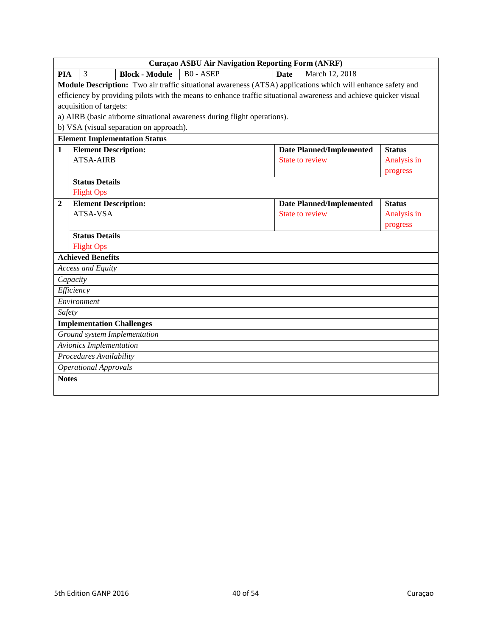|                  | Curaçao ASBU Air Navigation Reporting Form (ANRF)                                                                 |                                         |                                                                                                             |             |                                 |               |
|------------------|-------------------------------------------------------------------------------------------------------------------|-----------------------------------------|-------------------------------------------------------------------------------------------------------------|-------------|---------------------------------|---------------|
| <b>PIA</b>       | 3                                                                                                                 | <b>Block - Module</b>                   | <b>B0 - ASEP</b>                                                                                            | <b>Date</b> | March 12, 2018                  |               |
|                  |                                                                                                                   |                                         | Module Description: Two air traffic situational awareness (ATSA) applications which will enhance safety and |             |                                 |               |
|                  | efficiency by providing pilots with the means to enhance traffic situational awareness and achieve quicker visual |                                         |                                                                                                             |             |                                 |               |
|                  | acquisition of targets:                                                                                           |                                         |                                                                                                             |             |                                 |               |
|                  |                                                                                                                   |                                         | a) AIRB (basic airborne situational awareness during flight operations).                                    |             |                                 |               |
|                  |                                                                                                                   | b) VSA (visual separation on approach). |                                                                                                             |             |                                 |               |
|                  |                                                                                                                   | <b>Element Implementation Status</b>    |                                                                                                             |             |                                 |               |
| $\mathbf{1}$     | <b>Element Description:</b>                                                                                       |                                         |                                                                                                             |             | <b>Date Planned/Implemented</b> | <b>Status</b> |
|                  | <b>ATSA-AIRB</b>                                                                                                  |                                         |                                                                                                             |             | <b>State to review</b>          | Analysis in   |
|                  |                                                                                                                   |                                         |                                                                                                             |             |                                 | progress      |
|                  | <b>Status Details</b>                                                                                             |                                         |                                                                                                             |             |                                 |               |
|                  | <b>Flight Ops</b>                                                                                                 |                                         |                                                                                                             |             |                                 |               |
| $\boldsymbol{2}$ | <b>Element Description:</b>                                                                                       |                                         |                                                                                                             |             | <b>Date Planned/Implemented</b> | <b>Status</b> |
|                  | ATSA-VSA                                                                                                          |                                         |                                                                                                             |             | State to review                 | Analysis in   |
|                  |                                                                                                                   |                                         |                                                                                                             |             |                                 | progress      |
|                  | <b>Status Details</b>                                                                                             |                                         |                                                                                                             |             |                                 |               |
|                  | <b>Flight Ops</b>                                                                                                 |                                         |                                                                                                             |             |                                 |               |
|                  | <b>Achieved Benefits</b>                                                                                          |                                         |                                                                                                             |             |                                 |               |
|                  | <b>Access and Equity</b>                                                                                          |                                         |                                                                                                             |             |                                 |               |
|                  | Capacity                                                                                                          |                                         |                                                                                                             |             |                                 |               |
|                  | Efficiency                                                                                                        |                                         |                                                                                                             |             |                                 |               |
|                  | Environment                                                                                                       |                                         |                                                                                                             |             |                                 |               |
| Safety           |                                                                                                                   |                                         |                                                                                                             |             |                                 |               |
|                  | <b>Implementation Challenges</b>                                                                                  |                                         |                                                                                                             |             |                                 |               |
|                  |                                                                                                                   | Ground system Implementation            |                                                                                                             |             |                                 |               |
|                  | Avionics Implementation                                                                                           |                                         |                                                                                                             |             |                                 |               |
|                  | Procedures Availability                                                                                           |                                         |                                                                                                             |             |                                 |               |
|                  | <b>Operational Approvals</b>                                                                                      |                                         |                                                                                                             |             |                                 |               |
| <b>Notes</b>     |                                                                                                                   |                                         |                                                                                                             |             |                                 |               |
|                  |                                                                                                                   |                                         |                                                                                                             |             |                                 |               |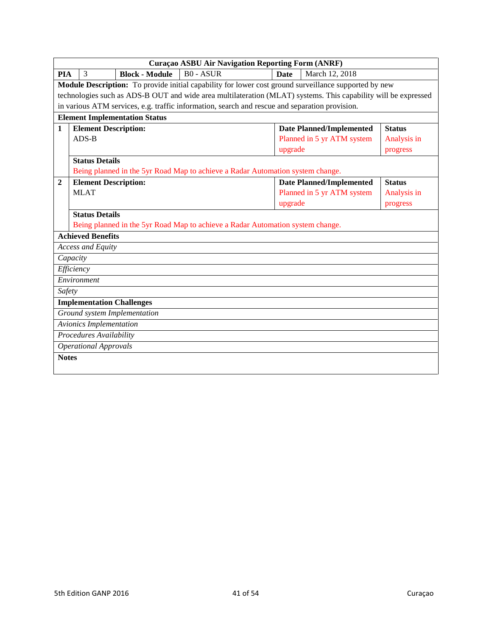|              | <b>Curaçao ASBU Air Navigation Reporting Form (ANRF)</b>                                                       |                                      |                                                                                                              |         |                                 |               |  |
|--------------|----------------------------------------------------------------------------------------------------------------|--------------------------------------|--------------------------------------------------------------------------------------------------------------|---------|---------------------------------|---------------|--|
| <b>PIA</b>   | 3                                                                                                              | <b>Block - Module</b>                | $\overline{B0}$ - ASUR                                                                                       | Date    | March 12, 2018                  |               |  |
|              |                                                                                                                |                                      | <b>Module Description:</b> To provide initial capability for lower cost ground surveillance supported by new |         |                                 |               |  |
|              | technologies such as ADS-B OUT and wide area multilateration (MLAT) systems. This capability will be expressed |                                      |                                                                                                              |         |                                 |               |  |
|              |                                                                                                                |                                      | in various ATM services, e.g. traffic information, search and rescue and separation provision.               |         |                                 |               |  |
|              |                                                                                                                | <b>Element Implementation Status</b> |                                                                                                              |         |                                 |               |  |
| $\mathbf{1}$ |                                                                                                                | <b>Element Description:</b>          |                                                                                                              |         | <b>Date Planned/Implemented</b> | <b>Status</b> |  |
|              | $ADS-B$                                                                                                        |                                      |                                                                                                              |         | Planned in 5 yr ATM system      | Analysis in   |  |
|              |                                                                                                                |                                      |                                                                                                              | upgrade |                                 | progress      |  |
|              | <b>Status Details</b>                                                                                          |                                      |                                                                                                              |         |                                 |               |  |
|              |                                                                                                                |                                      | Being planned in the 5yr Road Map to achieve a Radar Automation system change.                               |         |                                 |               |  |
| 2            |                                                                                                                | <b>Element Description:</b>          |                                                                                                              |         | <b>Date Planned/Implemented</b> | <b>Status</b> |  |
|              | <b>MLAT</b>                                                                                                    |                                      |                                                                                                              |         | Planned in 5 yr ATM system      | Analysis in   |  |
|              |                                                                                                                |                                      |                                                                                                              | upgrade |                                 | progress      |  |
|              | <b>Status Details</b>                                                                                          |                                      |                                                                                                              |         |                                 |               |  |
|              |                                                                                                                |                                      | Being planned in the 5yr Road Map to achieve a Radar Automation system change.                               |         |                                 |               |  |
|              | <b>Achieved Benefits</b>                                                                                       |                                      |                                                                                                              |         |                                 |               |  |
|              | <b>Access and Equity</b>                                                                                       |                                      |                                                                                                              |         |                                 |               |  |
|              | Capacity                                                                                                       |                                      |                                                                                                              |         |                                 |               |  |
|              | Efficiency                                                                                                     |                                      |                                                                                                              |         |                                 |               |  |
|              | Environment                                                                                                    |                                      |                                                                                                              |         |                                 |               |  |
| Safety       |                                                                                                                |                                      |                                                                                                              |         |                                 |               |  |
|              |                                                                                                                | <b>Implementation Challenges</b>     |                                                                                                              |         |                                 |               |  |
|              |                                                                                                                | Ground system Implementation         |                                                                                                              |         |                                 |               |  |
|              |                                                                                                                | Avionics Implementation              |                                                                                                              |         |                                 |               |  |
|              |                                                                                                                | <b>Procedures Availability</b>       |                                                                                                              |         |                                 |               |  |
|              | <b>Operational Approvals</b>                                                                                   |                                      |                                                                                                              |         |                                 |               |  |
| <b>Notes</b> |                                                                                                                |                                      |                                                                                                              |         |                                 |               |  |
|              |                                                                                                                |                                      |                                                                                                              |         |                                 |               |  |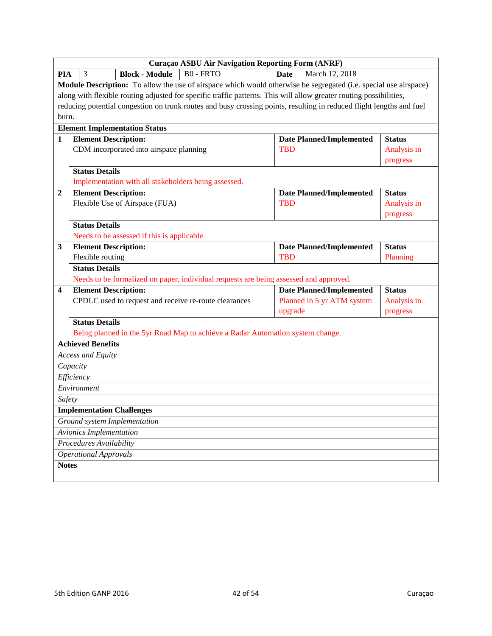|                | Curaçao ASBU Air Navigation Reporting Form (ANRF)                                                                    |                                                      |                                                                                                                         |            |                                 |               |  |  |
|----------------|----------------------------------------------------------------------------------------------------------------------|------------------------------------------------------|-------------------------------------------------------------------------------------------------------------------------|------------|---------------------------------|---------------|--|--|
| <b>PIA</b>     | 3                                                                                                                    | <b>Block - Module</b>                                | <b>B0 - FRTO</b>                                                                                                        | Date       | March 12, 2018                  |               |  |  |
|                |                                                                                                                      |                                                      | <b>Module Description:</b> To allow the use of airspace which would otherwise be segregated (i.e. special use airspace) |            |                                 |               |  |  |
|                |                                                                                                                      |                                                      | along with flexible routing adjusted for specific traffic patterns. This will allow greater routing possibilities,      |            |                                 |               |  |  |
|                | reducing potential congestion on trunk routes and busy crossing points, resulting in reduced flight lengths and fuel |                                                      |                                                                                                                         |            |                                 |               |  |  |
| burn.          |                                                                                                                      |                                                      |                                                                                                                         |            |                                 |               |  |  |
|                | <b>Element Implementation Status</b>                                                                                 |                                                      |                                                                                                                         |            |                                 |               |  |  |
| $\mathbf{1}$   | <b>Element Description:</b>                                                                                          |                                                      |                                                                                                                         | <b>TBD</b> | <b>Date Planned/Implemented</b> | <b>Status</b> |  |  |
|                | CDM incorporated into airspace planning                                                                              |                                                      |                                                                                                                         |            |                                 | Analysis in   |  |  |
|                | <b>Status Details</b>                                                                                                |                                                      |                                                                                                                         |            |                                 | progress      |  |  |
|                |                                                                                                                      | Implementation with all stakeholders being assessed. |                                                                                                                         |            |                                 |               |  |  |
| $\overline{2}$ | <b>Element Description:</b>                                                                                          |                                                      |                                                                                                                         |            | <b>Date Planned/Implemented</b> | <b>Status</b> |  |  |
|                |                                                                                                                      | Flexible Use of Airspace (FUA)                       |                                                                                                                         | <b>TBD</b> |                                 | Analysis in   |  |  |
|                |                                                                                                                      |                                                      |                                                                                                                         |            |                                 | progress      |  |  |
|                | <b>Status Details</b>                                                                                                |                                                      |                                                                                                                         |            |                                 |               |  |  |
|                |                                                                                                                      | Needs to be assessed if this is applicable.          |                                                                                                                         |            |                                 |               |  |  |
| 3              | <b>Element Description:</b>                                                                                          |                                                      |                                                                                                                         |            | <b>Date Planned/Implemented</b> | <b>Status</b> |  |  |
|                | Flexible routing                                                                                                     |                                                      |                                                                                                                         | <b>TBD</b> |                                 | Planning      |  |  |
|                | <b>Status Details</b>                                                                                                |                                                      |                                                                                                                         |            |                                 |               |  |  |
|                |                                                                                                                      |                                                      | Needs to be formalized on paper, individual requests are being assessed and approved.                                   |            |                                 |               |  |  |
| 4              | <b>Element Description:</b>                                                                                          |                                                      |                                                                                                                         |            | <b>Date Planned/Implemented</b> | <b>Status</b> |  |  |
|                |                                                                                                                      |                                                      | CPDLC used to request and receive re-route clearances                                                                   |            | Planned in 5 yr ATM system      | Analysis in   |  |  |
|                | <b>Status Details</b>                                                                                                |                                                      |                                                                                                                         | upgrade    |                                 | progress      |  |  |
|                |                                                                                                                      |                                                      | Being planned in the 5yr Road Map to achieve a Radar Automation system change.                                          |            |                                 |               |  |  |
|                | <b>Achieved Benefits</b>                                                                                             |                                                      |                                                                                                                         |            |                                 |               |  |  |
|                | Access and Equity                                                                                                    |                                                      |                                                                                                                         |            |                                 |               |  |  |
|                | Capacity                                                                                                             |                                                      |                                                                                                                         |            |                                 |               |  |  |
|                | Efficiency                                                                                                           |                                                      |                                                                                                                         |            |                                 |               |  |  |
|                | Environment                                                                                                          |                                                      |                                                                                                                         |            |                                 |               |  |  |
| Safety         |                                                                                                                      |                                                      |                                                                                                                         |            |                                 |               |  |  |
|                | <b>Implementation Challenges</b>                                                                                     |                                                      |                                                                                                                         |            |                                 |               |  |  |
|                |                                                                                                                      | Ground system Implementation                         |                                                                                                                         |            |                                 |               |  |  |
|                | Avionics Implementation                                                                                              |                                                      |                                                                                                                         |            |                                 |               |  |  |
|                | Procedures Availability                                                                                              |                                                      |                                                                                                                         |            |                                 |               |  |  |
|                | <b>Operational Approvals</b>                                                                                         |                                                      |                                                                                                                         |            |                                 |               |  |  |
| <b>Notes</b>   |                                                                                                                      |                                                      |                                                                                                                         |            |                                 |               |  |  |
|                |                                                                                                                      |                                                      |                                                                                                                         |            |                                 |               |  |  |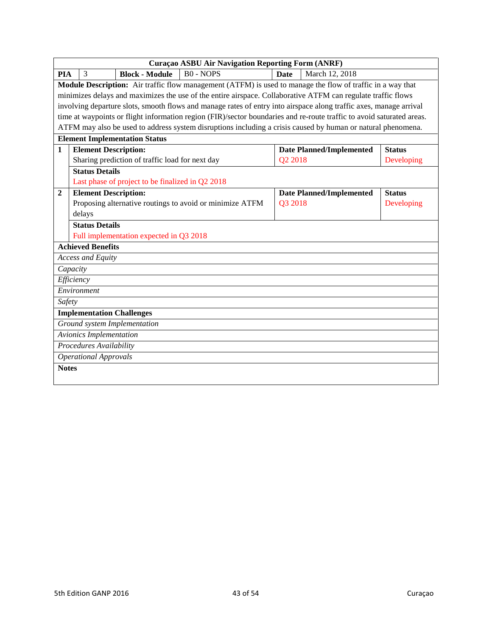|                  | <b>Curaçao ASBU Air Navigation Reporting Form (ANRF)</b>                                                              |                                 |               |  |  |  |  |
|------------------|-----------------------------------------------------------------------------------------------------------------------|---------------------------------|---------------|--|--|--|--|
| <b>PIA</b>       | $B0 - NOPS$<br><b>Block - Module</b><br>3                                                                             | March 12, 2018<br><b>Date</b>   |               |  |  |  |  |
|                  | Module Description: Air traffic flow management (ATFM) is used to manage the flow of traffic in a way that            |                                 |               |  |  |  |  |
|                  | minimizes delays and maximizes the use of the entire airspace. Collaborative ATFM can regulate traffic flows          |                                 |               |  |  |  |  |
|                  | involving departure slots, smooth flows and manage rates of entry into airspace along traffic axes, manage arrival    |                                 |               |  |  |  |  |
|                  | time at waypoints or flight information region (FIR)/sector boundaries and re-route traffic to avoid saturated areas. |                                 |               |  |  |  |  |
|                  | ATFM may also be used to address system disruptions including a crisis caused by human or natural phenomena.          |                                 |               |  |  |  |  |
|                  | <b>Element Implementation Status</b>                                                                                  |                                 |               |  |  |  |  |
| 1                | <b>Element Description:</b>                                                                                           | <b>Date Planned/Implemented</b> | <b>Status</b> |  |  |  |  |
|                  | Sharing prediction of traffic load for next day                                                                       | Q2 2018                         | Developing    |  |  |  |  |
|                  | <b>Status Details</b>                                                                                                 |                                 |               |  |  |  |  |
|                  | Last phase of project to be finalized in Q2 2018                                                                      |                                 |               |  |  |  |  |
| $\boldsymbol{2}$ | <b>Element Description:</b>                                                                                           | <b>Date Planned/Implemented</b> | <b>Status</b> |  |  |  |  |
|                  | Proposing alternative routings to avoid or minimize ATFM                                                              | Q3 2018                         | Developing    |  |  |  |  |
|                  | delays                                                                                                                |                                 |               |  |  |  |  |
|                  | <b>Status Details</b>                                                                                                 |                                 |               |  |  |  |  |
|                  | Full implementation expected in Q3 2018                                                                               |                                 |               |  |  |  |  |
|                  | <b>Achieved Benefits</b>                                                                                              |                                 |               |  |  |  |  |
|                  | <b>Access and Equity</b>                                                                                              |                                 |               |  |  |  |  |
|                  | Capacity                                                                                                              |                                 |               |  |  |  |  |
|                  | Efficiency                                                                                                            |                                 |               |  |  |  |  |
|                  | Environment                                                                                                           |                                 |               |  |  |  |  |
| Safety           |                                                                                                                       |                                 |               |  |  |  |  |
|                  | <b>Implementation Challenges</b>                                                                                      |                                 |               |  |  |  |  |
|                  | Ground system Implementation                                                                                          |                                 |               |  |  |  |  |
|                  | Avionics Implementation                                                                                               |                                 |               |  |  |  |  |
|                  | Procedures Availability                                                                                               |                                 |               |  |  |  |  |
|                  | <b>Operational Approvals</b>                                                                                          |                                 |               |  |  |  |  |
| <b>Notes</b>     |                                                                                                                       |                                 |               |  |  |  |  |
|                  |                                                                                                                       |                                 |               |  |  |  |  |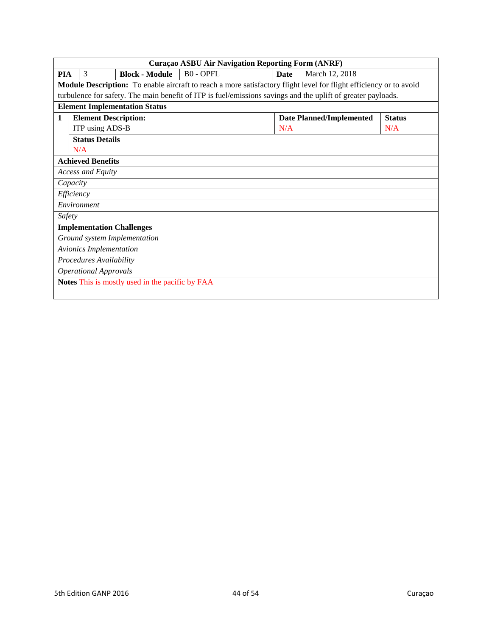|            | Curaçao ASBU Air Navigation Reporting Form (ANRF)                                                                         |                                                 |                                                                                                              |      |                                 |               |  |
|------------|---------------------------------------------------------------------------------------------------------------------------|-------------------------------------------------|--------------------------------------------------------------------------------------------------------------|------|---------------------------------|---------------|--|
| <b>PIA</b> | 3                                                                                                                         | <b>Block - Module</b>                           | <b>BO-OPFL</b>                                                                                               | Date | March 12, 2018                  |               |  |
|            | <b>Module Description:</b> To enable aircraft to reach a more satisfactory flight level for flight efficiency or to avoid |                                                 |                                                                                                              |      |                                 |               |  |
|            |                                                                                                                           |                                                 | turbulence for safety. The main benefit of ITP is fuel/emissions savings and the uplift of greater payloads. |      |                                 |               |  |
|            |                                                                                                                           | <b>Element Implementation Status</b>            |                                                                                                              |      |                                 |               |  |
| 1          | <b>Element Description:</b>                                                                                               |                                                 |                                                                                                              |      | <b>Date Planned/Implemented</b> | <b>Status</b> |  |
|            | ITP using ADS-B                                                                                                           |                                                 |                                                                                                              | N/A  |                                 | N/A           |  |
|            | <b>Status Details</b>                                                                                                     |                                                 |                                                                                                              |      |                                 |               |  |
|            | N/A                                                                                                                       |                                                 |                                                                                                              |      |                                 |               |  |
|            | <b>Achieved Benefits</b>                                                                                                  |                                                 |                                                                                                              |      |                                 |               |  |
|            | <b>Access and Equity</b>                                                                                                  |                                                 |                                                                                                              |      |                                 |               |  |
|            | Capacity                                                                                                                  |                                                 |                                                                                                              |      |                                 |               |  |
|            | Efficiency                                                                                                                |                                                 |                                                                                                              |      |                                 |               |  |
|            | Environment                                                                                                               |                                                 |                                                                                                              |      |                                 |               |  |
| Safety     |                                                                                                                           |                                                 |                                                                                                              |      |                                 |               |  |
|            | <b>Implementation Challenges</b>                                                                                          |                                                 |                                                                                                              |      |                                 |               |  |
|            |                                                                                                                           | Ground system Implementation                    |                                                                                                              |      |                                 |               |  |
|            | Avionics Implementation                                                                                                   |                                                 |                                                                                                              |      |                                 |               |  |
|            | Procedures Availability                                                                                                   |                                                 |                                                                                                              |      |                                 |               |  |
|            | <b>Operational Approvals</b>                                                                                              |                                                 |                                                                                                              |      |                                 |               |  |
|            |                                                                                                                           | Notes This is mostly used in the pacific by FAA |                                                                                                              |      |                                 |               |  |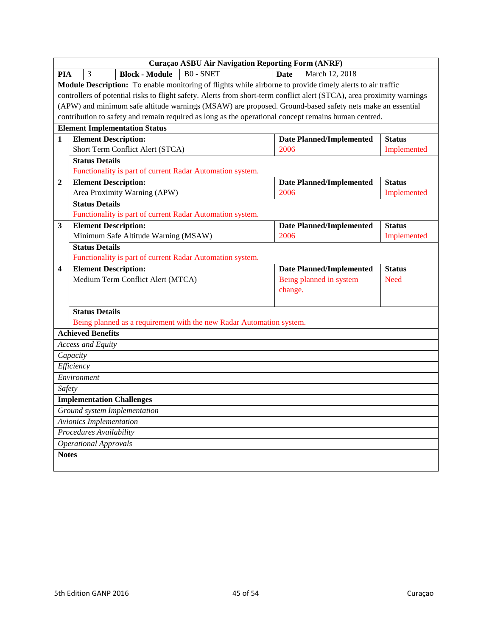|                         | Curaçao ASBU Air Navigation Reporting Form (ANRF)                                                        |                              |                                                                  |                                                                                                                        |             |                                 |               |
|-------------------------|----------------------------------------------------------------------------------------------------------|------------------------------|------------------------------------------------------------------|------------------------------------------------------------------------------------------------------------------------|-------------|---------------------------------|---------------|
| <b>PIA</b>              |                                                                                                          | 3                            | <b>Block - Module</b>                                            | <b>BO-SNET</b>                                                                                                         | <b>Date</b> | March 12, 2018                  |               |
|                         |                                                                                                          |                              |                                                                  | Module Description: To enable monitoring of flights while airborne to provide timely alerts to air traffic             |             |                                 |               |
|                         |                                                                                                          |                              |                                                                  | controllers of potential risks to flight safety. Alerts from short-term conflict alert (STCA), area proximity warnings |             |                                 |               |
|                         | (APW) and minimum safe altitude warnings (MSAW) are proposed. Ground-based safety nets make an essential |                              |                                                                  |                                                                                                                        |             |                                 |               |
|                         |                                                                                                          |                              |                                                                  | contribution to safety and remain required as long as the operational concept remains human centred.                   |             |                                 |               |
|                         |                                                                                                          |                              | <b>Element Implementation Status</b>                             |                                                                                                                        |             |                                 |               |
| 1                       |                                                                                                          |                              | <b>Element Description:</b>                                      |                                                                                                                        |             | <b>Date Planned/Implemented</b> | <b>Status</b> |
|                         | Short Term Conflict Alert (STCA)<br>2006<br>Implemented                                                  |                              |                                                                  |                                                                                                                        |             |                                 |               |
|                         |                                                                                                          | <b>Status Details</b>        |                                                                  |                                                                                                                        |             |                                 |               |
|                         |                                                                                                          |                              |                                                                  | Functionality is part of current Radar Automation system.                                                              |             |                                 |               |
| $\boldsymbol{2}$        |                                                                                                          |                              | <b>Element Description:</b>                                      |                                                                                                                        |             | <b>Date Planned/Implemented</b> | <b>Status</b> |
|                         |                                                                                                          |                              | Area Proximity Warning (APW)                                     |                                                                                                                        | 2006        |                                 | Implemented   |
|                         |                                                                                                          | <b>Status Details</b>        |                                                                  |                                                                                                                        |             |                                 |               |
|                         |                                                                                                          |                              |                                                                  | Functionality is part of current Radar Automation system.                                                              |             |                                 |               |
| 3                       |                                                                                                          |                              | <b>Element Description:</b>                                      |                                                                                                                        |             | <b>Date Planned/Implemented</b> | <b>Status</b> |
|                         |                                                                                                          |                              | Minimum Safe Altitude Warning (MSAW)                             |                                                                                                                        | 2006        |                                 | Implemented   |
|                         |                                                                                                          | <b>Status Details</b>        |                                                                  |                                                                                                                        |             |                                 |               |
|                         |                                                                                                          |                              |                                                                  | Functionality is part of current Radar Automation system.                                                              |             |                                 |               |
| $\overline{\mathbf{4}}$ |                                                                                                          |                              | <b>Element Description:</b><br>Medium Term Conflict Alert (MTCA) |                                                                                                                        |             | <b>Date Planned/Implemented</b> | <b>Status</b> |
|                         |                                                                                                          |                              |                                                                  |                                                                                                                        | change.     | Being planned in system         | <b>Need</b>   |
|                         |                                                                                                          |                              |                                                                  |                                                                                                                        |             |                                 |               |
|                         |                                                                                                          | <b>Status Details</b>        |                                                                  |                                                                                                                        |             |                                 |               |
|                         |                                                                                                          |                              |                                                                  | Being planned as a requirement with the new Radar Automation system.                                                   |             |                                 |               |
|                         |                                                                                                          | <b>Achieved Benefits</b>     |                                                                  |                                                                                                                        |             |                                 |               |
|                         |                                                                                                          | Access and Equity            |                                                                  |                                                                                                                        |             |                                 |               |
|                         | Capacity                                                                                                 |                              |                                                                  |                                                                                                                        |             |                                 |               |
|                         | Efficiency                                                                                               |                              |                                                                  |                                                                                                                        |             |                                 |               |
|                         |                                                                                                          | Environment                  |                                                                  |                                                                                                                        |             |                                 |               |
| Safety                  |                                                                                                          |                              |                                                                  |                                                                                                                        |             |                                 |               |
|                         |                                                                                                          |                              | <b>Implementation Challenges</b>                                 |                                                                                                                        |             |                                 |               |
|                         |                                                                                                          |                              | Ground system Implementation                                     |                                                                                                                        |             |                                 |               |
|                         |                                                                                                          | Avionics Implementation      |                                                                  |                                                                                                                        |             |                                 |               |
|                         |                                                                                                          | Procedures Availability      |                                                                  |                                                                                                                        |             |                                 |               |
|                         |                                                                                                          | <b>Operational Approvals</b> |                                                                  |                                                                                                                        |             |                                 |               |
| <b>Notes</b>            |                                                                                                          |                              |                                                                  |                                                                                                                        |             |                                 |               |
|                         |                                                                                                          |                              |                                                                  |                                                                                                                        |             |                                 |               |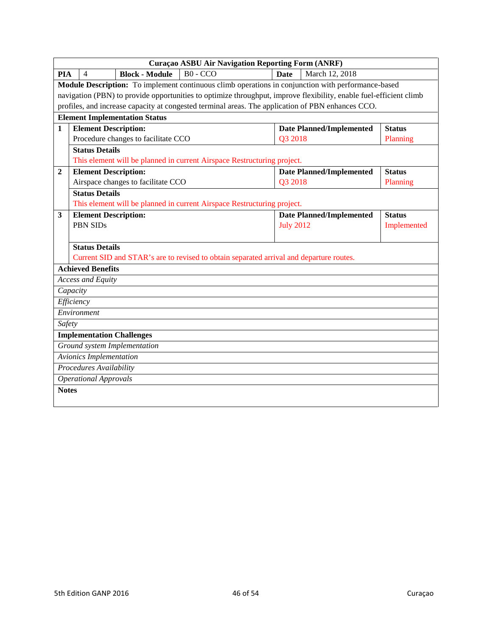|              | <b>Curaçao ASBU Air Navigation Reporting Form (ANRF)</b>                                                           |                                 |               |  |  |  |  |
|--------------|--------------------------------------------------------------------------------------------------------------------|---------------------------------|---------------|--|--|--|--|
| <b>PIA</b>   | $B0 - CCO$<br><b>Block - Module</b><br>4                                                                           | March 12, 2018<br><b>Date</b>   |               |  |  |  |  |
|              | Module Description: To implement continuous climb operations in conjunction with performance-based                 |                                 |               |  |  |  |  |
|              | navigation (PBN) to provide opportunities to optimize throughput, improve flexibility, enable fuel-efficient climb |                                 |               |  |  |  |  |
|              | profiles, and increase capacity at congested terminal areas. The application of PBN enhances CCO.                  |                                 |               |  |  |  |  |
|              | <b>Element Implementation Status</b>                                                                               |                                 |               |  |  |  |  |
| $\mathbf{1}$ | <b>Element Description:</b>                                                                                        | <b>Date Planned/Implemented</b> | <b>Status</b> |  |  |  |  |
|              | Procedure changes to facilitate CCO                                                                                | Q3 2018                         | Planning      |  |  |  |  |
|              | <b>Status Details</b>                                                                                              |                                 |               |  |  |  |  |
|              | This element will be planned in current Airspace Restructuring project.                                            |                                 |               |  |  |  |  |
| $\mathbf{2}$ | <b>Element Description:</b>                                                                                        | <b>Date Planned/Implemented</b> | <b>Status</b> |  |  |  |  |
|              | Airspace changes to facilitate CCO                                                                                 | Q3 2018                         | Planning      |  |  |  |  |
|              | <b>Status Details</b>                                                                                              |                                 |               |  |  |  |  |
|              | This element will be planned in current Airspace Restructuring project.                                            |                                 |               |  |  |  |  |
| 3            | <b>Element Description:</b>                                                                                        | <b>Date Planned/Implemented</b> | <b>Status</b> |  |  |  |  |
|              | <b>PBN SIDs</b>                                                                                                    | <b>July 2012</b>                | Implemented   |  |  |  |  |
|              |                                                                                                                    |                                 |               |  |  |  |  |
|              | <b>Status Details</b>                                                                                              |                                 |               |  |  |  |  |
|              | Current SID and STAR's are to revised to obtain separated arrival and departure routes.                            |                                 |               |  |  |  |  |
|              | <b>Achieved Benefits</b>                                                                                           |                                 |               |  |  |  |  |
|              | <b>Access and Equity</b>                                                                                           |                                 |               |  |  |  |  |
|              | Capacity                                                                                                           |                                 |               |  |  |  |  |
|              | Efficiency                                                                                                         |                                 |               |  |  |  |  |
|              | Environment                                                                                                        |                                 |               |  |  |  |  |
| Safety       |                                                                                                                    |                                 |               |  |  |  |  |
|              | <b>Implementation Challenges</b>                                                                                   |                                 |               |  |  |  |  |
|              | Ground system Implementation                                                                                       |                                 |               |  |  |  |  |
|              | Avionics Implementation                                                                                            |                                 |               |  |  |  |  |
|              | Procedures Availability                                                                                            |                                 |               |  |  |  |  |
|              | <b>Operational Approvals</b>                                                                                       |                                 |               |  |  |  |  |
| <b>Notes</b> |                                                                                                                    |                                 |               |  |  |  |  |
|              |                                                                                                                    |                                 |               |  |  |  |  |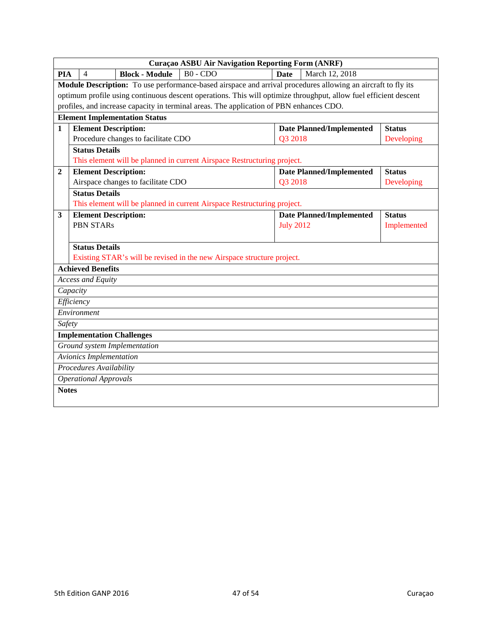|                  | <b>Curaçao ASBU Air Navigation Reporting Form (ANRF)</b>                                                         |                                 |               |  |  |  |  |
|------------------|------------------------------------------------------------------------------------------------------------------|---------------------------------|---------------|--|--|--|--|
| <b>PIA</b>       | $B0 - CDO$<br><b>Block - Module</b><br>$\overline{\mathcal{A}}$                                                  | March 12, 2018<br><b>Date</b>   |               |  |  |  |  |
|                  | Module Description: To use performance-based airspace and arrival procedures allowing an aircraft to fly its     |                                 |               |  |  |  |  |
|                  | optimum profile using continuous descent operations. This will optimize throughput, allow fuel efficient descent |                                 |               |  |  |  |  |
|                  | profiles, and increase capacity in terminal areas. The application of PBN enhances CDO.                          |                                 |               |  |  |  |  |
|                  | <b>Element Implementation Status</b>                                                                             |                                 |               |  |  |  |  |
| 1                | <b>Element Description:</b>                                                                                      | <b>Date Planned/Implemented</b> | <b>Status</b> |  |  |  |  |
|                  | Procedure changes to facilitate CDO                                                                              | Q3 2018                         | Developing    |  |  |  |  |
|                  | <b>Status Details</b>                                                                                            |                                 |               |  |  |  |  |
|                  | This element will be planned in current Airspace Restructuring project.                                          |                                 |               |  |  |  |  |
| $\boldsymbol{2}$ | <b>Element Description:</b>                                                                                      | <b>Date Planned/Implemented</b> | <b>Status</b> |  |  |  |  |
|                  | Airspace changes to facilitate CDO                                                                               | Q3 2018                         | Developing    |  |  |  |  |
|                  | <b>Status Details</b>                                                                                            |                                 |               |  |  |  |  |
|                  | This element will be planned in current Airspace Restructuring project.                                          |                                 |               |  |  |  |  |
| 3                | <b>Element Description:</b>                                                                                      | <b>Date Planned/Implemented</b> | <b>Status</b> |  |  |  |  |
|                  | <b>PBN STARs</b>                                                                                                 | <b>July 2012</b>                | Implemented   |  |  |  |  |
|                  |                                                                                                                  |                                 |               |  |  |  |  |
|                  | <b>Status Details</b>                                                                                            |                                 |               |  |  |  |  |
|                  | Existing STAR's will be revised in the new Airspace structure project.                                           |                                 |               |  |  |  |  |
|                  | <b>Achieved Benefits</b>                                                                                         |                                 |               |  |  |  |  |
|                  | <b>Access and Equity</b>                                                                                         |                                 |               |  |  |  |  |
|                  | Capacity                                                                                                         |                                 |               |  |  |  |  |
|                  | Efficiency                                                                                                       |                                 |               |  |  |  |  |
|                  | Environment                                                                                                      |                                 |               |  |  |  |  |
| Safety           |                                                                                                                  |                                 |               |  |  |  |  |
|                  | <b>Implementation Challenges</b>                                                                                 |                                 |               |  |  |  |  |
|                  | Ground system Implementation                                                                                     |                                 |               |  |  |  |  |
|                  | <b>Avionics Implementation</b>                                                                                   |                                 |               |  |  |  |  |
|                  | Procedures Availability                                                                                          |                                 |               |  |  |  |  |
|                  | <b>Operational Approvals</b>                                                                                     |                                 |               |  |  |  |  |
| <b>Notes</b>     |                                                                                                                  |                                 |               |  |  |  |  |
|                  |                                                                                                                  |                                 |               |  |  |  |  |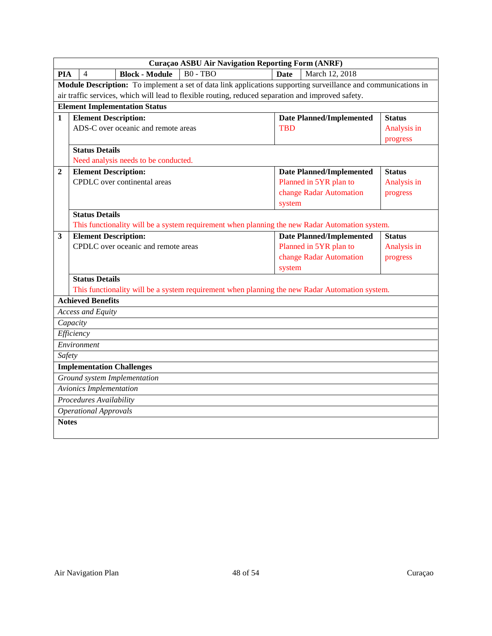|                | <b>Curaçao ASBU Air Navigation Reporting Form (ANRF)</b> |                                      |                                                                                                                |             |                                 |               |  |  |
|----------------|----------------------------------------------------------|--------------------------------------|----------------------------------------------------------------------------------------------------------------|-------------|---------------------------------|---------------|--|--|
| <b>PIA</b>     | $\overline{4}$                                           | <b>Block - Module</b>                | $B0 - TBO$                                                                                                     | <b>Date</b> | March 12, 2018                  |               |  |  |
|                |                                                          |                                      | Module Description: To implement a set of data link applications supporting surveillance and communications in |             |                                 |               |  |  |
|                |                                                          |                                      | air traffic services, which will lead to flexible routing, reduced separation and improved safety.             |             |                                 |               |  |  |
|                | <b>Element Implementation Status</b>                     |                                      |                                                                                                                |             |                                 |               |  |  |
| $\mathbf{1}$   | <b>Element Description:</b>                              |                                      |                                                                                                                |             | <b>Date Planned/Implemented</b> | <b>Status</b> |  |  |
|                |                                                          | ADS-C over oceanic and remote areas  |                                                                                                                | <b>TBD</b>  |                                 | Analysis in   |  |  |
|                |                                                          |                                      |                                                                                                                |             |                                 | progress      |  |  |
|                | <b>Status Details</b>                                    |                                      |                                                                                                                |             |                                 |               |  |  |
|                |                                                          | Need analysis needs to be conducted. |                                                                                                                |             |                                 |               |  |  |
| $\overline{2}$ | <b>Element Description:</b>                              |                                      |                                                                                                                |             | <b>Date Planned/Implemented</b> | <b>Status</b> |  |  |
|                |                                                          | CPDLC over continental areas         |                                                                                                                |             | Planned in 5YR plan to          | Analysis in   |  |  |
|                |                                                          |                                      |                                                                                                                |             | change Radar Automation         | progress      |  |  |
|                |                                                          |                                      |                                                                                                                | system      |                                 |               |  |  |
|                | <b>Status Details</b>                                    |                                      |                                                                                                                |             |                                 |               |  |  |
|                |                                                          |                                      | This functionality will be a system requirement when planning the new Radar Automation system.                 |             |                                 |               |  |  |
| $\mathbf{3}$   | <b>Element Description:</b>                              |                                      |                                                                                                                |             | <b>Date Planned/Implemented</b> | <b>Status</b> |  |  |
|                |                                                          | CPDLC over oceanic and remote areas  |                                                                                                                |             | Planned in 5YR plan to          | Analysis in   |  |  |
|                |                                                          |                                      |                                                                                                                |             | change Radar Automation         | progress      |  |  |
|                |                                                          |                                      |                                                                                                                | system      |                                 |               |  |  |
|                | <b>Status Details</b>                                    |                                      |                                                                                                                |             |                                 |               |  |  |
|                |                                                          |                                      | This functionality will be a system requirement when planning the new Radar Automation system.                 |             |                                 |               |  |  |
|                | <b>Achieved Benefits</b>                                 |                                      |                                                                                                                |             |                                 |               |  |  |
|                | Access and Equity                                        |                                      |                                                                                                                |             |                                 |               |  |  |
|                | Capacity                                                 |                                      |                                                                                                                |             |                                 |               |  |  |
|                | Efficiency                                               |                                      |                                                                                                                |             |                                 |               |  |  |
|                | Environment                                              |                                      |                                                                                                                |             |                                 |               |  |  |
| Safety         |                                                          |                                      |                                                                                                                |             |                                 |               |  |  |
|                | <b>Implementation Challenges</b>                         |                                      |                                                                                                                |             |                                 |               |  |  |
|                |                                                          | Ground system Implementation         |                                                                                                                |             |                                 |               |  |  |
|                | <b>Avionics Implementation</b>                           |                                      |                                                                                                                |             |                                 |               |  |  |
|                | Procedures Availability                                  |                                      |                                                                                                                |             |                                 |               |  |  |
|                | <b>Operational Approvals</b>                             |                                      |                                                                                                                |             |                                 |               |  |  |
| <b>Notes</b>   |                                                          |                                      |                                                                                                                |             |                                 |               |  |  |
|                |                                                          |                                      |                                                                                                                |             |                                 |               |  |  |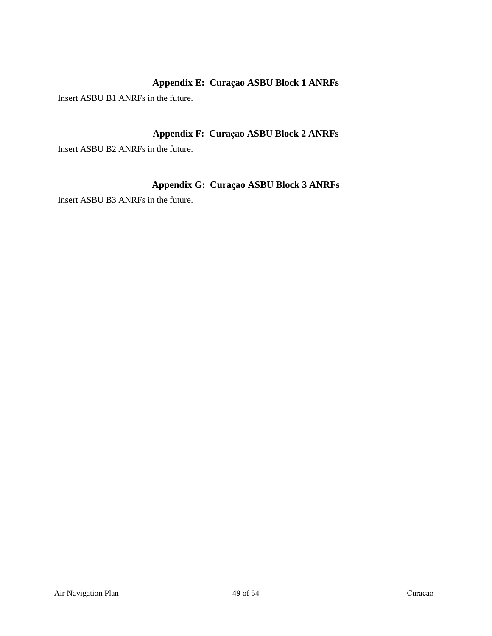## **Appendix E: Curaҫao ASBU Block 1 ANRFs**

<span id="page-48-0"></span>Insert ASBU B1 ANRFs in the future.

## **Appendix F: Curaҫao ASBU Block 2 ANRFs**

<span id="page-48-1"></span>Insert ASBU B2 ANRFs in the future.

## **Appendix G: Curaҫao ASBU Block 3 ANRFs**

<span id="page-48-2"></span>Insert ASBU B3 ANRFs in the future.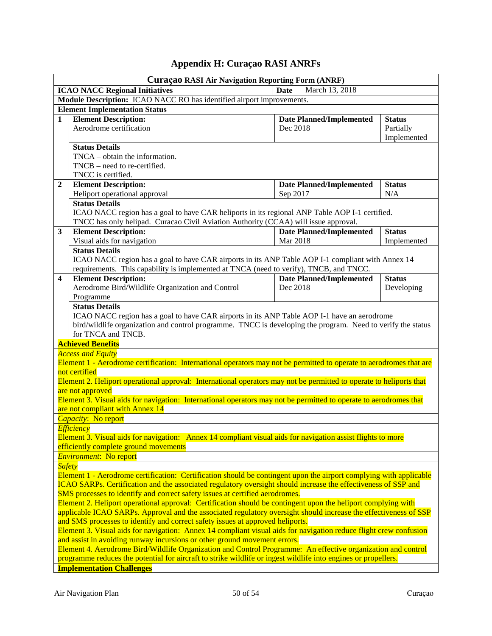## **Appendix H: Curaçao RASI ANRFs**

<span id="page-49-0"></span>

| <b>Curaçao RASI Air Navigation Reporting Form (ANRF)</b>                                                                                                                                                                                                                                                                              |                                                                                                                                                                                                                                                                                                                                                                                                                                                                      |                                                    |                                           |  |  |  |
|---------------------------------------------------------------------------------------------------------------------------------------------------------------------------------------------------------------------------------------------------------------------------------------------------------------------------------------|----------------------------------------------------------------------------------------------------------------------------------------------------------------------------------------------------------------------------------------------------------------------------------------------------------------------------------------------------------------------------------------------------------------------------------------------------------------------|----------------------------------------------------|-------------------------------------------|--|--|--|
|                                                                                                                                                                                                                                                                                                                                       | March 13, 2018<br><b>ICAO NACC Regional Initiatives</b><br><b>Date</b>                                                                                                                                                                                                                                                                                                                                                                                               |                                                    |                                           |  |  |  |
|                                                                                                                                                                                                                                                                                                                                       | Module Description: ICAO NACC RO has identified airport improvements.                                                                                                                                                                                                                                                                                                                                                                                                |                                                    |                                           |  |  |  |
|                                                                                                                                                                                                                                                                                                                                       | <b>Element Implementation Status</b>                                                                                                                                                                                                                                                                                                                                                                                                                                 |                                                    |                                           |  |  |  |
| $\mathbf{1}$                                                                                                                                                                                                                                                                                                                          | <b>Element Description:</b><br>Aerodrome certification                                                                                                                                                                                                                                                                                                                                                                                                               | <b>Date Planned/Implemented</b><br>Dec 2018        | <b>Status</b><br>Partially<br>Implemented |  |  |  |
|                                                                                                                                                                                                                                                                                                                                       | <b>Status Details</b><br>$TNCA - obtain$ the information.<br>$TNCB - need to re-certified.$<br>TNCC is certified.                                                                                                                                                                                                                                                                                                                                                    |                                                    |                                           |  |  |  |
| $\overline{2}$                                                                                                                                                                                                                                                                                                                        | <b>Element Description:</b><br>Heliport operational approval<br><b>Status Details</b>                                                                                                                                                                                                                                                                                                                                                                                | <b>Date Planned/Implemented</b><br>Sep 2017        | <b>Status</b><br>N/A                      |  |  |  |
|                                                                                                                                                                                                                                                                                                                                       | ICAO NACC region has a goal to have CAR heliports in its regional ANP Table AOP I-1 certified.<br>TNCC has only helipad. Curacao Civil Aviation Authority (CCAA) will issue approval.                                                                                                                                                                                                                                                                                |                                                    |                                           |  |  |  |
| 3                                                                                                                                                                                                                                                                                                                                     | <b>Element Description:</b><br>Visual aids for navigation                                                                                                                                                                                                                                                                                                                                                                                                            | <b>Date Planned/Implemented</b><br><b>Mar 2018</b> | <b>Status</b><br>Implemented              |  |  |  |
|                                                                                                                                                                                                                                                                                                                                       | <b>Status Details</b><br>ICAO NACC region has a goal to have CAR airports in its ANP Table AOP I-1 compliant with Annex 14<br>requirements. This capability is implemented at TNCA (need to verify), TNCB, and TNCC.                                                                                                                                                                                                                                                 |                                                    |                                           |  |  |  |
| 4                                                                                                                                                                                                                                                                                                                                     | <b>Element Description:</b>                                                                                                                                                                                                                                                                                                                                                                                                                                          | <b>Date Planned/Implemented</b>                    | <b>Status</b>                             |  |  |  |
|                                                                                                                                                                                                                                                                                                                                       | Aerodrome Bird/Wildlife Organization and Control<br>Programme                                                                                                                                                                                                                                                                                                                                                                                                        | Dec 2018                                           | Developing                                |  |  |  |
|                                                                                                                                                                                                                                                                                                                                       | <b>Status Details</b><br>ICAO NACC region has a goal to have CAR airports in its ANP Table AOP I-1 have an aerodrome<br>bird/wildlife organization and control programme. TNCC is developing the program. Need to verify the status<br>for TNCA and TNCB.                                                                                                                                                                                                            |                                                    |                                           |  |  |  |
|                                                                                                                                                                                                                                                                                                                                       | <b>Achieved Benefits</b>                                                                                                                                                                                                                                                                                                                                                                                                                                             |                                                    |                                           |  |  |  |
|                                                                                                                                                                                                                                                                                                                                       | <b>Access and Equity</b><br>Element 1 - Aerodrome certification: International operators may not be permitted to operate to aerodromes that are<br>not certified<br>Element 2. Heliport operational approval: International operators may not be permitted to operate to heliports that<br>are not approved<br>Element 3. Visual aids for navigation: International operators may not be permitted to operate to aerodromes that<br>are not compliant with Annex 14  |                                                    |                                           |  |  |  |
|                                                                                                                                                                                                                                                                                                                                       | Capacity: No report                                                                                                                                                                                                                                                                                                                                                                                                                                                  |                                                    |                                           |  |  |  |
|                                                                                                                                                                                                                                                                                                                                       | <b>Efficiency</b><br>Element 3. Visual aids for navigation: Annex 14 compliant visual aids for navigation assist flights to more<br>efficiently complete ground movements                                                                                                                                                                                                                                                                                            |                                                    |                                           |  |  |  |
|                                                                                                                                                                                                                                                                                                                                       | <b>Environment:</b> No report                                                                                                                                                                                                                                                                                                                                                                                                                                        |                                                    |                                           |  |  |  |
| <b>Safety</b><br>Element 1 - Aerodrome certification: Certification should be contingent upon the airport complying with applicable<br>ICAO SARPs. Certification and the associated regulatory oversight should increase the effectiveness of SSP and<br>SMS processes to identify and correct safety issues at certified aerodromes. |                                                                                                                                                                                                                                                                                                                                                                                                                                                                      |                                                    |                                           |  |  |  |
|                                                                                                                                                                                                                                                                                                                                       | Element 2. Heliport operational approval: Certification should be contingent upon the heliport complying with<br>applicable ICAO SARPs. Approval and the associated regulatory oversight should increase the effectiveness of SSP<br>and SMS processes to identify and correct safety issues at approved heliports.                                                                                                                                                  |                                                    |                                           |  |  |  |
|                                                                                                                                                                                                                                                                                                                                       | Element 3. Visual aids for navigation: Annex 14 compliant visual aids for navigation reduce flight crew confusion<br>and assist in avoiding runway incursions or other ground movement errors.<br>Element 4. Aerodrome Bird/Wildlife Organization and Control Programme: An effective organization and control<br>programme reduces the potential for aircraft to strike wildlife or ingest wildlife into engines or propellers.<br><b>Implementation Challenges</b> |                                                    |                                           |  |  |  |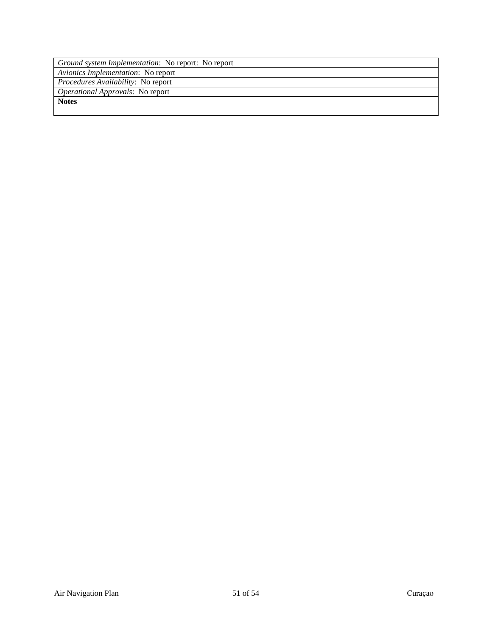| Ground system Implementation: No report: No report |  |  |  |  |
|----------------------------------------------------|--|--|--|--|
| Avionics Implementation: No report                 |  |  |  |  |
| Procedures Availability: No report                 |  |  |  |  |
| <i>Operational Approvals:</i> No report            |  |  |  |  |
| <b>Notes</b>                                       |  |  |  |  |
|                                                    |  |  |  |  |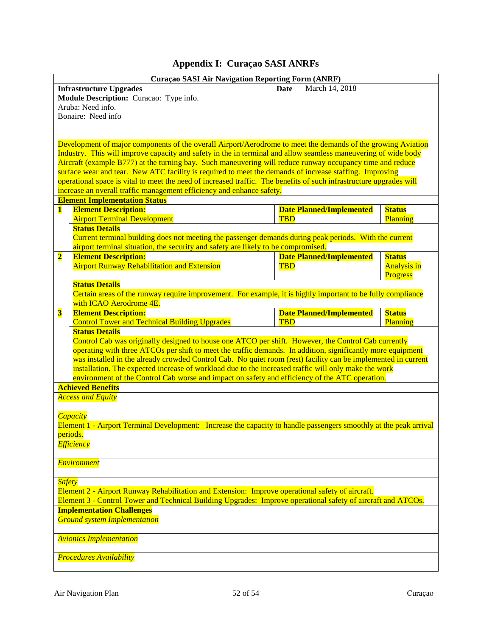<span id="page-51-0"></span>

|                                                                                                              | <b>Curaçao SASI Air Navigation Reporting Form (ANRF)</b>                                                                                                                                               |             |                                 |                    |  |  |
|--------------------------------------------------------------------------------------------------------------|--------------------------------------------------------------------------------------------------------------------------------------------------------------------------------------------------------|-------------|---------------------------------|--------------------|--|--|
|                                                                                                              | <b>Infrastructure Upgrades</b>                                                                                                                                                                         | <b>Date</b> | March 14, 2018                  |                    |  |  |
|                                                                                                              | Module Description: Curacao: Type info.                                                                                                                                                                |             |                                 |                    |  |  |
|                                                                                                              | Aruba: Need info.                                                                                                                                                                                      |             |                                 |                    |  |  |
|                                                                                                              | Bonaire: Need info                                                                                                                                                                                     |             |                                 |                    |  |  |
|                                                                                                              |                                                                                                                                                                                                        |             |                                 |                    |  |  |
|                                                                                                              |                                                                                                                                                                                                        |             |                                 |                    |  |  |
|                                                                                                              | Development of major components of the overall Airport/Aerodrome to meet the demands of the growing Aviation                                                                                           |             |                                 |                    |  |  |
|                                                                                                              | Industry. This will improve capacity and safety in the in terminal and allow seamless maneuvering of wide body                                                                                         |             |                                 |                    |  |  |
|                                                                                                              | Aircraft (example B777) at the turning bay. Such maneuvering will reduce runway occupancy time and reduce                                                                                              |             |                                 |                    |  |  |
|                                                                                                              | surface wear and tear. New ATC facility is required to meet the demands of increase staffing. Improving                                                                                                |             |                                 |                    |  |  |
|                                                                                                              | operational space is vital to meet the need of increased traffic. The benefits of such infrastructure upgrades will                                                                                    |             |                                 |                    |  |  |
|                                                                                                              | increase an overall traffic management efficiency and enhance safety.                                                                                                                                  |             |                                 |                    |  |  |
|                                                                                                              | <b>Element Implementation Status</b>                                                                                                                                                                   |             |                                 |                    |  |  |
| $\mathbf{1}$                                                                                                 | <b>Element Description:</b>                                                                                                                                                                            |             | <b>Date Planned/Implemented</b> | <b>Status</b>      |  |  |
|                                                                                                              | <b>Airport Terminal Development</b>                                                                                                                                                                    | <b>TBD</b>  |                                 | Planning           |  |  |
|                                                                                                              | <b>Status Details</b>                                                                                                                                                                                  |             |                                 |                    |  |  |
|                                                                                                              | Current terminal building does not meeting the passenger demands during peak periods. With the current                                                                                                 |             |                                 |                    |  |  |
|                                                                                                              | airport terminal situation, the security and safety are likely to be compromised.                                                                                                                      |             |                                 |                    |  |  |
| $\overline{\mathbf{2}}$                                                                                      | <b>Element Description:</b>                                                                                                                                                                            |             | <b>Date Planned/Implemented</b> | <b>Status</b>      |  |  |
|                                                                                                              | <b>Airport Runway Rehabilitation and Extension</b>                                                                                                                                                     | <b>TBD</b>  |                                 | <b>Analysis in</b> |  |  |
|                                                                                                              |                                                                                                                                                                                                        |             |                                 | Progress           |  |  |
|                                                                                                              | <b>Status Details</b>                                                                                                                                                                                  |             |                                 |                    |  |  |
|                                                                                                              | Certain areas of the runway require improvement. For example, it is highly important to be fully compliance                                                                                            |             |                                 |                    |  |  |
|                                                                                                              | with ICAO Aerodrome 4E.                                                                                                                                                                                |             |                                 |                    |  |  |
| $\overline{\mathbf{3}}$                                                                                      | <b>Element Description:</b>                                                                                                                                                                            |             | <b>Date Planned/Implemented</b> | <b>Status</b>      |  |  |
|                                                                                                              | <b>Control Tower and Technical Building Upgrades</b>                                                                                                                                                   | <b>TBD</b>  |                                 | Planning           |  |  |
|                                                                                                              | <b>Status Details</b>                                                                                                                                                                                  |             |                                 |                    |  |  |
|                                                                                                              | Control Cab was originally designed to house one ATCO per shift. However, the Control Cab currently                                                                                                    |             |                                 |                    |  |  |
|                                                                                                              | operating with three ATCOs per shift to meet the traffic demands. In addition, significantly more equipment                                                                                            |             |                                 |                    |  |  |
|                                                                                                              | was installed in the already crowded Control Cab. No quiet room (rest) facility can be implemented in current                                                                                          |             |                                 |                    |  |  |
|                                                                                                              | installation. The expected increase of workload due to the increased traffic will only make the work<br>environment of the Control Cab worse and impact on safety and efficiency of the ATC operation. |             |                                 |                    |  |  |
|                                                                                                              | <b>Achieved Benefits</b>                                                                                                                                                                               |             |                                 |                    |  |  |
|                                                                                                              |                                                                                                                                                                                                        |             |                                 |                    |  |  |
|                                                                                                              | <b>Access and Equity</b>                                                                                                                                                                               |             |                                 |                    |  |  |
|                                                                                                              | <b>Capacity</b>                                                                                                                                                                                        |             |                                 |                    |  |  |
|                                                                                                              | Element 1 - Airport Terminal Development: Increase the capacity to handle passengers smoothly at the peak arrival                                                                                      |             |                                 |                    |  |  |
|                                                                                                              | periods.                                                                                                                                                                                               |             |                                 |                    |  |  |
|                                                                                                              | <b>Efficiency</b>                                                                                                                                                                                      |             |                                 |                    |  |  |
|                                                                                                              |                                                                                                                                                                                                        |             |                                 |                    |  |  |
|                                                                                                              | <b>Environment</b>                                                                                                                                                                                     |             |                                 |                    |  |  |
|                                                                                                              |                                                                                                                                                                                                        |             |                                 |                    |  |  |
|                                                                                                              |                                                                                                                                                                                                        |             |                                 |                    |  |  |
|                                                                                                              | <b>Safety</b><br>Element 2 - Airport Runway Rehabilitation and Extension: Improve operational safety of aircraft.                                                                                      |             |                                 |                    |  |  |
| Element 3 - Control Tower and Technical Building Upgrades: Improve operational safety of aircraft and ATCOs. |                                                                                                                                                                                                        |             |                                 |                    |  |  |
|                                                                                                              | <b>Implementation Challenges</b>                                                                                                                                                                       |             |                                 |                    |  |  |
|                                                                                                              | <b>Ground system Implementation</b>                                                                                                                                                                    |             |                                 |                    |  |  |
|                                                                                                              |                                                                                                                                                                                                        |             |                                 |                    |  |  |
|                                                                                                              | <b>Avionics Implementation</b>                                                                                                                                                                         |             |                                 |                    |  |  |
|                                                                                                              |                                                                                                                                                                                                        |             |                                 |                    |  |  |
|                                                                                                              | <b>Procedures Availability</b>                                                                                                                                                                         |             |                                 |                    |  |  |
|                                                                                                              |                                                                                                                                                                                                        |             |                                 |                    |  |  |
|                                                                                                              |                                                                                                                                                                                                        |             |                                 |                    |  |  |

# **Appendix I: Curaçao SASI ANRFs**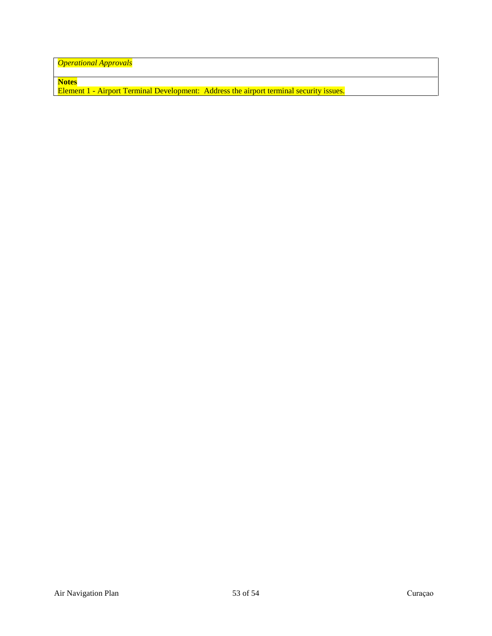*Operational Approvals*

**Notes**

Element 1 - Airport Terminal Development: Address the airport terminal security issues.